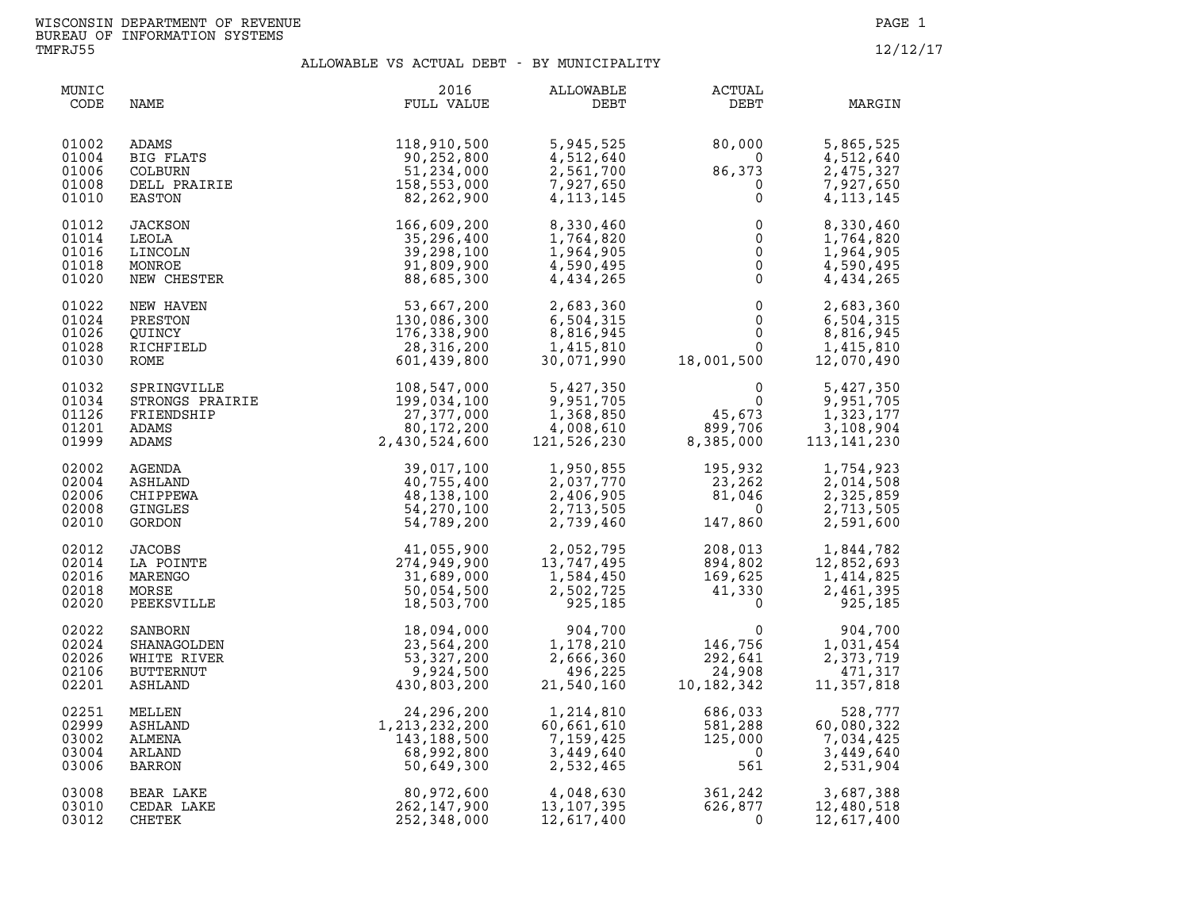| MUNIC<br>CODE                             | NAME                                                 | 2016<br>FULL VALUE                                                                                                                                                                                                                                                                                                                                    | ALLOWABLE<br>DEBT                                               | <b>ACTUAL</b><br>DEBT                                                                                                                                                                                                                                                                                  | MARGIN                                                          |
|-------------------------------------------|------------------------------------------------------|-------------------------------------------------------------------------------------------------------------------------------------------------------------------------------------------------------------------------------------------------------------------------------------------------------------------------------------------------------|-----------------------------------------------------------------|--------------------------------------------------------------------------------------------------------------------------------------------------------------------------------------------------------------------------------------------------------------------------------------------------------|-----------------------------------------------------------------|
| 01002<br>01004<br>01006<br>01008<br>01010 |                                                      | ADAMS<br>BIG FLATS<br>COLBURN 90,252,800<br>COLBURN 51,234,000<br>DELL PRAIRIE<br>TATRAIRIE<br>2,262,900<br>ABS,553,000<br>22,262,900                                                                                                                                                                                                                 | 5,945,525<br>4,512,640<br>2,561,700<br>7,927,650<br>4, 113, 145 | $80,000$<br>0<br>$86,373$<br>0<br>0                                                                                                                                                                                                                                                                    | 5,865,525<br>4,512,640<br>2,475,327<br>7,927,650<br>4, 113, 145 |
| 01012<br>01014<br>01016<br>01018<br>01020 | JACKSON<br>LEOLA<br>LINCOLN<br>MONROE<br>NEW CHESTER | 166,609,200<br>35,296,400<br>39,298,100<br>91,809,900<br>88,685,300                                                                                                                                                                                                                                                                                   | 8,330,460<br>1,764,820<br>1,964,905<br>4,590,495<br>4,434,265   | $\begin{bmatrix} 0 \\ 0 \\ 0 \\ 0 \\ 0 \end{bmatrix}$                                                                                                                                                                                                                                                  | 8,330,460<br>1,764,820<br>1,964,905<br>4,590,495<br>4,434,265   |
| 01022<br>01024<br>01026<br>01028<br>01030 | NEW HAVEN<br>PRESTON                                 | $\begin{array}{cc} 53,667,200 & 2,683,360 \ 130,086,300 & 6,504,315 \ 176,338,900 & 8,816,945 \ 28,316,200 & 1,415,810 \ 601,439,800 & 30,071,990 \end{array}$                                                                                                                                                                                        |                                                                 | $\begin{smallmatrix} & & & 0\ & & & 0\ & & & 0\ & & & 0\ & 18\,001\,500 & & & \end{smallmatrix}$                                                                                                                                                                                                       | 2,683,360<br>6,504,315<br>8,816,945<br>1,415,810<br>12,070,490  |
| 01032<br>01034<br>01126<br>01201<br>01999 |                                                      | $\begin{tabular}{l c c c} \multicolumn{4}{c}{\textbf{SPRINGVLILE}} & \begin{tabular}{c}{\textbf{6,504,315}}\\ \textbf{504,315} & \textbf{6,504,315} \\ \textbf{28,316,200} & \textbf{8,816,945} \\ \textbf{504,315} & \textbf{61,419,800} \\ \textbf{504,145,810} & \textbf{601,429,800} & \textbf{30,071,990} \\ \textbf{5,427,370} & \textbf{51,45$ |                                                                 |                                                                                                                                                                                                                                                                                                        |                                                                 |
| 02002<br>02004<br>02006<br>02008<br>02010 |                                                      |                                                                                                                                                                                                                                                                                                                                                       |                                                                 | $\begin{array}{lllllllllllllllllllll} 1,950,855 & 195,932 & 1,754,923 \\ 2,037,770 & 23,262 & 2,014,508 \\ 2,406,905 & 81,046 & 2,325,859 \\ 2,713,505 & 0 & 2,713,505 \\ 2,739,460 & 147,860 & 2,591,600 \end{array}$                                                                                 |                                                                 |
| 02012<br>02014<br>02016<br>02018<br>02020 |                                                      |                                                                                                                                                                                                                                                                                                                                                       |                                                                 | $\begin{array}{cccc} 41,055,900 & 2,052,795 & 208,013 & 1,844,782 \\ 274,949,900 & 13,747,495 & 894,802 & 12,852,693 \\ 31,689,000 & 1,584,450 & 169,625 & 1,414,825 \\ 50,054,500 & 2,502,725 & 41,330 & 2,461,395 \\ 18,503,700 & 925,185 & 0 & 925,185 \end{array}$                                 |                                                                 |
| 02022<br>02024<br>02026<br>02106<br>02201 |                                                      |                                                                                                                                                                                                                                                                                                                                                       |                                                                 | $\begin{array}{llll} 904,700 & 0 \ 178,210 & 146,756 \ 1,666,360 & 292,641 \ 496,225 & 24,908 \ 1,540,160 & 10,182,342 \end{array}$                                                                                                                                                                    | 904,700<br>1,031,454<br>2,373,719<br>471,317<br>11,357,818      |
| 02251<br>02999<br>03002<br>03004<br>03006 | ASHLAND<br>ALMENA<br>ARLAND<br><b>BARRON</b>         | 24, 296, 200<br>1, 213, 232, 200<br>143, 188, 500<br>68, 992, 800<br>50, 649, 300<br>80, 972, 600                                                                                                                                                                                                                                                     | $1,214,810$<br>$60,661$<br>7,159,425<br>3,449,640<br>2,532,465  | $.82, 342$<br>686, 033<br>581, 288<br>600<br>686,033<br>581,288<br>125,000<br>561<br>561                                                                                                                                                                                                               | 528,777<br>60,080,322<br>7,034,425<br>3,449,640<br>2,531,904    |
| 03008<br>03010<br>03012                   | BEAR LAKE<br>CEDAR LAKE<br>CHETEK                    | 262,147,900<br>252,348,000                                                                                                                                                                                                                                                                                                                            | 12,617,400                                                      | $\begin{array}{cccc} 4\, , 048\, , 630 \ 13\, , 107\, , 395 \ 12\, , 617\, , 400 \end{array} \qquad \qquad \begin{array}{cccc} 361\, , 242 \ 626\, , 877 \ 12\, , 480\, , 518 \ 12\, , 617\, , 400 \end{array} \qquad \qquad \begin{array}{cccc} 626\, , 877 \ 0 \ 0 \ 12\, , 617\, , 400 \end{array}$ | 12,617,400                                                      |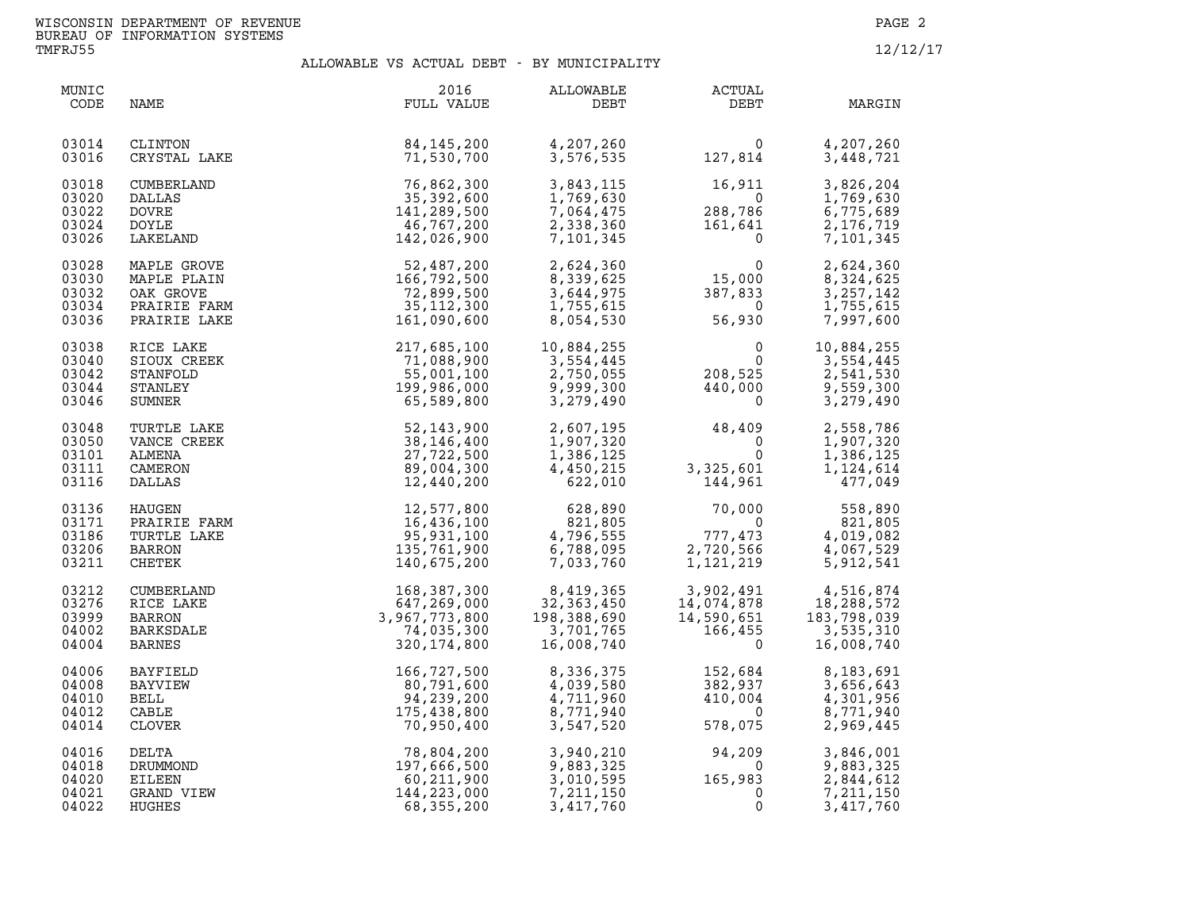| MUNIC<br>CODE                             | NAME                                                                    | 2016<br>FULL VALUE                                                                          | ALLOWABLE<br>DEBT                                                   | ACTUAL<br>DEBT                                                                                                                                      | MARGIN                                                          |
|-------------------------------------------|-------------------------------------------------------------------------|---------------------------------------------------------------------------------------------|---------------------------------------------------------------------|-----------------------------------------------------------------------------------------------------------------------------------------------------|-----------------------------------------------------------------|
| 03014<br>03016                            | CLINTON<br>CRYSTAL LAKE                                                 | $\overline{B}$ and $\overline{B}$ are the set of $\overline{B}$<br>84,145,200<br>71,530,700 | 4,207,260<br>3,576,535                                              | $\begin{array}{c} 0 \\ 127,814 \end{array}$                                                                                                         | 4,207,260<br>3,448,721                                          |
| 03018<br>03020<br>03022<br>03024<br>03026 | CUMBERLAND<br>DALLAS<br>DOVRE<br>DOYLE<br>LAKELAND                      | 76,862,300<br>35,392,600<br>141,289,500<br>46,767,200<br>142,026,900                        | 3,843,115<br>1,769,630<br>7,064,475<br>2,338,360<br>7,101,345       | 16,911<br>$288,786$<br>161,641<br>0                                                                                                                 | 3,826,204<br>1,769,630<br>6,775,689<br>2,176,719<br>7,101,345   |
| 03028<br>03030<br>03032<br>03034<br>03036 | MAPLE GROVE<br>MAPLE PLAIN<br>OAK GROVE<br>PRAIRIE FARM<br>PRAIRIE LAKE | 52,487,200<br>166,792,500<br>72,899,500<br>35,112,300<br>161,090,600                        |                                                                     | 2,624,360<br>8,339,625<br>3,644,975<br>1,755,615<br>8,054,530<br>56,930                                                                             | 2,624,360<br>8,324,625<br>3, 257, 142<br>1,755,615<br>7,997,600 |
| 03038<br>03040<br>03042<br>03044<br>03046 | RICE LAKE<br>SIOUX CREEK<br>STANFOLD<br>STANLEY<br>SUMNER               | 217,685,100<br>71,088,900<br>55,001,100<br>199,986,000<br>65,589,800                        | 10,884,255<br>3,554,445<br>2,750,055<br>9,999,300<br>3,279,490      | $\begin{smallmatrix}&&&0\0&&&0\208,525\440,000\0\end{smallmatrix}$                                                                                  | 10,884,255<br>3,554,445<br>2,541,530<br>9,559,300<br>3,279,490  |
| 03048<br>03050<br>03101<br>03111<br>03116 | TURTLE LAKE<br>VANCE CREEK<br>ALMENA<br>CAMERON<br>DALLAS               | 52, 143, 900<br>38, 146, 400<br>27,722,500<br>89,004,300<br>12,440,200                      | 2,607,195<br>1,907,320<br>1,386,125<br>4,450,215<br>622,010         | $48,409$<br>0<br>0<br>3,325,601<br>3, 325, 601<br>144, 961                                                                                          | 2,558,786<br>1,907,320<br>1,386,125<br>1,124,614<br>477,049     |
| 03136<br>03171<br>03186<br>03206<br>03211 | HAUGEN<br>PRAIRIE FARM<br>TURTLE LAKE<br>BARRON<br>CHETEK               | 12,577,800<br>16,436,100<br>95,931,100<br>135,761,900<br>140,675,200                        | 628,890<br>821,805<br>4,796,555<br>6,788,095<br>7,033,760           | 70,000<br>$\overline{0}$<br>$\begin{array}{c} 2, \\ 1, \end{array}$<br>777,473<br>2,720,566<br>1,121,219                                            | 558,890<br>821,805<br>4,019,082<br>4,067,529<br>5,912,541       |
| 03212<br>03276<br>03999<br>04002<br>04004 | CUMBERLAND<br>RICE LAKE<br><b>BARRON</b><br>BARKSDALE<br><b>BARNES</b>  | 168,387,300<br>647,269,000<br>3,967,773,800<br>74,035,300<br>320, 174, 800                  | 8,419,365<br>32, 363, 450<br>198,388,690<br>3,701,765<br>16,008,740 | $\begin{array}{cc} 3,902,491 & 4,516,874 \ 14,074,878 & 18,288,572 \ 14,590,651 & 183,798,039 \ 166,455 & 3,535,310 \ 0 & 16,008,740 \ \end{array}$ |                                                                 |
| 04006<br>04008<br>04010<br>04012<br>04014 | BAYFIELD<br>BAYVIEW<br>BELL<br>CABLE<br>CLOVER                          | 166,727,500<br>80,791,600<br>94,239,200<br>175,438,800<br>70,950,400                        | 8,336,375<br>4,039,580<br>4,711,960<br>8,771,940<br>3,547,520       | 152,684<br>382,937<br>410,004<br>$\overline{0}$<br>578,075                                                                                          | 8,183,691<br>3,656,643<br>4,301,956<br>8,771,940<br>2,969,445   |
| 04016<br>04018<br>04020<br>04021<br>04022 | DELTA<br>DRUMMOND<br>EILEEN<br>GRAND VIEW<br>HUGHES                     | 78,804,200<br>197,666,500<br>60,211,900<br>144,223,000<br>68,355,200                        | 3,940,210<br>9,883,325<br>3,010,595<br>7,211,150<br>3,417,760       | $94, 209$<br>$165, 983$<br>$0$<br>$0$<br>$\overline{0}$                                                                                             | 3,846,001<br>9,883,325<br>2,844,612<br>7,211,150<br>3,417,760   |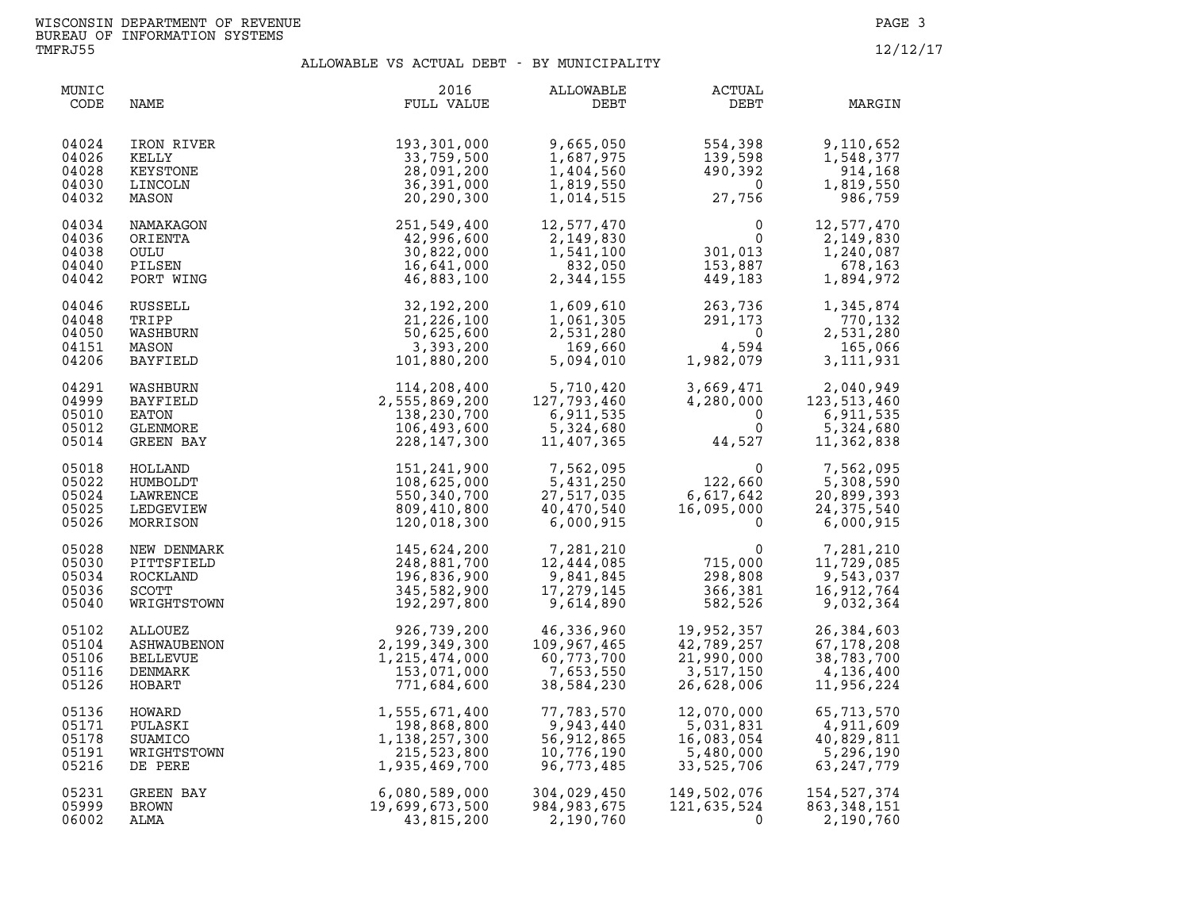| MUNIC<br>CODE                             | NAME                                                           | 2016<br>FULL VALUE                                                               | ALLOWABLE<br>DEBT                                                  | <b>ACTUAL</b><br>DEBT                                                            | MARGIN                                                             |
|-------------------------------------------|----------------------------------------------------------------|----------------------------------------------------------------------------------|--------------------------------------------------------------------|----------------------------------------------------------------------------------|--------------------------------------------------------------------|
| 04024<br>04026<br>04028<br>04030<br>04032 | IRON RIVER<br>KELLY<br>KEYSTONE<br>LINCOLN<br>MASON            | 193,301,000<br>33,759,500<br>28,091,200<br>36,391,000<br>20,290,300              | 9,665,050<br>1,687,975<br>1,404,560<br>1,819,550<br>1,014,515      | 554,398<br>139,598<br>139,598<br>490,392<br>27,756<br>27,756                     | 9,110,652<br>1,548,377<br>914,168<br>1,819,550<br>986,759          |
| 04034<br>04036<br>04038<br>04040<br>04042 | NAMAKAGON<br>ORIENTA<br>OULU<br>PILSEN<br>PORT WING            | 251,549,400<br>42,996,600<br>30,822,000<br>16,641,000<br>46,883,100              | 12,577,470<br>2,149,830<br>1,541,100<br>832,050<br>2,344,155       | $\begin{array}{c} 0 \\ 0 \\ 301,013 \\ 153,887 \end{array}$<br>449,183           | 12,577,470<br>2,149,830<br>1,240,087<br>678,163<br>1,894,972       |
| 04046<br>04048<br>04050<br>04151<br>04206 | RUSSELL<br>TRIPP<br>WASHBURN<br>MASON<br><b>BAYFIELD</b>       | 32,192,200<br>21,226,100<br>50,625,600<br>3,393,200<br>101,880,200               | 1,609,610<br>1,061,305<br>2,531,280<br>169,660<br>5,094,010        | 263,736<br>291.173<br>291,173<br>$\overline{0}$<br>4,594<br>4,594<br>1,982,079   | 1,345,874<br>770,132<br>2,531,280<br>165,066<br>3, 111, 931        |
| 04291<br>04999<br>05010<br>05012<br>05014 | WASHBURN<br>BAYFIELD<br>EATON<br>GLENMORE<br>GREEN BAY         | 114,208,400<br>2,555,869,200<br>138,230,700<br>106,493,600<br>228,147,300        | 5,710,420<br>127,793,460<br>6,911,535<br>5,324,680<br>11,407,365   | $3,669,471$<br>$4,280,000$ 1:<br>$\overline{0}$<br>$\overline{0}$<br>0<br>44,527 | 2,040,949<br>123, 513, 460<br>6,911,535<br>5,324,680<br>11,362,838 |
| 05018<br>05022<br>05024<br>05025<br>05026 | HOLLAND<br>HUMBOLDT<br>LAWRENCE<br>LEDGEVIEW<br>MORRISON       | 151,241,900<br>108,625,000<br>550,340,700<br>809,410,800<br>120,018,300          | 7,562,095<br>5,431,250<br>27,517,035<br>40,470,540<br>6,000,915    | 44, 52<br>0<br>122, 660<br>5.617, 642<br>5.000<br>6, 617, 642                    | 7,562,095<br>5,308,590<br>20,899,393<br>24, 375, 540<br>6,000,915  |
| 05028<br>05030<br>05034<br>05036<br>05040 | NEW DENMARK<br>PITTSFIELD<br>ROCKLAND<br>SCOTT<br>WRIGHTSTOWN  | 145,624,200<br>248,881,700<br>196,836,900<br>345,582,900<br>192,297,800          | 7,281,210<br>12,444,085<br>9,841,845<br>17,279,145<br>9,614,890    | $\mathbf 0$<br>715,000<br>298,808<br>366,381<br>582,526<br>582,526               | 7,281,210<br>11,729,085<br>9,543,037<br>16,912,764<br>9,032,364    |
| 05102<br>05104<br>05106<br>05116<br>05126 | ALLOUEZ<br>ASHWAUBENON<br><b>BELLEVUE</b><br>DENMARK<br>HOBART | 926,739,200<br>2,199,349,300<br>1,215,474,000<br>153,071,000<br>771,684,600      | 46,336,960<br>109,967,465<br>60,773,700<br>7,653,550<br>38,584,230 | 19,952,357<br>42,789,257<br>21,990,000<br>3,517,150<br>26,628,006                | 26,384,603<br>67,178,208<br>38,783,700<br>4,136,400<br>11,956,224  |
| 05136<br>05171<br>05178<br>05191<br>05216 | HOWARD<br>PULASKI<br>SUAMICO<br>WRIGHTSTOWN<br>DE PERE         | 1,555,671,400<br>198,868,800<br>1, 138, 257, 300<br>215,523,800<br>1,935,469,700 | 77,783,570<br>9,943,440<br>56,912,865<br>10,776,190<br>96,773,485  | 12,070,000<br>5,031,831<br>16,083,054<br>5,480,000<br>33,525,706                 | 65,713,570<br>4,911,609<br>40,829,811<br>5,296,190<br>63, 247, 779 |
| 05231<br>05999<br>06002                   | GREEN BAY<br>BROWN<br>ALMA                                     | 6,080,589,000<br>19,699,673,500<br>43,815,200                                    | 304,029,450<br>984,983,675<br>2,190,760                            | 149,502,076<br>121,635,524<br>$\Omega$                                           | 154, 527, 374<br>863, 348, 151<br>2,190,760                        |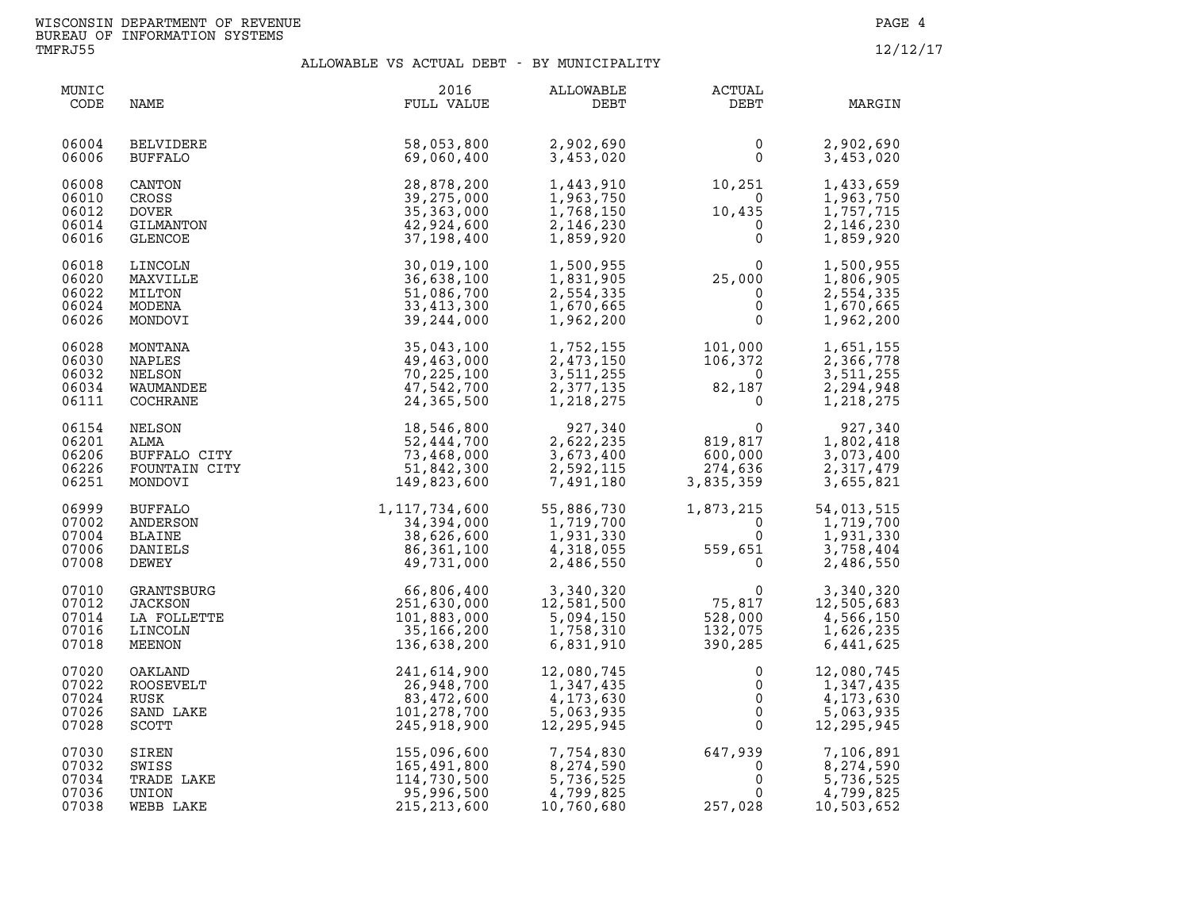| MUNIC<br>CODE                             | NAME                                                                                                                                           | 2016<br>FULL VALUE                                                       | ALLOWABLE<br>DEBT                                               | ACTUAL<br>DEBT                                                                    | MARGIN                                                                     |
|-------------------------------------------|------------------------------------------------------------------------------------------------------------------------------------------------|--------------------------------------------------------------------------|-----------------------------------------------------------------|-----------------------------------------------------------------------------------|----------------------------------------------------------------------------|
| 06004<br>06006                            | <b>BELVIDERE</b><br>BUFFALO                                                                                                                    | 58,053,800<br>69,060,400                                                 | 2,902,690<br>3,453,020                                          | 0<br>$\mathbf 0$                                                                  | 2,902,690<br>3,453,020                                                     |
| 06008<br>06010<br>06012<br>06014<br>06016 | <b>CANTON</b><br>CROSS<br><b>DOVER</b><br>GILMANTON<br>GLENCOE                                                                                 | 28,878,200<br>39,275,000<br>35,363,000<br>42,924,600<br>37,198,400       | 1,443,910<br>1,963,750<br>1,768,150<br>2,146,230<br>1,859,920   | 10,251<br>$10,435$<br>0<br>0                                                      | 1,433,659<br>1,963,750<br>1,757,715<br>2,146,230<br>1,859,920              |
| 06018<br>06020<br>06022<br>06024<br>06026 | LINCOLN<br>MAXVILLE<br>MILTON<br>MODENA                                                                                                        | 30,019,100<br>36,638,100<br>51,086,700<br>33,413,300<br>39, 244, 000     | 1,500,955<br>1,831,905<br>2,554,335<br>1,670,665<br>1,962,200   | $25,000$<br>0<br>0<br>0<br>0                                                      | 1,500,955<br>1,806,905<br>2,554,335<br>1,670,665<br>1,962,200              |
| 06028<br>06030<br>06032<br>06034<br>06111 | ODENA<br>CONTANA<br>10NTANA<br>1APLES<br>NELSON<br>WAUMANDEE<br>COCHRANE<br>NELSON<br>ALMA<br>ALMA<br>BUFFALO CITY<br>FOUNTAIN CITY<br>MONDOVI | 35,043,100<br>49,463,000<br>70,225,100<br>47,542,700<br>24,365,500       | 1,752,155<br>2,473,150<br>3,511,255<br>2,377,135<br>1,218,275   | $101,000$<br>$106,372$<br>$82,187$<br>$0$                                         | 1,651,155<br>2,366,778<br>3,511,255<br>2,294,948<br>1,218,275              |
| 06154<br>06201<br>06206<br>06226<br>06251 |                                                                                                                                                | 18,546,800<br>52,444,700<br>73,468,000<br>51,842,300<br>149,823,600      | 927,340<br>2,622,235<br>3,673,400<br>2,592,115<br>7,491,180     | $\begin{array}{c} 0 \\ 819,817 \\ 600,000 \\ 274,636 \\ \end{array}$<br>3,835,359 | 927,340<br>1,802,418<br>3,073,400<br>2,317,479<br>3,655,821                |
| 06999<br>07002<br>07004<br>07006<br>07008 | <b>BUFFALO</b><br>ANDERSON<br><b>BLAINE</b><br>DANIELS<br>DEWEY                                                                                | 1, 117, 734, 600<br>34,394,000<br>38,626,600<br>86,361,100<br>49,731,000 | 55,886,730<br>1,719,700<br>1,931,330<br>4,318,055<br>2,486,550  | 1,873,215<br>$\overline{0}$<br>$\frac{1}{559}$<br>$\mathbf 0$<br>559,651          | 54,013,515<br>1,719,700<br>1,931,330<br>;51<br>0<br>3,758,404<br>2,486,550 |
| 07010<br>07012<br>07014<br>07016<br>07018 | GRANTSBURG<br><b>JACKSON</b><br>LA FOLLETTE<br>LINCOLN<br>MEENON                                                                               | 66,806,400<br>251,630,000<br>101,883,000<br>35,166,200<br>136,638,200    | 3,340,320<br>12,581,500<br>5,094,150<br>1,758,310<br>6,831,910  | 0<br>75,817<br>528.000<br>132,075<br>390,285                                      | 3,340,320<br>12,505,683<br>4,566,150<br>1,626,235<br>6,441,625             |
| 07020<br>07022<br>07024<br>07026<br>07028 | OAKLAND<br>ROOSEVELT<br>RUSK<br>SAND LAKE<br>SCOTT                                                                                             | 241,614,900<br>26,948,700<br>83,472,600<br>101,278,700<br>245,918,900    | 12,080,745<br>1,347,435<br>4,173,630<br>5,063,935<br>12,295,945 | 0<br>$\mathsf{O}$<br>$\mathsf{O}$<br>$\overline{0}$<br>$\mathbf{0}$               | 12,080,745<br>1,347,435<br>4,173,630<br>5,063,935<br>12, 295, 945          |
| 07030<br>07032<br>07034<br>07036<br>07038 | SIREN<br>SWISS<br>TRADE LAKE<br>UNION<br>WEBB LAKE                                                                                             | 155,096,600<br>165,491,800<br>114,730,500<br>95,996,500<br>215, 213, 600 | 7,754,830<br>8,274,590<br>5,736,525<br>4,799,825<br>10,760,680  | 647,939<br>$\mathbf 0$<br>0<br>$\mathbf 0$<br>257,028                             | 7,106,891<br>8,274,590<br>5,736,525<br>4,799,825<br>10,503,652             |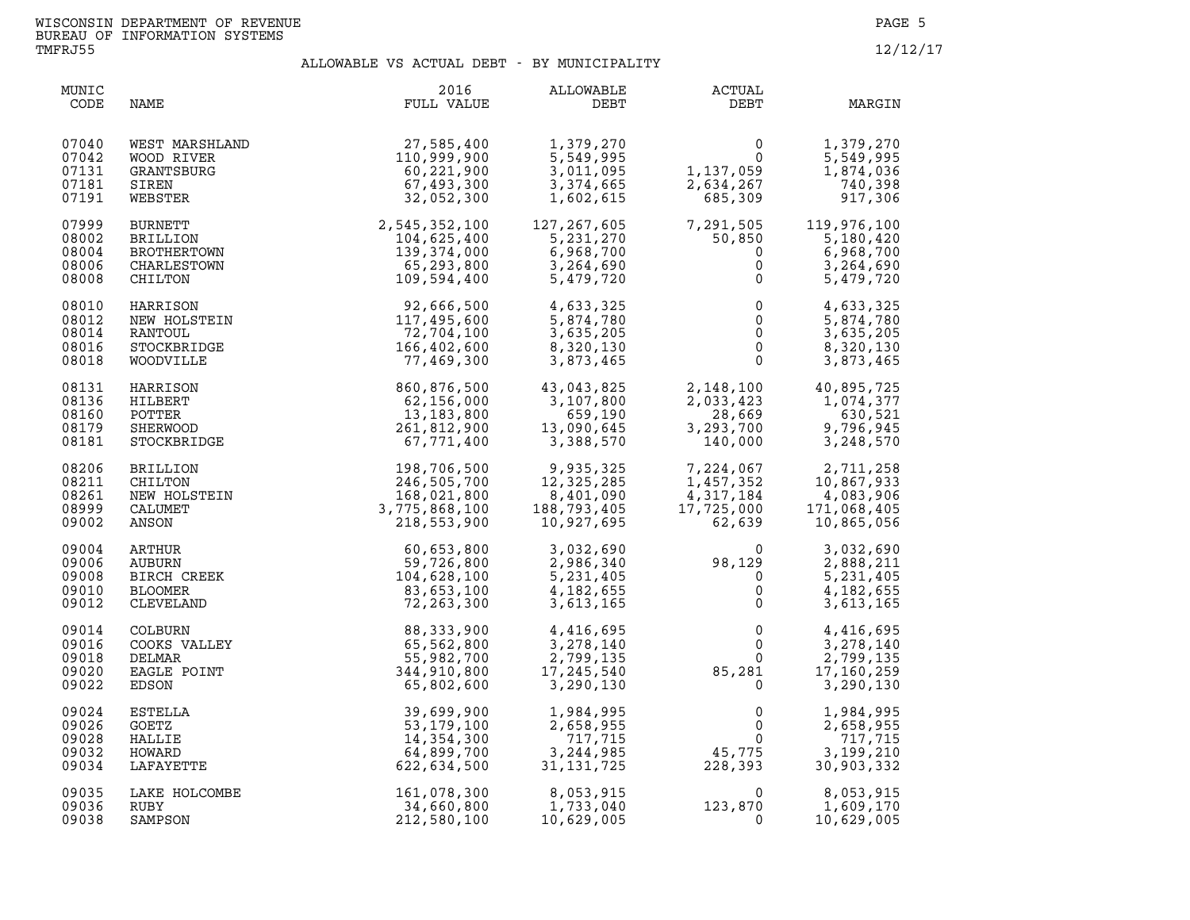| MUNIC<br>CODE                             | <b>NAME</b>                                                                                                        | 2016<br>FULL VALUE                                                                                      | ALLOWABLE<br>WABLE<br>DEBT                                                    | ACTUAL<br>DEBT                                                                                                                                                                                                                                                                            | MARGIN                                                         |
|-------------------------------------------|--------------------------------------------------------------------------------------------------------------------|---------------------------------------------------------------------------------------------------------|-------------------------------------------------------------------------------|-------------------------------------------------------------------------------------------------------------------------------------------------------------------------------------------------------------------------------------------------------------------------------------------|----------------------------------------------------------------|
| 07040<br>07042<br>07131<br>07181<br>07191 | WEST MARSHLAND<br>WOOD RIVER<br>GRANTSBURG<br>SIREN<br>WEBSTER                                                     | 27,585,400<br>110,999,900<br>60,221,900<br>67,493,300<br>32,052,300                                     | 1,379,270<br>5,549,995<br>3,011,095<br>3,374,665<br>1,602,615                 | $\begin{smallmatrix}&&&0\0&1&137&059\2&634&267\685&309\end{smallmatrix}$                                                                                                                                                                                                                  | 1,379,270<br>5,549,995<br>1,874,036<br>740,398<br>917,306      |
| 07999<br>08002<br>08004<br>08006<br>08008 | BURNETT<br><b>BRILLION</b><br>BROTHERTOWN<br>CHARLESTOWN<br>CHILTON                                                | $32,052,300$<br>$2,545,352,100$<br>$104,625,400$<br>$139,374,000$<br>N<br>$65,293,800$<br>$109,594,400$ |                                                                               | $\begin{array}{cccc} 127, 267, 605 & 7, 291, 505 & 119, 976, 100 \\ 5, 231, 270 & 50, 850 & 5, 180, 420 \\ 6, 968, 700 & 0 & 6, 968, 700 \\ 3, 264, 690 & 0 & 3, 264, 690 \\ 5, 479, 720 & 0 & 5, 479, 720 \end{array}$                                                                   |                                                                |
| 08010<br>08012<br>08014<br>08016<br>08018 | HARRISON<br>NEW HOLSTEIN<br>RANTOUL<br>STOCKBRIDGE<br>WOODVILLE                                                    | 92,666,500<br>117,495,600<br>72,704,100<br>166,402,600<br>77,469,300                                    | 4,633,325<br>5,874,780<br>3,635,205<br>8,320,130<br>3,873,465                 | $\begin{array}{c} 0 \\ 0 \\ 0 \\ 0 \\ 0 \end{array}$                                                                                                                                                                                                                                      | 4,633,325<br>5,874,780<br>3,635,205<br>8,320,130<br>3,873,465  |
| 08131<br>08136<br>08160<br>08179<br>08181 | HARRISON<br>HILBERT<br>POTTER<br>SHERWOOD<br>STOCKBRIDGE                                                           | 860,876,500<br>62,156,000<br>13,183,800<br>261,812,900<br>67,771,400                                    | 43,043,825<br>3,107,800<br>659,190<br>13,090,645<br>3,388,570                 | 2,148,100<br>2,033,423<br>28,669<br>3,293,700<br>140,000                                                                                                                                                                                                                                  | 40,895,725<br>1,074,377<br>630,521<br>9,796,945<br>3,248,570   |
| 08206<br>08211<br>08261<br>08999<br>09002 |                                                                                                                    | 198,706,500<br>246,505,700<br>168,021,800<br>3,775,868,100<br>218,553,900                               | 9,935,325<br>$12,325,25$<br>8,401,090<br>703.405<br>188,793,4∪5<br>10,927,695 | $\begin{array}{cccc} 7,224\,,067 & \quad & 2,711\,,258 \\ 1,457\,,352 & \quad & 10,867\,,933 \\ 4,317\,,184 & \quad & 4\,,083\,,906 \\ 17,725\,,000 & \quad & 171\,,068\,,405 \\ 62\,,639 & \quad & 10\,,865\,,056 \end{array}$<br>$1,457,352$<br>$4,317,184$<br>$17,725,000$<br>$62,639$ |                                                                |
| 09004<br>09006<br>09008<br>09010<br>09012 | BRILLION<br>CHILTON<br>NEW HOLSTEIN<br>CALUMET<br>ANSON<br>ARTHUR<br>AUBURN<br>BIRCH CREEK<br>BLOOMER<br>CLEVELAND | 60,653,800<br>59,726,800<br>104,628,100<br>83,653,100<br>72,263,300                                     |                                                                               | $3,032,690$<br>$2,986,340$<br>$5,231,405$<br>$4,182,655$<br>$3,613,165$<br>$0$                                                                                                                                                                                                            | 3,032,690<br>2,888,211<br>5,231,405<br>4,182,655<br>3,613,165  |
| 09014<br>09016<br>09018<br>09020<br>09022 | CODKS VALLEY<br>DELMAR<br>DELMAR<br>EAGLE POINT<br>EDSON<br>-                                                      | 88, 333, 900<br>65,562,800<br>55,982,700<br>344,910,800<br>65,802,600                                   | 4,416,695<br>3,278,140<br>2,799,135<br>17,245,540<br>3,290,130                |                                                                                                                                                                                                                                                                                           | 4,416,695<br>3,278,140<br>2,799,135<br>17,160,259<br>3,290,130 |
| 09024<br>09026<br>09028<br>09032<br>09034 | ESTELLA<br>GOETZ<br>HALLIE<br>HOWARD<br>LAFAYETTE                                                                  | 39,699,900<br>53,179,100<br>14,354,300<br>64,899,700<br>622,634,500                                     | 1,984,995<br>2,658,955<br>717,715<br>3,244,985<br>31,131,725                  | $\mathbf 0$<br>$\overline{0}$<br>$\overline{0}$<br>45,775<br>228,393                                                                                                                                                                                                                      | 1,984,995<br>2,658,955<br>717,715<br>3,199,210<br>30,903,332   |
| 09035<br>09036<br>09038                   | LAKE HOLCOMBE<br>RUBY<br>SAMPSON                                                                                   | 161,078,300<br>34,660,800<br>212,580,100                                                                | 8,053,915<br>1,733,040<br>10,629,005                                          | $\overline{0}$<br>123,870<br>0                                                                                                                                                                                                                                                            | 8,053,915<br>1,609,170<br>10,629,005                           |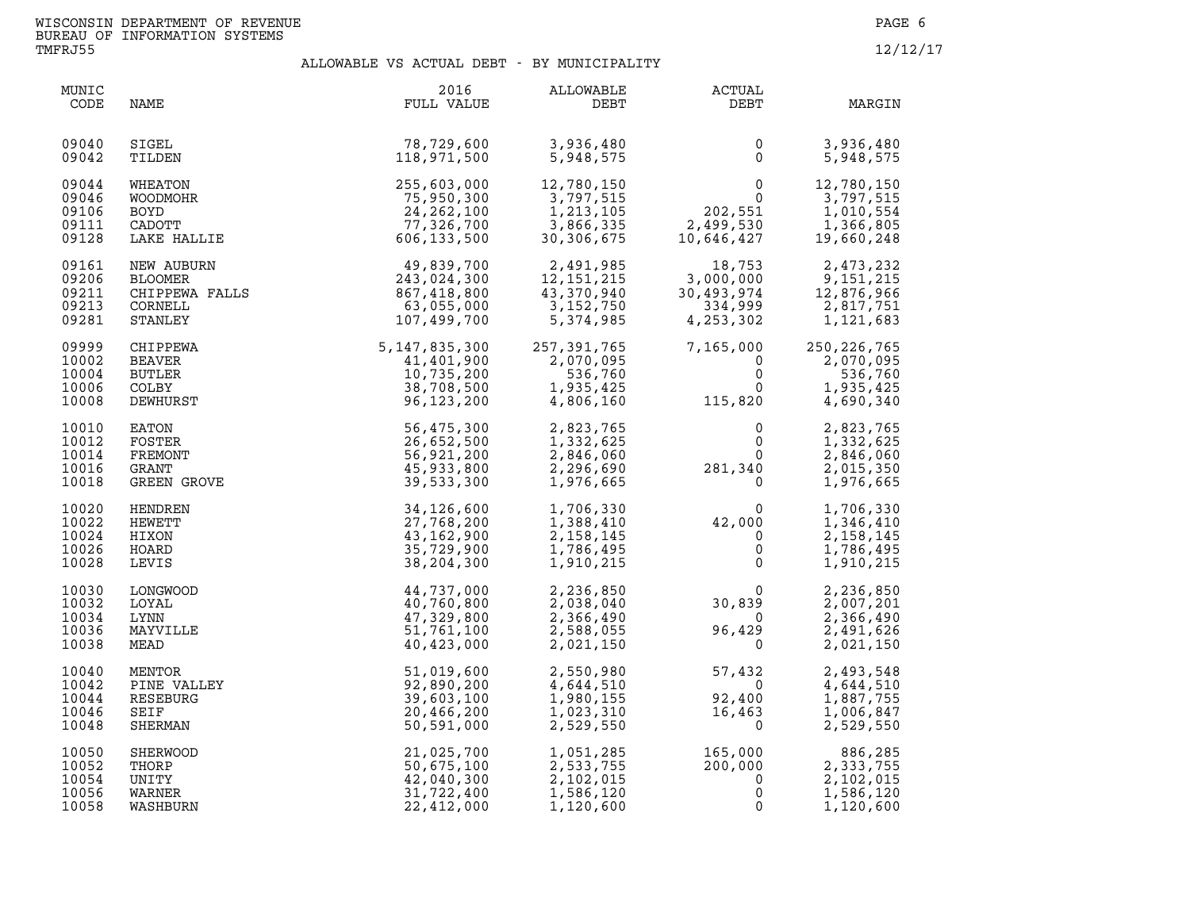| MUNIC<br>CODE                             | NAME                                                                    | 2016<br>FULL VALUE                                                       | ALLOWABLE<br>DEBT                                                 | <b>ACTUAL</b><br>DEBT                                                                           | MARGIN                                                          |
|-------------------------------------------|-------------------------------------------------------------------------|--------------------------------------------------------------------------|-------------------------------------------------------------------|-------------------------------------------------------------------------------------------------|-----------------------------------------------------------------|
| 09040                                     | SIGEL                                                                   | 78,729,600                                                               | 3,936,480                                                         | 0                                                                                               | 3,936,480                                                       |
| 09042                                     | TILDEN                                                                  | 118,971,500                                                              | 5,948,575                                                         | $\mathbf{0}$                                                                                    | 5,948,575                                                       |
| 09044                                     | WHEATON                                                                 | 255,603,000                                                              | 12,780,150                                                        | $\mathbf{0}$                                                                                    | 12,780,150                                                      |
| 09046                                     | WOODMOHR                                                                | 75,950,300                                                               | 3,797,515                                                         | $\Omega$                                                                                        | 3,797,515                                                       |
| 09106                                     | <b>BOYD</b>                                                             | 24, 262, 100                                                             | 1, 213, 105                                                       | 202,551                                                                                         | 1,010,554                                                       |
| 09111                                     | CADOTT                                                                  | 77,326,700                                                               | 3,866,335                                                         | 2,499,530                                                                                       | 1,366,805                                                       |
| 09128                                     | LAKE HALLIE                                                             | 606, 133, 500                                                            | 30,306,675                                                        | 10,646,427                                                                                      | 19,660,248                                                      |
| 09161<br>09206<br>09211<br>09213<br>09281 | NEW AUBURN<br>BLOOMER<br>CHIPPEWA FALLS<br>COBNET<br>CORNELL<br>STANLEY | 49,839,700<br>243,024,300<br>867,418,800<br>63,055,000<br>107,499,700    | 2,491,985<br>12, 151, 215<br>43,370,940<br>3,152,750<br>5,374,985 | 18,753<br>3,000,000<br>30,493,974<br>334,999<br>4, 253, 302                                     | 2,473,232<br>9,151,215<br>12,876,966<br>2,817,751<br>1,121,683  |
| 09999<br>10002<br>10004<br>10006<br>10008 | CHIPPEWA<br>BEAVER<br><b>BUTLER</b><br><b>COLBY</b><br>DEWHURST         | 5, 147, 835, 300<br>41,401,900<br>10,735,200<br>38,708,500<br>96,123,200 | 257, 391, 765<br>2,070,095<br>536,760<br>1,935,425<br>4,806,160   | 7,165,000<br>0<br>$\mathbf 0$<br>$\Omega$<br>115,820                                            | 250, 226, 765<br>2,070,095<br>536,760<br>1,935,425<br>4,690,340 |
| 10010                                     | EATON                                                                   | 56,475,300                                                               | 2,823,765                                                         | 0                                                                                               | 2,823,765                                                       |
| 10012                                     | FOSTER                                                                  | 26,652,500                                                               | 1,332,625                                                         | 0                                                                                               | 1,332,625                                                       |
| 10014                                     | FREMONT                                                                 | 56,921,200                                                               | 2,846,060                                                         | $\Omega$                                                                                        | 2,846,060                                                       |
| 10016                                     | GRANT                                                                   | 45,933,800                                                               | 2,296,690                                                         | 281,340                                                                                         | 2,015,350                                                       |
| 10018                                     | GREEN GROVE                                                             | 39,533,300                                                               | 1,976,665                                                         | $\overline{0}$                                                                                  | 1,976,665                                                       |
| 10020<br>10022<br>10024<br>10026<br>10028 | HENDREN<br>HEWETT<br>HIXON<br>HOARD<br>LEVIS                            | 34,126,600<br>27,768,200<br>43,162,900<br>35,729,900<br>38,204,300       | 1,706,330<br>1,388,410<br>2, 158, 145<br>1,786,495<br>1,910,215   | $\begin{smallmatrix}&&&0\cr 4\,2\, ,\,0\,0\,0\,&\quad\quad 0\end{smallmatrix}$<br>0<br>$\Omega$ | 1,706,330<br>1,346,410<br>2, 158, 145<br>1,786,495<br>1,910,215 |
| 10030                                     | LONGWOOD                                                                | 44,737,000                                                               | 2,236,850                                                         | $\Omega$                                                                                        | 2,236,850                                                       |
| 10032                                     | LOYAL                                                                   | 40,760,800                                                               | 2,038,040                                                         | 30,839                                                                                          | 2,007,201                                                       |
| 10034                                     | LYNN                                                                    | 47,329,800                                                               | 2,366,490                                                         | $\Omega$                                                                                        | 2,366,490                                                       |
| 10036                                     | MAYVILLE                                                                | 51,761,100                                                               | 2,588,055                                                         | 96,429                                                                                          | 2,491,626                                                       |
| 10038                                     | MEAD                                                                    | 40,423,000                                                               | 2,021,150                                                         | $\mathbf{0}$                                                                                    | 2,021,150                                                       |
| 10040                                     | MENTOR                                                                  | 51,019,600                                                               | 2,550,980                                                         | 57,432                                                                                          | 2,493,548                                                       |
| 10042                                     | PINE VALLEY                                                             | 92,890,200                                                               | 4,644,510                                                         | $\mathbf 0$                                                                                     | 4,644,510                                                       |
| 10044                                     | RESEBURG                                                                | 39,603,100                                                               | 1,980,155                                                         | 92,400                                                                                          | 1,887,755                                                       |
| 10046                                     | SEIF                                                                    | 20,466,200                                                               | 1,023,310                                                         | 16,463                                                                                          | 1,006,847                                                       |
| 10048                                     | <b>SHERMAN</b>                                                          | 50,591,000                                                               | 2,529,550                                                         | $\Omega$                                                                                        | 2,529,550                                                       |
| 10050                                     | SHERWOOD                                                                | 21,025,700                                                               | 1,051,285                                                         | 165,000                                                                                         | 886,285                                                         |
| 10052                                     | THORP                                                                   | 50,675,100                                                               | 2,533,755                                                         | 200,000                                                                                         | 2,333,755                                                       |
| 10054                                     | UNITY                                                                   | 42,040,300                                                               | 2,102,015                                                         | $\Omega$                                                                                        | 2,102,015                                                       |
| 10056                                     | WARNER                                                                  | 31,722,400                                                               | 1,586,120                                                         | 0                                                                                               | 1,586,120                                                       |
| 10058                                     | WASHBURN                                                                | 22,412,000                                                               | 1,120,600                                                         | $\mathbf 0$                                                                                     | 1,120,600                                                       |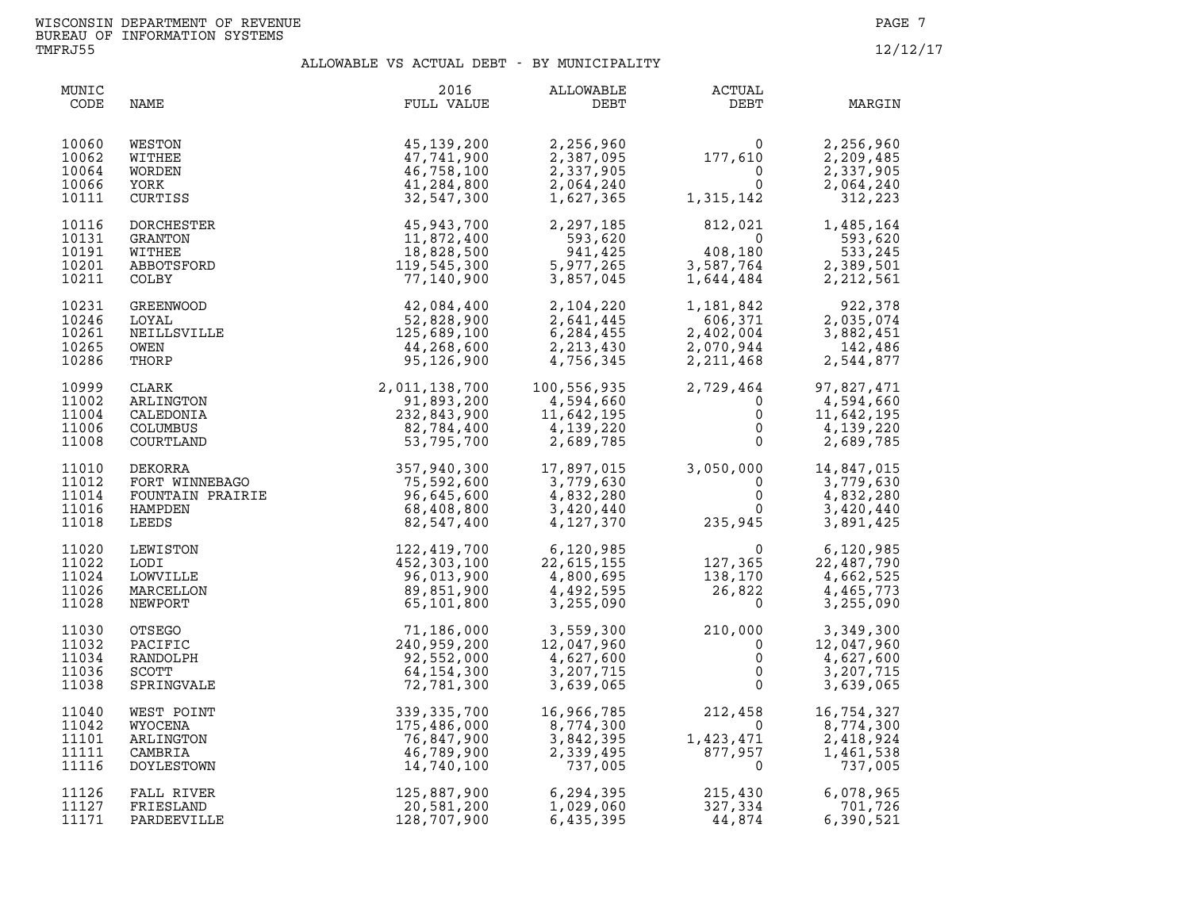| MUNIC<br>CODE                             | NAME                                                                                                                                                                                                                                                                                                                                | 2016<br>FULL VALUE                                                   | ALLOWABLE<br>DEBT                    | <b>ACTUAL</b><br>DEBT                                                                                                                                                       | MARGIN                                                                                                                                                          |
|-------------------------------------------|-------------------------------------------------------------------------------------------------------------------------------------------------------------------------------------------------------------------------------------------------------------------------------------------------------------------------------------|----------------------------------------------------------------------|--------------------------------------|-----------------------------------------------------------------------------------------------------------------------------------------------------------------------------|-----------------------------------------------------------------------------------------------------------------------------------------------------------------|
| 10060<br>10062<br>10064<br>10066<br>10111 | WESTON<br>WITHEE<br>WORDEN<br>YORK<br>CURTISS                                                                                                                                                                                                                                                                                       | 45, 139, 200<br>47,741,900<br>46,758,100<br>41,284,800<br>32,547,300 |                                      | $2,256,960$<br>$2,387,095$<br>$2,337,905$<br>$2,064,240$<br>$1,627,365$<br>$1,315,142$                                                                                      | 2,256,960<br>2,209,485<br>2,337,905<br>2,064,240<br>312,223                                                                                                     |
| 10116<br>10131<br>10191<br>10201<br>10211 | DORCHESTER<br>$\begin{tabular}{l c c c} & $2,297$, & $2,297$, & $2,297$, & $2,297$, & $2,297$, & $2,297$, & $2,297$, & $2,297$, & $2,297$, & $2,297$, & $2,297$, & $2,297$, & $2,297$, & $2,297$, & $2,297$, & $2,297$, & $2,297$, & $2,297$, & $2,297$, & $2,297$, & $2,297$, & $2,297$, & $2,297$, & $2,297$, & $2,297$, & $2,29$ | 45,943,700                                                           | 2,297,185                            | $\begin{array}{cccc} -3.620 & 0.764 & 0.764 \\ -4.08 & 0.180 & 0.764 \\ -3.587 & 0.764 & 0.764 \\ 1.644 & 0.484 & 0.2842 \\ -2.212 & 0.561 \end{array}$                     | 812,021 1,485,164                                                                                                                                               |
| 10231<br>10246<br>10261<br>10265<br>10286 |                                                                                                                                                                                                                                                                                                                                     |                                                                      |                                      |                                                                                                                                                                             | $\begin{array}{cccc} 1,181,842 & & 922,378 \\ 606,371 & & 2,035,074 \\ 2,402,004 & & 3,882,451 \\ 2,070,944 & & 142,486 \\ 2,211,468 & & 2,544,877 \end{array}$ |
| 10999<br>11002<br>11004<br>11006<br>11008 |                                                                                                                                                                                                                                                                                                                                     |                                                                      |                                      |                                                                                                                                                                             |                                                                                                                                                                 |
| 11010<br>11012<br>11014<br>11016<br>11018 |                                                                                                                                                                                                                                                                                                                                     |                                                                      |                                      |                                                                                                                                                                             |                                                                                                                                                                 |
| 11020<br>11022<br>11024<br>11026<br>11028 |                                                                                                                                                                                                                                                                                                                                     |                                                                      |                                      |                                                                                                                                                                             |                                                                                                                                                                 |
| 11030<br>11032<br>11034<br>11036<br>11038 |                                                                                                                                                                                                                                                                                                                                     |                                                                      |                                      |                                                                                                                                                                             |                                                                                                                                                                 |
| 11040<br>11042<br>11101<br>11111<br>11116 | WYOCENA<br>ARLINGTON<br>CAMBRIA<br>DOYLESTOWN                                                                                                                                                                                                                                                                                       | 175,486,000<br>76,847,900<br>46,789,900<br>14,740,100                | 16,966,785<br>8,774,300<br>3,743,305 | $16,966,785$<br>$8,774,300$<br>$3,842,395$<br>$2,339,495$<br>$737,005$<br>2.339,495<br>$2,339,495$<br>$877,957$                                                             | 8,774,300<br>2,418,924<br>1,461,538<br>737,005                                                                                                                  |
| 11126<br>11127<br>11171                   | FALL RIVER<br>FRIESLAND<br>PARDEEVILLE                                                                                                                                                                                                                                                                                              | 125,887,900<br>20,581,200<br>128,707,900                             |                                      | $6,294,395$<br>$1,029,060$<br>$6,435,395$<br>$6,435,395$<br>$6,435,395$<br>$6,435,395$<br>$6,435,395$<br>$6,435,395$<br>$6,435,395$<br>$6,435,395$<br>$6,435,395$<br>44,874 | 6,078,965<br>701,726<br>6,390,521                                                                                                                               |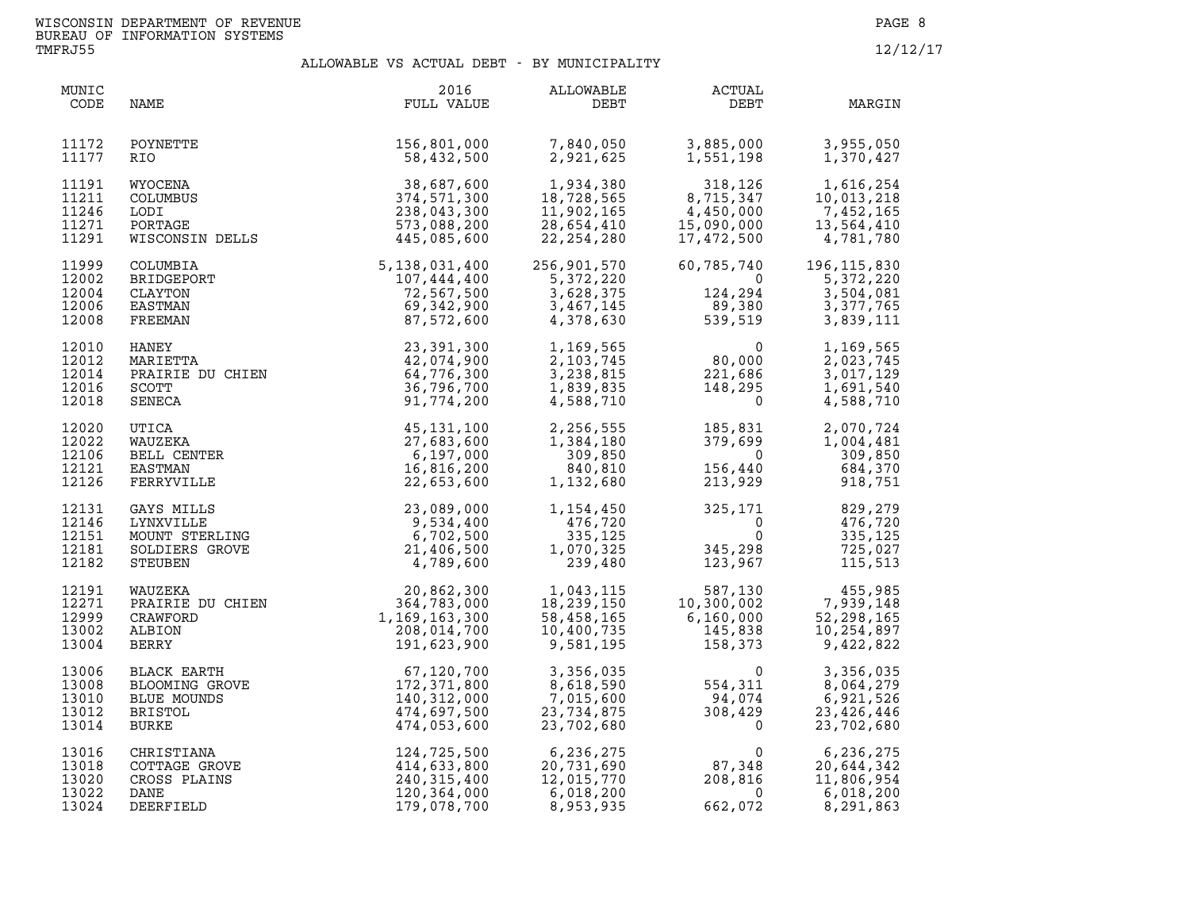| MUNIC<br>CODE                             | NAME                                                                    | 2016<br>FULL VALUE                                                                                                                                               | ALLOWABLE<br>DEBT                                                                                                             | ACTUAL<br>DEBT                                                                                                                 | MARGIN                                                                                                                                    |
|-------------------------------------------|-------------------------------------------------------------------------|------------------------------------------------------------------------------------------------------------------------------------------------------------------|-------------------------------------------------------------------------------------------------------------------------------|--------------------------------------------------------------------------------------------------------------------------------|-------------------------------------------------------------------------------------------------------------------------------------------|
| 11172<br>11177                            | POYNETTE<br>RIO.                                                        | 156,801,000<br>58,432,500                                                                                                                                        | 7,840,050<br>2,921,625                                                                                                        | 3,885,000<br>1,551,198                                                                                                         | 3,955,050<br>1,370,427                                                                                                                    |
| 11191<br>11211<br>11246<br>11271<br>11291 | WYOCENA<br>COLUMBUS<br>LODI<br>PORTAGE<br>WISCONSIN DELLS               | $\begin{array}{r} 38,687,600 \ 374,571,300 \ 238,043,300 \ 573,088,200 \end{array}$ DELLS                                                                        | 1,934,380<br>18,728,565<br>11,902,165<br>28,654,410<br>22,254,280                                                             | 318,126<br>8,715,347<br>4,450,000<br>15,090,000<br>15,090,000<br>17,472,500                                                    | $\begin{array}{cccc} 318,126 & & 1,616,254 \\ 8,715,347 & & 10,013,218 \\ 4,450,000 & & 7,452,165 \end{array}$<br>13,564,410<br>4,781,780 |
| 11999<br>12002<br>12004<br>12006<br>12008 | COLUMBIA<br>BRIDGEPORT<br>CLAYTON<br>EASTMAN<br>FREEMAN                 | 5,138,031,400<br>107,444,400<br>72,567,500<br>69,342,900<br>87,572,600                                                                                           | 256,901,570<br>5,372,220<br>$\begin{array}{cc} 5,372,220 \\ 5,372,220 \\ 3,628,375 \\ 3,467,145 \\ 4,378,630 \end{array}$ 124 | 60,785,740<br>$\begin{array}{c} 0 \\ 124,294 \\ 89,380 \\ 539,519 \end{array}$                                                 | 196, 115, 830<br>5,372,220<br>3,504,081<br>3,377,765<br>3,839,111                                                                         |
| 12010<br>12012<br>12014<br>12016<br>12018 | HANEY<br>MARIETTA<br>PRAIRIE DU CHIEN<br>SCOTT<br>SENECA                | 23,391,300<br>42,074,900<br>64,776,300<br>36,796,700<br>91,774,200                                                                                               | 1,169,565<br>2,103,745<br>3,238,815<br>1,839,835<br>4,588,710                                                                 | $\begin{smallmatrix}&&&0\0&80,000\221,686\148,295\0\end{smallmatrix}$                                                          | 1,169,565<br>2,023,745<br>3,017,129<br>1,691,540<br>4,588,710                                                                             |
| 12020<br>12022<br>12106<br>12121<br>12126 | UTICA<br>WAUZEKA<br>BELL CENTER<br>EASTMAN<br>FERRYVILLE                | 45, 131, 100<br>27,683,600<br>6,197,000<br>16,816,200<br>22,653,600                                                                                              | 2,256,555<br>1,384,180<br>309,850<br>840,810<br>1,132,680                                                                     | $185, 831$<br>$379, 699$<br>$0$<br>$156, 440$<br>$213, 929$                                                                    | 2,070,724<br>1,004,481<br>309,850<br>918,751                                                                                              |
| 12131<br>12146<br>12151<br>12181<br>12182 | GAYS MILLS<br>LYNXVILLE<br>MOUNT STERLING<br>SOLDIERS GROVE<br>STEUBEN  | 23,089,000<br>9,534,400<br>9,534,400<br>6,702,500<br>702,500<br>789,600<br>4,789,600                                                                             | 1,154,450<br>476,720<br>335, 125<br>1,070,325<br>239,480                                                                      | $325,$<br>$345,$<br>$123,$                                                                                                     | $\begin{array}{cc} 325,171 & 829,279 \\ 0 & 476,720 \\ 0 & 335,125 \\ 345,298 & 725,027 \\ 123,967 & 115,513 \end{array}$                 |
| 12191<br>12271<br>12999<br>13002<br>13004 | WAUZEKA<br>WAUZEKA<br>PRAIRIE DU CHIEN<br>ALBION<br>BERRY               | 20,862,300<br>364,783,000<br>1,169,163,300<br>208,014,700<br>191,623,900                                                                                         | 1,043,115<br>18,239,150<br>58,458,165<br>10,400,735<br>9,581,195                                                              | $587,130$ $455,985$<br>$10,300,002$ $7,939,148$<br>$6,160,000$ $52,298,165$<br>$145,838$ $10,254,897$<br>$158,373$ $9,422,822$ |                                                                                                                                           |
| 13006<br>13008<br>13010<br>13012<br>13014 |                                                                         | BLACK EARTH<br>BLOOMING GROVE<br>BLOOMING GROVE<br>BLUE MOUNDS<br>BRISTOL<br>BRISTOL<br>BURKE<br>AT4,697,500<br>BURKE<br>AT4,053,600<br>AURISTON:<br>AT4,053,600 | 3,356,035<br>8,618,590<br>7,015,600<br>23,734,875<br>23,702,680                                                               | $\begin{array}{c} 0 \\ 554,311 \\ 94,074 \\ 308,429 \\ 0 \end{array}$                                                          | 3,356,035<br>8,064,279<br>6,921,526<br>23, 426, 446<br>23,702,680                                                                         |
| 13016<br>13018<br>13020<br>13022<br>13024 | CHRISTIANA<br>COTTAGE GROVE<br>CROSS PLAINS<br><b>DANE</b><br>DEERFIELD | $\begin{array}{r} 124, 725, 500 \\ 414, 633, 800 \\ 240, 315, 400 \\ 120, 364, 000 \\ 179, 078, 700 \end{array}$                                                 | 6,236,275<br>20,731,690<br>12,015,770<br>6,018,200<br>8,953,935                                                               | $\begin{array}{c} 0 \\ 87,348 \\ 208,816 \\ 0 \\ 662,072 \end{array}$<br>662,072                                               | 6,236,275<br>20,644,342<br>11,806,954<br>6,018,200<br>8,291,863                                                                           |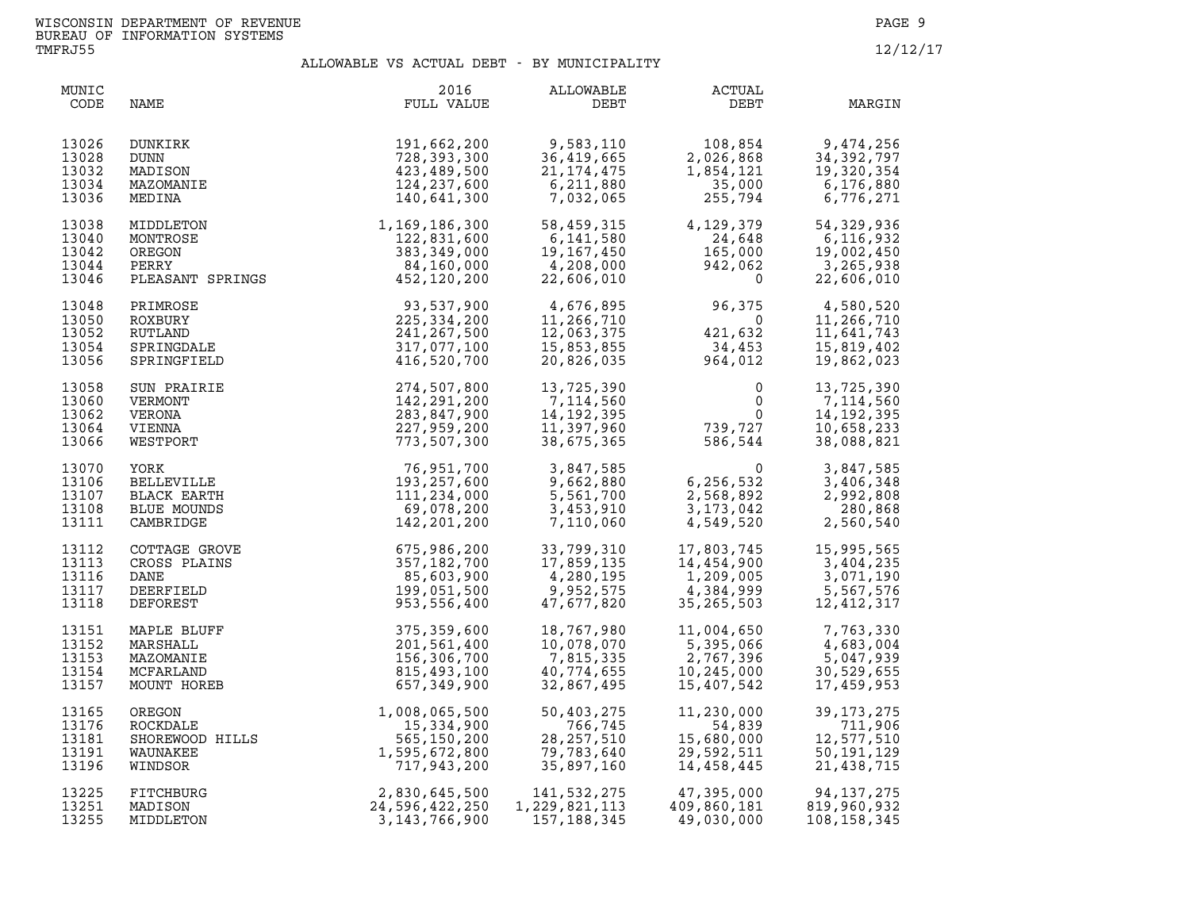| MUNIC<br>CODE                             | NAME                                                                   | 2016<br>FULL VALUE                                                                                                        | ALLOWABLE<br>DEBT                                                                                            | ACTUAL<br>DEBT                                                                                                                                      | MARGIN                                                                            |
|-------------------------------------------|------------------------------------------------------------------------|---------------------------------------------------------------------------------------------------------------------------|--------------------------------------------------------------------------------------------------------------|-----------------------------------------------------------------------------------------------------------------------------------------------------|-----------------------------------------------------------------------------------|
| 13026<br>13028<br>13032<br>13034<br>13036 | DUNKIRK<br>DUNN<br>MADISON<br>MAZOMANIE<br>MEDINA                      | 191,662,200<br>728,393,300<br>423,489,500<br>124,237,600<br>140,641,300                                                   | 9,583,110<br>36,419,665<br>$\begin{array}{c} 20,419,665 \\ 21,174,475 \\ 6,211,880 \\ 7,022,067 \end{array}$ | $108,854$<br>$2,026,868$<br>$1,854,121$<br>$35,000$<br>$255,794$                                                                                    | 108,854<br>2,026,868<br>34,392,797<br>1,854,121<br>35,000<br>255,794<br>6,776,271 |
| 13038<br>13040<br>13042<br>13044<br>13046 |                                                                        | MIDDLETON 1,169,186,300<br>MONTROSE 122,831,600<br>OREGON 383,349,000<br>PERRY 84,160,000<br>PLEASANT SPRINGS 452,120,200 | 58,459,315<br>6,141,580<br>19,167,450<br>4,208,000<br>22,606,010                                             | $4,129,379$<br>$24,648$<br>$165,000$<br>$942,062$<br>0<br>24,648<br>165,000<br>942,062<br>0                                                         | 54, 329, 936<br>6,116,932<br>19,002,450<br>3,265,938<br>22,606,010                |
| 13048<br>13050<br>13052<br>13054<br>13056 | PRIMROSE<br>ROXBURY<br>RUTLAND<br>SPRINGDALE<br>SPRINGFIELD            | $93,537,900$<br>$225,334,200$<br>$241,267,500$<br>$317,077,100$<br>$416,520,700$                                          | 4,676,895<br>11,266,710<br>12,063,375<br>15,853,855<br>20,826,035                                            | $96,375$<br>$0$<br>$421,632$<br>$34,453$<br>$964,012$                                                                                               | 4,580,520<br>11,266,710<br>11,641,743<br>15,819,402<br>19,862,023                 |
| 13058<br>13060<br>13062<br>13064<br>13066 | SUN PRAIRIE<br>VERMONT<br>VERONA<br>VIENNA<br>WESTPORT                 | 274,507,800<br>142,291,200<br>283,847,900<br>227,959,200<br>773,507,300                                                   | 13,725,390<br>7,114,560<br>14, 192, 395<br>11,397,960<br>38,675,365                                          | $\begin{smallmatrix}&&&0\\&&&0\\0&&&&0\\739,727\\586,544\end{smallmatrix}$                                                                          | 13,725,390<br>7,114,560<br>14, 192, 395<br>10,658,233<br>38,088,821               |
| 13070<br>13106<br>13107<br>13108<br>13111 | YORK<br>BELLEVILLE<br>BLACK EARTH<br>BLUE MOUNDS<br>CAMBRIDGE          | 76,951,700<br>193,257,600<br>111,234,000<br>69,078,200<br>142,201,200                                                     | 3,847,585<br>9,662,880<br>5,561,700<br>3,453,910<br>7,110,060                                                | 0<br>6,256,532<br>2,568,892<br>3,173,042<br>4,549,520                                                                                               | 3,847,585<br>3,406,348<br>2,992,808<br>280,868<br>2,560,540                       |
| 13112<br>13113<br>13116<br>13117<br>13118 | COTTAGE GROVE<br>CROSS PLAINS<br>DANE<br>DEERFIELD<br>DEFOREST         | 975,986,200<br>WE 675,986,200<br>357,182,700<br>85,603,900<br>199,051,500<br>953,556,400                                  | 33,799,310<br>17,859,135<br>4,280,195<br>9,952,575<br>47,677,820                                             | 17,803,745    15,995,565<br>$14,454,900$<br>$14,454,900$<br>$1,209,005$<br>$2,365,999$<br>$3,671,190$<br>$4,384,999$<br>$5,567,576$<br>$12,412,317$ |                                                                                   |
| 13151<br>13152<br>13153<br>13154<br>13157 | MAPLE BLUFF<br>MARSHALL<br>MAZOMANIE<br>MCFARLAND<br>MOUNT HOREB       | 375,359,600<br>201,561,400<br>156,306,700<br>815,493,100<br>657,349,900                                                   | 18,767,980<br>10,078,070<br>7,815,335<br>40,774,655<br>32,867,495                                            | 11,004,650<br>5,395,066<br>2,767,396<br>10,245,000<br>15,407,542                                                                                    | 7,763,330<br>4,683,004<br>5,047,939<br>30,529,655<br>17,459,953                   |
| 13165<br>13176<br>13181<br>13191<br>13196 | UKEGON<br>ROCKDALE<br>SHOREWOOD HILLS<br>WAUNAKEE<br>WINDSOR<br>RITSOR | 1,008,065,500<br>15,334,900<br>565,150,200<br>1,595,672,800<br>717,943,200                                                | 50,403,275<br>766,745<br>28, 257, 510<br>79,783,640<br>35,897,160                                            | 11,230,000<br>11,230,000<br>54,839<br>15,680,000<br>29,592,511<br>14,458,445                                                                        | 39, 173, 275<br>711,906<br>12,577,510<br>50,191,129<br>21,438,715                 |
| 13225<br>13251<br>13255                   | FITCHBURG<br>MADISON<br>MIDDLETON                                      | 2,830,645,500<br>24,596,422,250<br>3,143,766,900                                                                          | 141,532,275<br>1,229,821,113<br>157,188,345                                                                  | $47,395,000$<br>$409,860,181$<br>49,030,000                                                                                                         | 94, 137, 275<br>819,960,932<br>108, 158, 345                                      |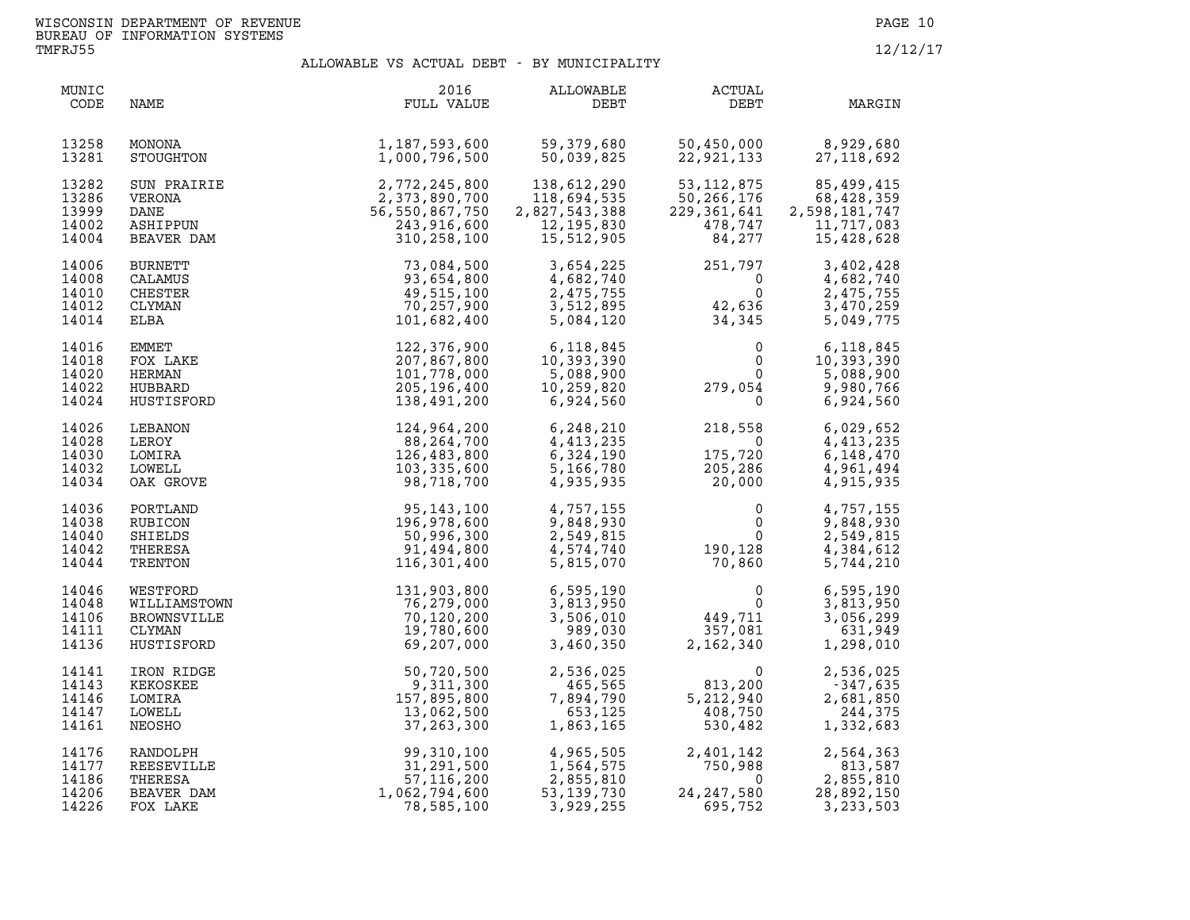| MUNIC<br>CODE                             | NAME                                                            | 2016<br>FULL VALUE                                                                   | ALLOWABLE<br>DEBT                                                                                                                                                                                                              | ACTUAL<br>DEBT                                                                                                                    | MARGIN                                                                |
|-------------------------------------------|-----------------------------------------------------------------|--------------------------------------------------------------------------------------|--------------------------------------------------------------------------------------------------------------------------------------------------------------------------------------------------------------------------------|-----------------------------------------------------------------------------------------------------------------------------------|-----------------------------------------------------------------------|
| 13258<br>13281                            | MONONA<br>STOUGHTON                                             | 1,187,593,600<br>1,000,796,500                                                       | 59,379,680<br>50,039,825                                                                                                                                                                                                       |                                                                                                                                   | $50,450,000$ $8,929,680$<br>$22,921,133$ $27,118,692$                 |
| 13282<br>13286<br>13999<br>14002<br>14004 | SUN PRAIRIE<br>VERONA<br>DANE<br>ASHIPPUN<br>BEAVER DAM         | IE<br>2,772,245,800<br>2,373,890,700<br>56,550,867,750<br>243,916,600<br>310,258,100 | 138,612,290<br>118,694,535<br>2,827,543,388<br>12,195,830<br>15,512,905<br>15,512,905                                                                                                                                          | 53, 112, 875<br>$50,266,176$<br>$229,361,641$<br>$478,747$<br>$84,277$<br>229,361,641<br>478,747<br>84,277                        | 85,499,415<br>68,428,359<br>2,598,181,747<br>11,717,083<br>15,428,628 |
| 14006<br>14008<br>14010<br>14012<br>14014 | <b>BURNETT</b><br>CALAMUS<br>CHESTER<br>CLYMAN<br>ELBA          |                                                                                      | $\begin{array}{llllll} 73, 084, 500 & 3, 654, 225 & 251, 797 \\ 93, 654, 800 & 4, 682, 740 & 0 \\ 49, 515, 100 & 2, 475, 755 & 0 \\ 70, 257, 900 & 3, 512, 895 & 42, 636 \\ 101, 682, 400 & 5, 084, 120 & 34, 345 \end{array}$ |                                                                                                                                   | 3,402,428<br>4,682,740<br>2,475,755<br>3,470,259<br>5,049,775         |
| 14016<br>14018<br>14020<br>14022<br>14024 | EMMET<br>FOX LAKE<br>HERMAN<br>HUBBARD<br>HUSTISFORD            | 122,376,900<br>207,867,800<br>101,778,000<br>205,196,400<br>138,491,200              | 6,118,845<br>10,393,390<br>5,088,900<br>10,259,820<br>6,924,560                                                                                                                                                                | $\begin{array}{ccc} & 0 & 6,118,845 \\ & 0 & 10,393,390 \\ & 0 & 5,088,900 \\ 279,054 & 9,980,766 \\ & 0 & 6,924,560 \end{array}$ |                                                                       |
| 14026<br>14028<br>14030<br>14032<br>14034 | LEBANON<br>LEROY<br>LOMIRA<br>LOWELL<br>OAK GROVE               | 124,964,200<br>88,264,700<br>126,483,800<br>103,335,600<br>98,718,700                | 6,248,210<br>4,413,235<br>6,324,190<br>5,166,780<br>4,935,935                                                                                                                                                                  | $218,558$<br>$0$<br>$175,720$<br>$205,286$<br>$20,000$                                                                            | 6,029,652<br>4,413,235<br>6,148,470<br>4,961,494<br>4,915,935         |
| 14036<br>14038<br>14040<br>14042<br>14044 | PORTLAND<br>RUBICON<br>SHIELDS<br>THERESA<br>TRENTON            | 95, 143, 100<br>196, 978, 600<br>50, 996, 300<br>91, 494, 800<br>116, 301, 400       |                                                                                                                                                                                                                                | $\begin{array}{llll} 4,757,155 & 0 \\ 9,848,930 & 0 \\ 2,549,815 & 0 \\ 4,574,740 & 190,128 \\ 5,815,070 & 70,860 \end{array}$    | 4,757,155<br>9,848,930<br>2,549,815<br>4,384,612<br>5,744,210         |
| 14046<br>14048<br>14106<br>14111<br>14136 | WESTFORD<br>WILLIAMSTOWN<br>BROWNSVILLE<br>CLYMAN<br>HUSTISFORD | 131,903,800<br>76,279,000<br>70,120,200<br>19,780,600<br>69,207,000                  |                                                                                                                                                                                                                                | $6,595,190$<br>$3,813,950$<br>$3,506,010$<br>$989,030$<br>$3,460,350$<br>$2,162,340$                                              | 6,595,190<br>3,813,950<br>3,056,299<br>631,949<br>1,298,010           |
| 14141<br>14143<br>14146<br>14147<br>14161 | IRON RIDGE<br>KEKOSKEE<br>LOMIRA<br>LOWELL<br>NEOSHO            | 50,720,500<br>9,311,300<br>157,895,800<br>13,062,500<br>37, 263, 300                 |                                                                                                                                                                                                                                | 2,536,025<br>465,565<br>7,894,790<br>5,212,940<br>653,125<br>1,863,165<br>530,482                                                 | 2,536,025<br>$-347,635$<br>2,681,850<br>244,375<br>1,332,683          |
| 14176<br>14177<br>14186<br>14206<br>14226 | RANDOLPH<br>REESEVILLE<br>THERESA<br>BEAVER DAM<br>FOX LAKE     | 99,310,100<br>31,291,500<br>57, 116, 200<br>1,062,794,600<br>78,585,100              | 4,965,505<br>1,564,575<br>2,855,810<br>53,139,730<br>3,030,730<br>$4,965,505$ 2,<br>1,564,575<br>2,855,810<br>3,929,255                                                                                                        | 2,401,142<br>750,988<br>0<br>24, 247, 580<br>695,752                                                                              | 2,564,363<br>813,587<br>2,855,810<br>28,892,150<br>3, 233, 503        |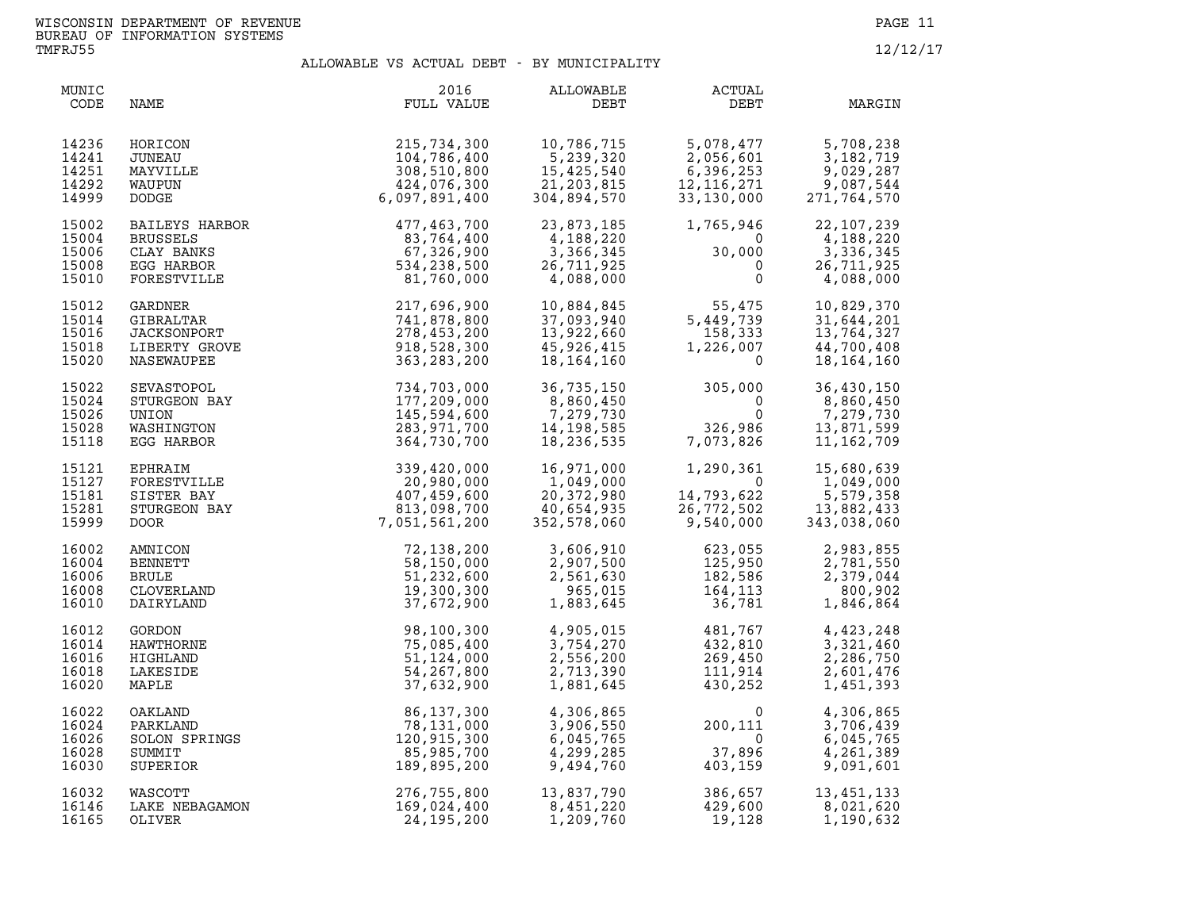| MUNIC<br>CODE                             | NAME                                                                       | 2016<br>FULL VALUE                                                                                     | ALLOWABLE<br>DEBT                                                                | ACTUAL<br>DEBT                                                                                  | MARGIN                                                               |
|-------------------------------------------|----------------------------------------------------------------------------|--------------------------------------------------------------------------------------------------------|----------------------------------------------------------------------------------|-------------------------------------------------------------------------------------------------|----------------------------------------------------------------------|
| 14236<br>14241<br>14251<br>14292<br>14999 | HORICON<br>JUNEAU<br>MAYVILLE<br>WAUPUN<br>DODGE                           | 215,734,300<br>104,786,400<br>308,510,800<br>424,076,300<br>6,097,891,400                              | 10,786,715<br>10,786,715<br>5,239,320<br>15,425,540<br>21,203,815<br>304,894,570 | $5,078,477$<br>$2,056,601$<br>$6,396,253$<br>$12,116,271$<br>$33,130,000$<br>27                 | 5,708,238<br>3, 182, 719<br>9,029,287<br>9,087,544<br>271,764,570    |
| 15002<br>15004<br>15006<br>15008<br>15010 | BAILEYS HARBOR<br>BRUSSELS<br>CLAY BANKS<br>EGG HARBOR<br>FORESTVILLE      | 477,463,700<br>83,764,400<br>67,326,900<br>534,238,500<br>81,760,000                                   | 23,873,185<br>4,188,220<br>3,366,345<br>26,711,925<br>4,088,000                  | 1,765,946<br>$\overline{0}$<br>$30,000$<br>0<br>$\mathbf 0$                                     | 22, 107, 239<br>4,188,220<br>3,336,345<br>26,711,925<br>4,088,000    |
| 15012<br>15014<br>15016<br>15018<br>15020 | GARDNER<br>GIBRALTAR<br>JACKSONPORT<br>LIBERTY GROVE<br>NASEWAUPEE         | $\begin{array}{c} 217,696,900 \\ 741,878,800 \\ 278,453,200 \\ 918,528,300 \\ 363,283,200 \end{array}$ | 10,884,845<br>37,093,940<br>13,922,660<br>45,926,415<br>18,164,160               | $55,475$<br>5,449,739<br>158,333<br>1,226,007<br>0                                              | 10,829,370<br>31,644,201<br>13,764,327<br>44,700,408<br>18, 164, 160 |
| 15022<br>15024<br>15026<br>15028<br>15118 | SEVASTOPOL<br>STURGEON BAY<br>UNION<br>WASHINGTON<br>EGG HARBOR<br>FPHEATY | 734,703,000<br>177,209,000<br>145,594,600<br>283,971,700<br>364,730,700                                | 36,735,150<br>8,860,450<br>$7,279,730$<br>14,198,585<br>18,236,535               | $305,000$<br>0<br>0<br>0<br>0326,986<br>7,073,826                                               | 36,430,150<br>8,860,450<br>7,279,730<br>13,871,599<br>11, 162, 709   |
| 15121<br>15127<br>15181<br>15281<br>15999 | EPHRAIM<br>FORESTVILLE<br>SISTER BAY<br>STURGEON BAY<br>DOOR 7,            | 339,420,000<br>20,980,000<br>407,459,600<br>813,098,700<br>7,051,561,200                               | 16,971,000<br>1,049,000<br>20,372,980<br>40,654,935<br>352,578,060               | $1,290,361$<br>$14,793,622$<br>$26,772,502$<br>$9,540,000$                                      | 15,680,639<br>1,049,000<br>5,579,358<br>13,882,433<br>343,038,060    |
| 16002<br>16004<br>16006<br>16008<br>16010 |                                                                            | 72,138,200<br>58,150,000<br>51,232,600<br>19,300,300<br>37,672,900                                     | 3,606,910<br>2,907,500<br>2,561,630<br>965,015<br>1,883,645                      | 623,055<br>125,950<br>182,586<br>164,113<br>36,781                                              | 2,983,855<br>2,781,550<br>2,379,044<br>800,902<br>1,846,864          |
| 16012<br>16014<br>16016<br>16018<br>16020 |                                                                            | 98,100,300<br>75,085,400<br>51,124,000<br>54, 267, 800<br>37,632,900                                   | 4,905,015<br>3,754,270<br>2,556,200<br>2,713,390<br>1,881,645                    | $\begin{array}{c} 481, 767\ 432, 810\ 269, 450\ 111, 914\ 430, 252 \end{array}$                 | 4,423,248<br>3,321,460<br>2,286,750<br>2,601,476<br>1,451,393        |
| 16022<br>16024<br>16026<br>16028<br>16030 |                                                                            | 86,137,300<br>78,131,000<br>120,915,300<br>85,985,700<br>189,895,200                                   | 4,306,865<br>3,906,550<br>6,045,765<br>4,299,285<br>9,494,760                    | $\begin{smallmatrix}&&&0\0&111\0&37,896\0&403,159\end{smallmatrix}$                             | 4,306,865<br>3,706,439<br>6,045,765<br>4,261,389<br>9,091,601        |
| 16032<br>16146<br>16165                   | WASCOTT<br>LAKE NEBAGAMON<br>OLIVER                                        | 276,755,800<br>169,024,400<br>24, 195, 200                                                             | 13,837,790<br>8,451,220<br>1,209,760                                             | 386,657         13,451,133<br>429,600           8,021,620<br>19,128         1.190 632<br>19,128 | 1,190,632                                                            |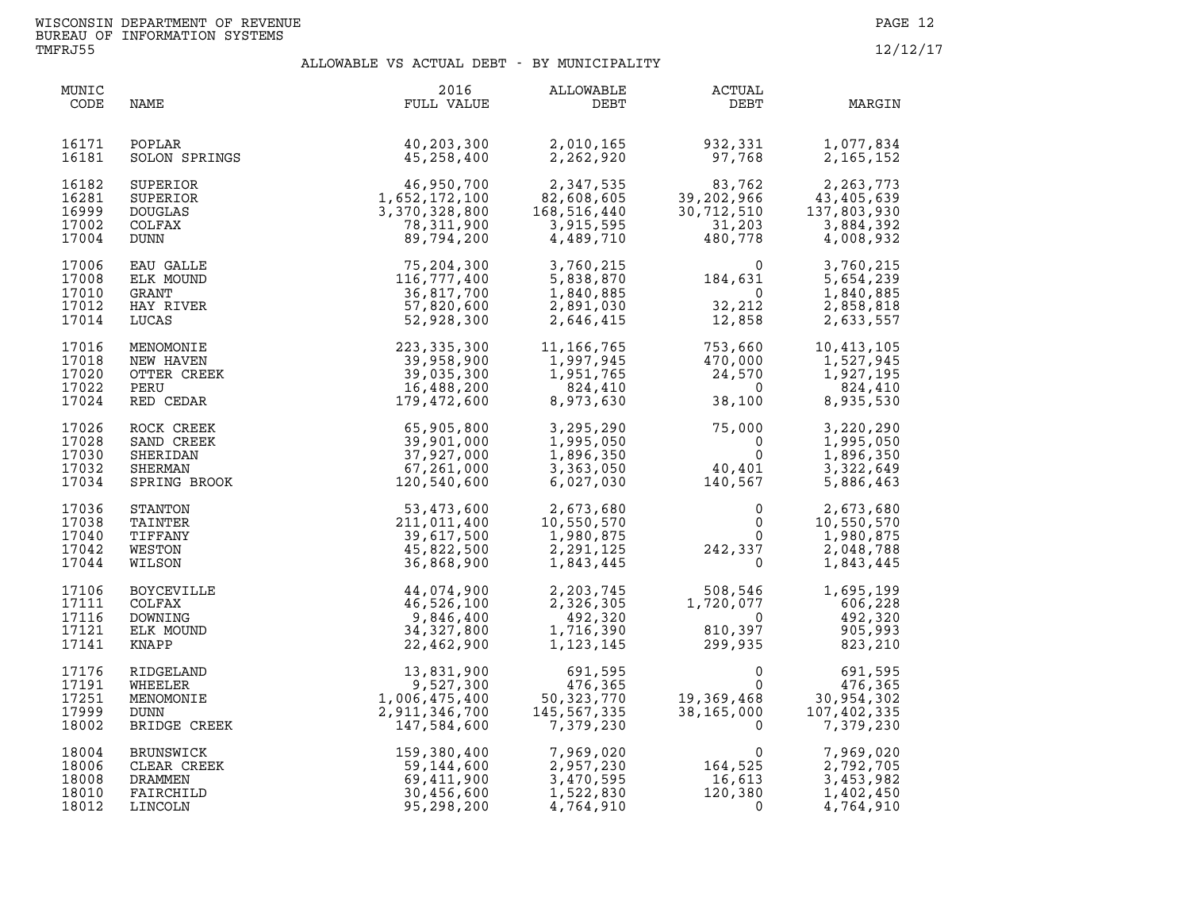| MUNIC<br>CODE                             | NAME                                                         | 2016<br>FULL VALUE                                                                                                       | ALLOWABLE<br>DEBT                                                            | ACTUAL<br>DEBT                                                                                                                                     | MARGIN                                                           |
|-------------------------------------------|--------------------------------------------------------------|--------------------------------------------------------------------------------------------------------------------------|------------------------------------------------------------------------------|----------------------------------------------------------------------------------------------------------------------------------------------------|------------------------------------------------------------------|
| 16171<br>16181                            | POPLAR<br>SOLON SPRINGS                                      | 40,203,300<br>45,258,400                                                                                                 | 2,010,165<br>2,262,920                                                       | 932,331<br>97.768<br>97,768                                                                                                                        | 1,077,834<br>2, 165, 152                                         |
| 16182<br>16281<br>16999<br>17002<br>17004 | SUPERIOR<br>SUPERIOR<br><b>DOUGLAS</b><br>COLFAX<br>DUNN     | $1,652,172,100$<br>$1,652,172,100$<br>$3,370,328,800$<br>$78,311,900$<br>$89,794,995$                                    | 2,347,535<br>82,608,605<br>168,516,440<br>3,915,595<br>4,489,710             | $83,762$<br>39,202,966<br>30,712,510<br>31,203<br>480,778                                                                                          | 2,263,773<br>43,405,639<br>137,803,930<br>3,884,392<br>4,008,932 |
| 17006<br>17008<br>17010<br>17012<br>17014 | <b>EAU GALLE</b><br>ELK MOUND<br>GRANT<br>HAY RIVER<br>LUCAS | 75,204,300<br>116,777,400<br>36,817,700<br>57,820,600<br>52,928,300                                                      |                                                                              | $3,760,215$<br>$5,838,870$<br>$1,840,885$<br>$2,891,030$<br>$2,646,415$<br>$12,858$                                                                | 3,760,215<br>5,654,239<br>1,840,885<br>2,858,818<br>2,633,557    |
| 17016<br>17018<br>17020<br>17022<br>17024 | MENOMONIE<br>NEW HAVEN<br>OTTER CREEK<br>PERU<br>RED CEDAR   | 223, 335, 300<br>39,958,900<br>39,035,300<br>16,488,200<br>179,472,600                                                   | 11, 166, 765<br>11,166,765<br>1,997,945<br>1,951,765<br>824,410<br>8,973,630 | 753,660<br>470,000<br>24,570<br>38,100<br>38,100                                                                                                   | 10,413,105<br>1,527,945<br>1,927,195<br>824,410<br>8,935,530     |
| 17026<br>17028<br>17030<br>17032<br>17034 |                                                              | ROCK CREEK<br>SAND CREEK<br>SHERIDAN 39,901,000<br>SHERIDAN 37,927,000<br>SHERMAN 67,261,000<br>SPRING BROOK 120,540,600 | 3,295,290<br>1,995,050<br>1,896,350<br>3,363,050<br>6,027,030                | $75,000$<br>0<br>0<br>40,401<br>140,567                                                                                                            | 3,220,290<br>1,995,050<br>1,896,350<br>3,322,649<br>5,886,463    |
| 17036<br>17038<br>17040<br>17042<br>17044 | STANTON<br>TAINTER<br>TIFFANY<br>WESTON<br>WILSON            | 53,473,600<br>211,011,400<br>39,617,500<br>45,822,500<br>36,868,900                                                      | 2,673,680<br>10,550,570<br>1,980,875<br>2,291,125<br>1,843,445               | $0$<br>0<br>0<br>242,337<br>0                                                                                                                      | 2,673,680<br>10,550,570<br>1,980,875<br>2,048,788<br>1,843,445   |
| 17106<br>17111<br>17116<br>17121<br>17141 | BOYCEVILLE<br>COLFAX<br>DOWNING<br>ELK MOUND<br>KNAPP        | 44,074,900<br>46,526,100<br>9,846,400<br>34,327,800<br>22,462,900                                                        | 492,320<br>1,716,390<br>1,123,145                                            | 2, 203, 745<br>2, 326, 305<br>4. 326, 305<br>1, 720, 077<br>$\begin{array}{ccc} & 0 & 492,320 \ 810,397 & 905,993 \ 299,935 & 823,210 \end{array}$ | 1,695,199<br>$606, 228$<br>$492, 320$                            |
| 17176<br>17191<br>17251<br>17999<br>18002 | RIDGELAND<br>WHEELER<br>MENOMONIE<br>DUNN<br>BRIDGE CREEK    | $\begin{array}{r} 13,831,900 \\ 9,527,300 \\ 1,006,475,400 \\ 2,911,346,700 \\ 147,584,600 \end{array}$                  | 691,595<br>476,365<br>50,323,770<br>145,567,335<br>7,379,230                 | $\begin{array}{cc} & 0 & 691,595 \ 19,369,468 & 30,954,302 \ 38,165,000 & 7,402,335 \end{array}$                                                   | 691,595<br>7,379,230                                             |
| 18004<br>18006<br>18008<br>18010<br>18012 | BRUNSWICK<br>CLEAR CREEK<br>DRAMMEN<br>FAIRCHILD<br>LINCOLN  | 159,380,400<br>59,144,600<br>69,411,900<br>30,456,600<br>95,298,200<br>95,298,200                                        | 7,969,020<br>2,957,230<br>3,470,595<br>1,522,830<br>4,764,910                | $164,525$<br>164,525<br>16,613<br>120,380                                                                                                          | 7,969,020<br>2,792,705<br>3,453,982<br>1,402,450<br>4,764,910    |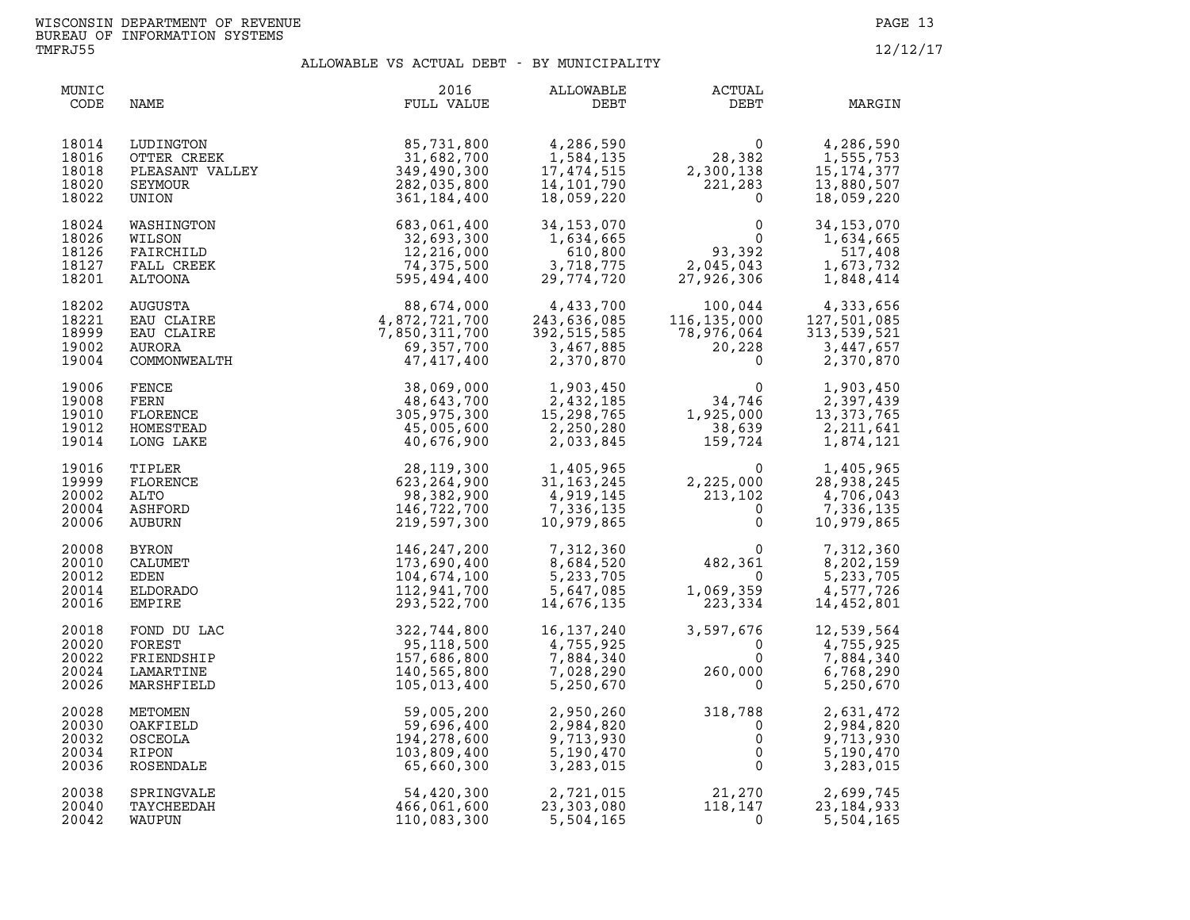| MUNIC<br>CODE                             | NAME                                                            | 2016<br>FULL VALUE                                                                 | ALLOWABLE<br>DEBT                                                                              | <b>ACTUAL</b><br>DEBT                                                                                                                   | MARGIN                                                             |
|-------------------------------------------|-----------------------------------------------------------------|------------------------------------------------------------------------------------|------------------------------------------------------------------------------------------------|-----------------------------------------------------------------------------------------------------------------------------------------|--------------------------------------------------------------------|
| 18014<br>18016<br>18018<br>18020<br>18022 | LUDINGTON<br>OTTER CREEK<br>PLEASANT VALLEY<br>SEYMOUR<br>UNION | 85,731,800<br>31,682,700<br>349,490,300<br>282,035,800<br>361,184,400              | 4,286,590<br>1,584,135<br>17,474,515<br>14, 101, 790<br>18,059,220                             | $\begin{array}{c} 0 \\ 28,382 \end{array}$<br>2,300,138<br>221,283<br>221,283<br>$\Omega$                                               | 4,286,590<br>1,555,753<br>15,174,377<br>13,880,507<br>18,059,220   |
| 18024<br>18026<br>18126<br>18127<br>18201 | WASHINGTON<br>WILSON<br>FAIRCHILD<br>FALL CREEK<br>ALTOONA      | 683,061,400<br>32,693,300<br>12,216,000<br>74,375,500<br>595,494,400               | 34,153,070<br>1,634,665<br>610,800<br>3,718,775<br>29,774,720                                  | $\mathbf 0$<br>$\overline{0}$<br>93,392<br>2,045,043<br>27,926,306                                                                      | 34, 153, 070<br>1,634,665<br>517,408<br>1,673,732<br>1,848,414     |
| 18202<br>18221<br>18999<br>19002<br>19004 | AUGUSTA<br>EAU CLAIRE<br>EAU CLAIRE<br>AURORA<br>COMMONWEALTH   | $88,674,000$<br>$4,872,721,700$<br>$7,850,311,700$<br>$69,357,700$<br>$47,417,400$ | 4,433,700<br>243,636,085<br>$\begin{array}{c} 252,515,535 \ 3,467,885 \ 2,370,870 \end{array}$ | $\begin{array}{c} 100,044 \\ 116,135,000 \\ 78,976,064 \\ 20,228 \\ 0 \end{array} \qquad \begin{array}{c} 1 \\ 1 \\ 3 \\ 2 \end{array}$ | 4,333,656<br>127,501,085<br>313,539,521<br>3,447,657<br>2,370,870  |
| 19006<br>19008<br>19010<br>19012<br>19014 | FENCE<br>FERN<br>FLORENCE<br>HOMESTEAD<br>LONG LAKE             | 38,069,000<br>48,643,700<br>305,975,300<br>45,005,600<br>40,676,900                | 1,903,450<br>2,432,185<br>15,298,765<br>2,250,280<br>2,033,845                                 | 0<br>34,746<br>1,925,000<br>38,639<br>159,724                                                                                           | 1,903,450<br>2,397,439<br>13, 373, 765<br>2, 211, 641<br>1,874,121 |
| 19016<br>19999<br>20002<br>20004<br>20006 | TIPLER<br>FLORENCE<br>ALTO<br>ASHFORD<br>AUBURN                 | 28,119,300<br>623, 264, 900<br>98,382,900<br>146,722,700<br>219,597,300            | 1,405,965<br>31,163,245<br>4 919 145<br>4,919,145<br>7,336,135<br>10,979,865                   | $\Omega$<br>$2,225,000$<br>213,102<br>2,225,000<br>$\mathbf{0}$<br>$\mathbf{0}$                                                         | 1,405,965<br>28,938,245<br>4,706,043<br>7,336,135<br>10,979,865    |
| 20008<br>20010<br>20012<br>20014<br>20016 | <b>BYRON</b><br>CALUMET<br>EDEN<br>ELDORADO<br><b>EMPIRE</b>    | 146,247,200<br>173,690,400<br>104,674,100<br>112,941,700<br>293,522,700            | 7,312,360<br>8,684,520<br>5,233,705<br>5,647,085<br>14,676,135                                 | $\mathbf 0$<br>482,361<br>$\overline{0}$<br>1,069,359<br>223,334                                                                        | 7,312,360<br>8,202,159<br>5,233,705<br>4,577,726<br>14,452,801     |
| 20018<br>20020<br>20022<br>20024<br>20026 | FOND DU LAC<br>FOREST<br>FRIENDSHIP<br>LAMARTINE<br>MARSHFIELD  | 322,744,800<br>95,118,500<br>157,686,800<br>140,565,800<br>105,013,400             | 16,137,240<br>4,755,925<br>7,884,340<br>7,028,290<br>5,250,670                                 | 3,597,676<br>$\Omega$<br>$\mathbf 0$<br>260,000                                                                                         | 12,539,564<br>4,755,925<br>7,884,340<br>6,768,290<br>5,250,670     |
| 20028<br>20030<br>20032<br>20034<br>20036 | METOMEN<br>OAKFIELD<br>OSCEOLA<br>RIPON<br>ROSENDALE            | 59,005,200<br>59,696,400<br>194,278,600<br>103,809,400<br>65,660,300               | 2,950,260<br>2,984,820<br>9,713,930<br>5,190,470<br>3,283,015                                  | $318,788$<br>0<br>0<br>$\mathbf 0$<br>$\mathbf{0}$                                                                                      | 2,631,472<br>2,984,820<br>9,713,930<br>5,190,470<br>3,283,015      |
| 20038<br>20040<br>20042                   | SPRINGVALE<br>TAYCHEEDAH<br>WAUPUN                              | 54,420,300<br>466,061,600<br>110,083,300                                           | 2,721,015<br>23,303,080<br>5,504,165                                                           | 21,270<br>118,147<br>$\mathbf 0$                                                                                                        | 2,699,745<br>23, 184, 933<br>5,504,165                             |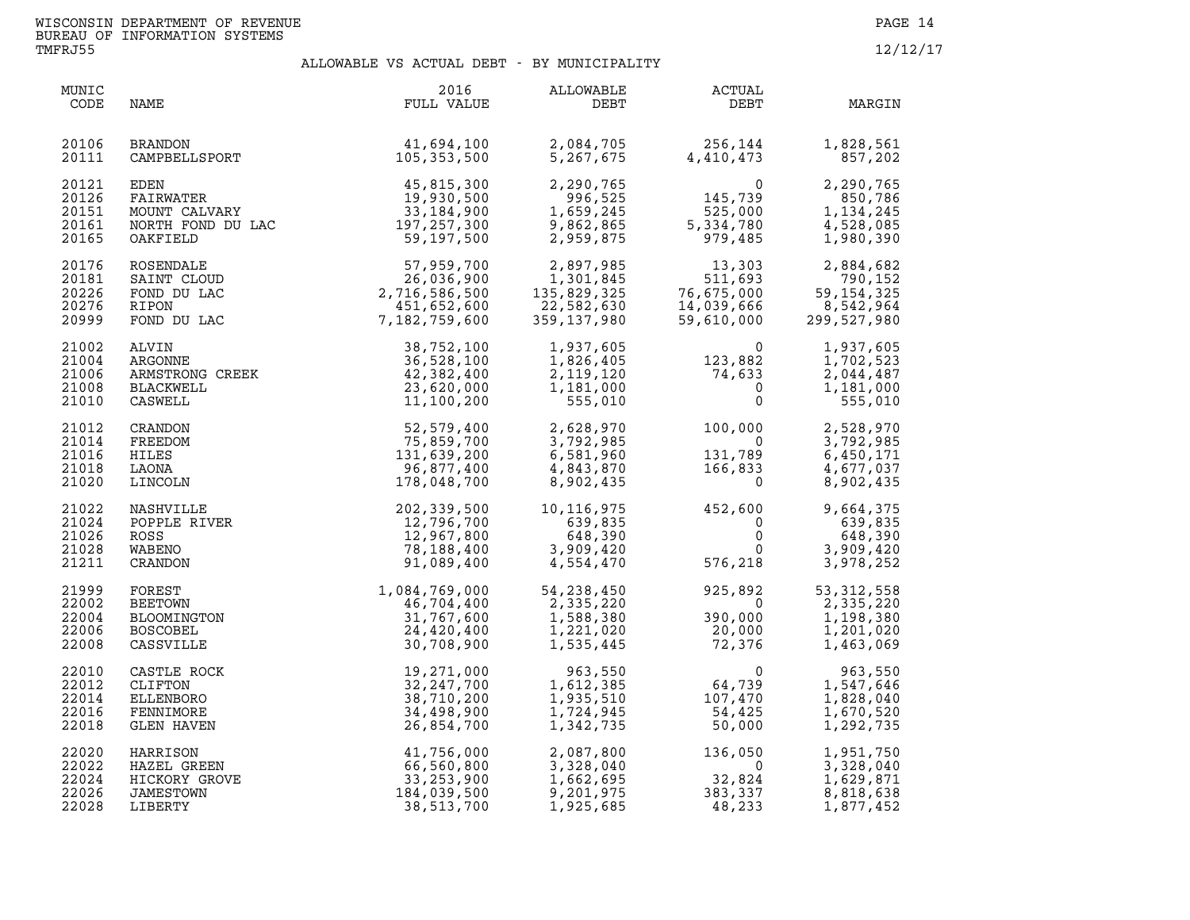| MUNIC<br>CODE                             | NAME                                                                                                                         | 2016<br>FULL VALUE                                                                                            | ALLOWABLE<br>DEBT                                                                                                                                       | ACTUAL<br>DEBT                                                                                                       | MARGIN                                                           |
|-------------------------------------------|------------------------------------------------------------------------------------------------------------------------------|---------------------------------------------------------------------------------------------------------------|---------------------------------------------------------------------------------------------------------------------------------------------------------|----------------------------------------------------------------------------------------------------------------------|------------------------------------------------------------------|
| 20106<br>20111                            | BRANDON 41,694,100<br>CAMPBELLSPORT 105,353,500                                                                              |                                                                                                               | 2,084,705<br>5,267,675                                                                                                                                  | 256, 144<br>4, 410, 473                                                                                              | 1,828,561<br>857,202                                             |
| 20121<br>20126<br>20151<br>20161<br>20165 | EDEN 45,815,300<br>FAIRWATER 19,930,500<br>MOUNT CALVARY 33,184,900<br>NORTH FOND DU LAC 197,257,300<br>OAKFIELD<br>OAKFIELD | 59,197,500                                                                                                    |                                                                                                                                                         | 2, 290, 765<br>996, 525<br>1, 659, 245<br>9, 862, 865<br>2, 959, 875<br>979, 485                                     | 2,290,765<br>850,786<br>1,134,245<br>4,528,085<br>1,980,390      |
| 20176<br>20181<br>20226<br>20276<br>20999 | ROSENDALE<br>SAINT CLOUD<br>FOND DU LAC<br>RIPON<br>FOND DU LAC                                                              | $57,959,700$<br>$26,036,900$<br>$2,716,586,500$<br>$451,652,600$<br>$7,182,759,600$                           | $59, 86$<br>$362, 86$<br>$359, 875$<br>2, 897, 985<br>1, 301, 845<br>929, 325<br>20<br>30<br>30<br>30<br>30<br>135,829,325<br>22,582,630<br>359,137,980 | 13,303<br>511,693<br>511,693<br>76,675,000<br>14,039,666<br>59,610,000                                               | 2,884,682<br>790,152<br>59, 154, 325<br>8,542,964<br>299,527,980 |
| 21002<br>21004<br>21006<br>21008<br>21010 | AKGONNE<br>ARMSTRONG CREEK<br>BLACKWELL<br>CASWELL<br>'RANDON<br>REEDOM                                                      | 38,752,100<br>36,528,100<br>42,382,400<br>23,620,000<br>11,100,200                                            | 1,937,605<br>1,826,405<br>2,119,120<br>1,181,000<br>555,010                                                                                             | $\begin{smallmatrix}&&&0\123,882\74,633\0\0\end{smallmatrix}$                                                        | 1,937,605<br>1,702,523<br>2,044,487<br>1,181,000<br>555,010      |
| 21012<br>21014<br>21016<br>21018<br>21020 | FREEDOM<br>HILES<br>LAONA<br>LINCOLN                                                                                         | 52,579,400<br>75,859,700<br>131,639,200<br>96,877,400<br>178,048,700                                          | 2,628,970<br>3,792,985<br>6,581,960<br>4,843,870<br>8,902,435                                                                                           | $100,000$<br>$131,789$<br>$166,833$<br>$0$                                                                           | 2,528,970<br>3,792,985<br>6,450,171<br>4,677,037<br>8,902,435    |
| 21022<br>21024<br>21026<br>21028<br>21211 | NASHVILLE<br>POPPLE RIVER<br>ROSS<br>WABENO<br>CRANDON<br>CRANDON                                                            | 202,339,500<br>12,796,700<br>12,967,800<br>78,188,400<br>91,089,400                                           | 10,116,975<br>639,835<br>$648,390$<br>$3,909,420$<br>$4,554,470$                                                                                        | $452,600$<br>0<br>0<br>576,218                                                                                       | 9,664,375<br>639,835<br>648,390<br>3,909,420<br>3,978,252        |
| 21999<br>22002<br>22004<br>22006<br>22008 | FOREST<br>BEETOWN<br>BLOOMINGTON<br><b>BOSCOBEL</b><br>CASSVILLE                                                             | $1,084,769,000 \ \begin{array}{c} 46,704,400 \ 46,707,600 \ 31,767,600 \ 24,420,400 \ 30,708,900 \end{array}$ | 54, 238, 450<br>$\begin{array}{r} 2,335,220\ 2,335,220\ 1,588,380\ 1,221,020\ 1,535,445 \end{array}$                                                    | 925,892<br>$\begin{bmatrix} 2 & 0 & 0 \\ 0 & 0 & 0 \\ 2 & 0 & 0 & 0 \\ 2 & 0 & 0 & 0 \\ 7 & 2 & 0 & 3 \end{bmatrix}$ | 53, 312, 558<br>2,335,220<br>1,198,380<br>1,201,020<br>1,463,069 |
| 22010<br>22012<br>22014<br>22016<br>22018 | CASTLE ROCK<br>CLIFTON<br>ELLENBORO<br>FENNIMORE<br>GLEN HAVEN                                                               | 19,271,000<br>32, 247, 700<br>38,710,200<br>34,498,900<br>26,854,700                                          | 963,550<br>1,612,385<br>1,935,510<br>1,724,945<br>1,342,735                                                                                             | $\begin{array}{c} 0 \\ 64\, , 739 \\ 107\, , 470 \\ 54\, , 425 \\ 50\, , 000 \end{array}$                            | 963,550<br>1,547,646<br>1,828,040<br>1,670,520<br>1,292,735      |
| 22020<br>22022<br>22024<br>22026<br>22028 | HARRISON<br>HAZEL GREEN<br>HICKORY GROVE<br><b>JAMESTOWN</b><br>LIBERTY                                                      | 41,756,000<br>66,560,800<br>33,253,900<br>184,039,500<br>38,513,700                                           | 2,087,800<br>3,328,040<br>1,662,695<br>9,201,975<br>1,925,685                                                                                           | $136,050\n 0\n 32,824\n 383,337\n 48,233$                                                                            | 1,951,750<br>3,328,040<br>1,629,871<br>8,818,638<br>1,877,452    |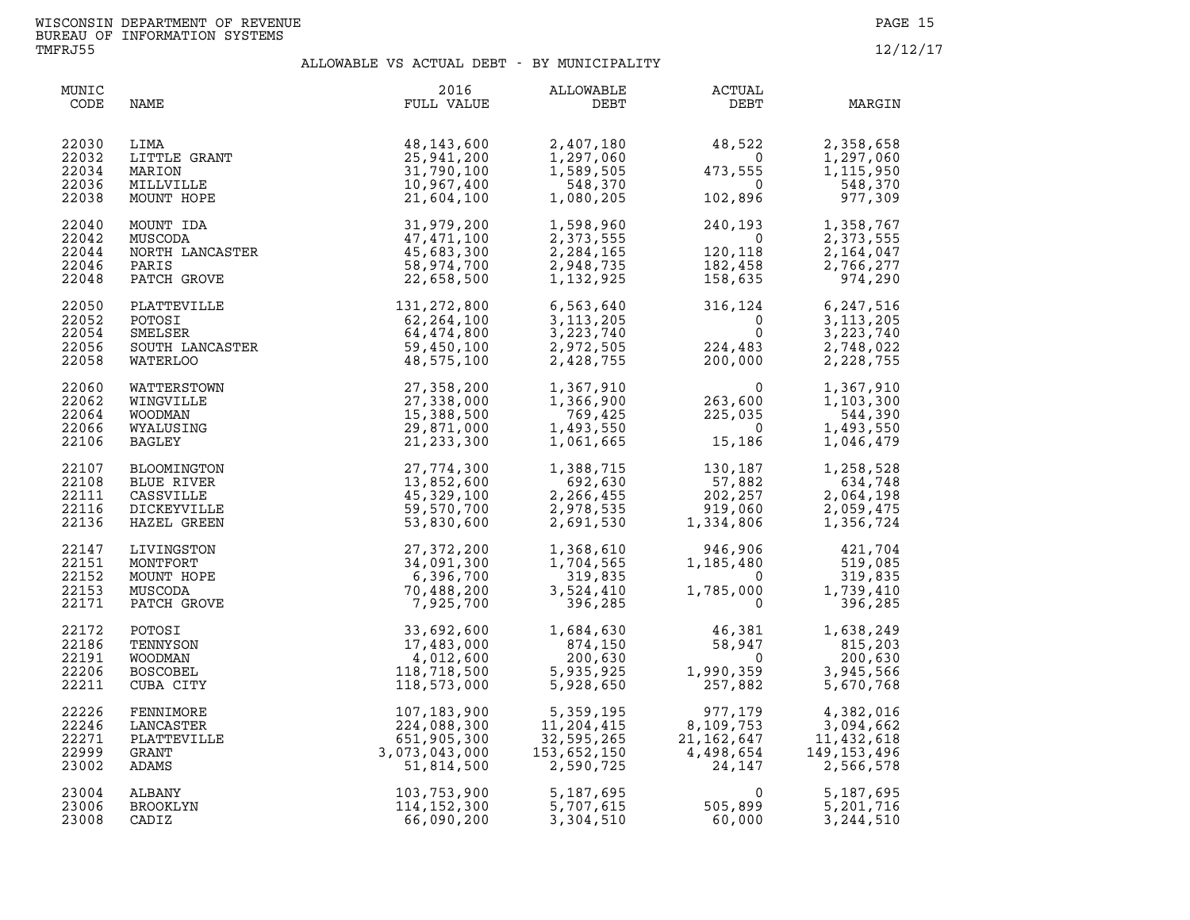| MUNIC<br>CODE                             | NAME                                                                 | 2016<br>FULL VALUE                                                                                                                                    | ALLOWABLE<br>DEBT                                                     | <b>ACTUAL</b><br>DEBT                                                                                                                                                                     | MARGIN                                                                                                                 |
|-------------------------------------------|----------------------------------------------------------------------|-------------------------------------------------------------------------------------------------------------------------------------------------------|-----------------------------------------------------------------------|-------------------------------------------------------------------------------------------------------------------------------------------------------------------------------------------|------------------------------------------------------------------------------------------------------------------------|
| 22030<br>22032<br>22034<br>22036<br>22038 | LITTLE GRANT<br>MARION<br>MILLVILLE<br>MUNT HOPE<br>MOUNT HOPE       | 48,143,600<br>25,941,200<br>31,790,100<br>10,967,400<br>21,604,100                                                                                    | 2,407,180<br>1,297,060<br>1,589,505<br>548,370<br>1,080,205           | $\begin{array}{ccc} 48,522 & 2,358,658 \\ 0 & 1,297,060 \\ 473,555 & 1,115,950 \\ 0 & 548,370 \\ 102,896 & 977,309 \end{array}$                                                           |                                                                                                                        |
| 22040<br>22042<br>22044<br>22046<br>22048 | MOUNT IDA<br>MUSCODA<br>NORTH LANCASTER<br>PARIS<br>PATCH GROVE      | 31,979,200<br>47,471,100<br>45,683,300<br>58,974,700<br>22,658,500                                                                                    | 1,598,960<br>2,373,555<br>2, 284, 165<br>2,948,735<br>1,132,925       | $240, 193$<br>0<br>120,118<br>182,458<br>158,635                                                                                                                                          | 1,358,767<br>2,373,555<br>2,164,047<br>2,766,277<br>974,290                                                            |
| 22050<br>22052<br>22054<br>22056<br>22058 |                                                                      | PLATTEVILLE 131, 272, 800<br>POTOSI 62, 264, 100<br>SMELSER 64, 474, 800<br>SOUTH LANCASTER 59, 450, 100<br>WATERLOO 48, 575, 100                     |                                                                       |                                                                                                                                                                                           |                                                                                                                        |
| 22060<br>22062<br>22064<br>22066<br>22106 | WATTERSTOWN<br>WINGVILLE<br>WOODMAN<br>WYALUSING<br>BAGLEY           | 27,358,200<br>27,338,000<br>15,388,500<br>29,871,000<br>21,233,300                                                                                    |                                                                       | $1,367,910$<br>$1,366,900$<br>$769,425$<br>$1,493,550$<br>$1,061,665$<br>$1,186$                                                                                                          | 1,367,910<br>1,103,300<br>544,390<br>1,493,550<br>1,046,479                                                            |
| 22107<br>22108<br>22111<br>22116<br>22136 | BLOOMINGTON<br>BLUE RIVER<br>CASSVILLE<br>DICKEYVILLE<br>HAZEL GREEN | 27,774,300<br>13,852,600<br>45,329,100<br>59,570,700<br>53,830,600                                                                                    |                                                                       | $\begin{array}{llll} 1,388,715 & 130,187 \\ 692,630 & 57,882 \\ 2,266,455 & 202,257 \\ 2,978,535 & 919,060 \\ 2,691,530 & 1,334,806 \end{array}$                                          | 1,258,528<br>634,748<br>2,064,198<br>2,059,475<br>1,356,724                                                            |
| 22147<br>22151<br>22152<br>22153<br>22171 | LIVINGSTON<br>MONTFORT<br>MOUNT HOPE<br>MUSCODA<br>PATCH GROVE       | 27,372,200<br>34,091,300<br>6,396,700<br>70,488,200<br>7,925,700                                                                                      |                                                                       | $\begin{array}{cccc} 1,368,610 & 946,906 & 421,704 \\ 1,704,565 & 1,185,480 & 519,085 \\ 319,835 & 0 & 319,835 \\ 3,524,410 & 1,785,000 & 1,739,410 \\ 396,285 & 0 & 396,285 \end{array}$ |                                                                                                                        |
| 22172<br>22186<br>22191<br>22206<br>22211 | POTOSI<br>TENNYSON<br>WOODMAN<br><b>BOSCOBEL</b><br>CUBA CITY        | 33,692,600<br>17,483,000<br>4,012,600<br>118,718,500<br>118,573,000                                                                                   | $1,684,630$<br>$874,150$<br>$200,630$<br>5,935,925<br>5,928,650<br>1, | $\overline{0}$<br>$1,990,359$<br>257,882                                                                                                                                                  | $\begin{array}{cc} 46,381 & 1,638,249 \\ 58,947 & 815,203 \\ 200,630 \end{array}$<br>200,630<br>3,945,566<br>5,670,768 |
| 22226<br>22246<br>22271<br>22999<br>23002 | FENNIMORE<br>LANCASTER<br>PLATTEVILLE<br>GRANT<br>ADAMS              | $107, 183, 900$<br>$224, 088, 300$<br>$651, 905, 300$<br>$3, 073, 043, 000$<br>$51, 814, 500$<br>$103, 753, 900$<br>$114, 152, 300$<br>$66, 090, 200$ | 5,359,195<br>11,204,415<br>32,595,265<br>153,652,150<br>2,590,725     | $977,179$<br>8, 109, 753<br>21, 162, 647<br>4, 498, 654<br>24, 147                                                                                                                        | 4,382,016<br>3,094,662<br>11,432,618<br>149,153,496<br>2,566,578                                                       |
| 23004<br>23006<br>23008                   | ALBANY<br>BROOKLYN<br>CADIZ                                          |                                                                                                                                                       |                                                                       |                                                                                                                                                                                           | 5,187,695<br>5,201,716<br>3,244,510                                                                                    |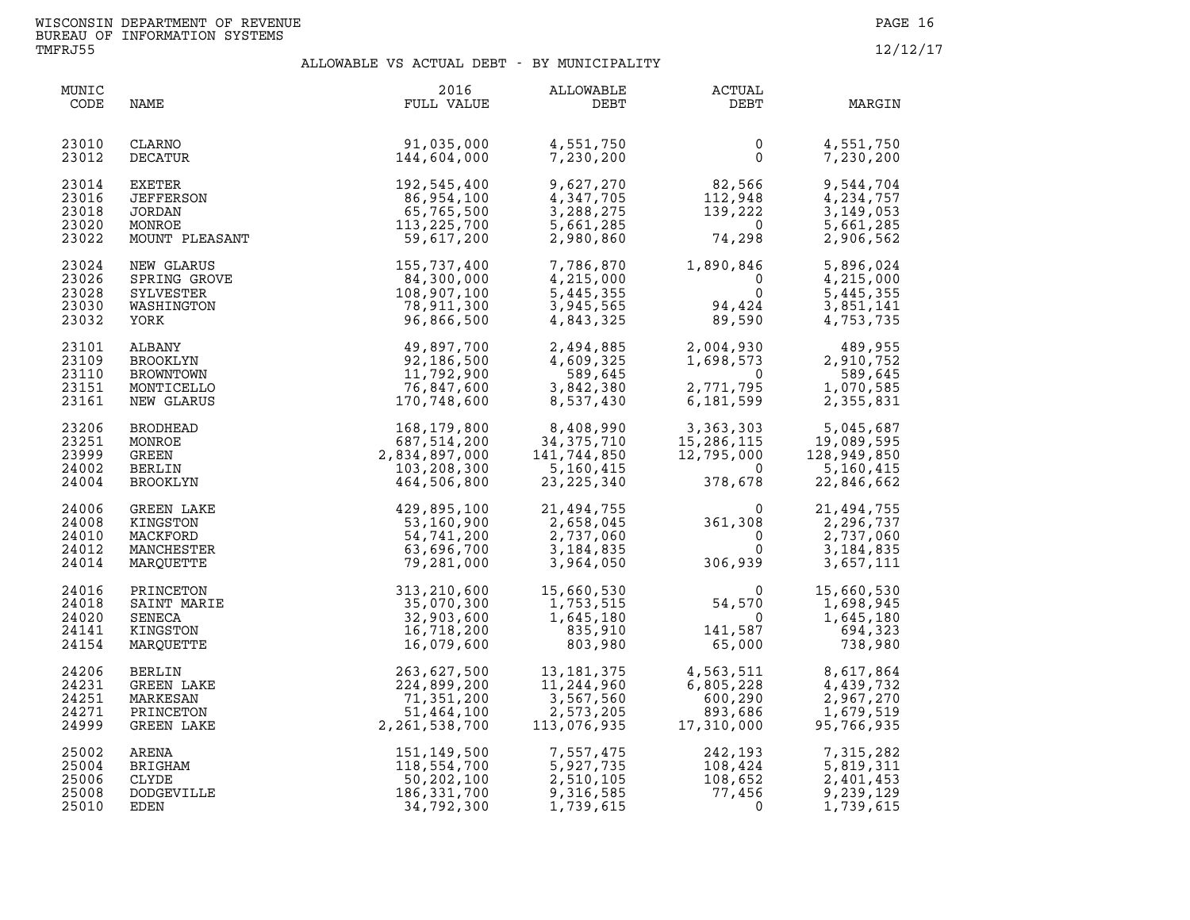| MUNIC<br>CODE                             | NAME                                                               | 2016<br>FULL VALUE                                                          | ALLOWABLE<br>DEBT                                                                               | <b>ACTUAL</b><br>DEBT                                                                                       | MARGIN                                                                   |
|-------------------------------------------|--------------------------------------------------------------------|-----------------------------------------------------------------------------|-------------------------------------------------------------------------------------------------|-------------------------------------------------------------------------------------------------------------|--------------------------------------------------------------------------|
| 23010<br>23012                            | CLARNO<br>DECATUR                                                  | 91,035,000<br>144,604,000                                                   | 4,551,750<br>7,230,200                                                                          | $\overline{0}$<br>$\Omega$                                                                                  | 4,551,750<br>7,230,200                                                   |
| 23014<br>23016<br>23018<br>23020<br>23022 | EXETER<br><b>JEFFERSON</b><br>JORDAN<br>MONROE<br>MOUNT PLEASANT   | 192,545,400<br>86,954,100<br>65,765,500<br>113, 225, 700<br>59,617,200      | 9,627,270<br>4,347,705<br>3,288,275<br>5,661,285<br>2,980,860                                   | $\begin{array}{r} 82,566 \\ 112,948 \\ 139,222 \\ 0 \\ 74,298 \end{array}$                                  | 9,544,704<br>4,234,757<br>3,149,053<br>5,661,285<br>2,906,562            |
| 23024<br>23026<br>23028<br>23030<br>23032 | NEW GLARUS<br>SPRING GROVE<br>SYLVESTER<br>WASHINGTON<br>YORK      | 155,737,400<br>84,300,000<br>108,907,100<br>78,911,300<br>96,866,500        | 7,786,870<br>4,215,000<br>5,445,355<br>3,945,565<br>4,843,325                                   | $1,890,846$<br>0<br>0<br>$\overline{0}$<br>94,424<br>89,590                                                 | 5,896,024<br>4,215,000<br>5,445,355<br>3,851,141<br>4,753,735            |
| 23101<br>23109<br>23110<br>23151<br>23161 | ALBANY<br>BROOKLYN<br>BROWNTOWN<br>MONTICELLO<br>NEW GLARUS        | 49,897,700<br>92,186,500<br>11,792,900<br>76,847,600<br>170,748,600         | 2,494,885<br>4,609,325<br>589,645<br>3,842,380<br>8,537,430                                     | $\overline{0}$<br>2,771,795<br>6,181,599                                                                    | 2,004,930<br>1,698,573<br>0 589,645<br>589,645<br>1,070,585<br>2,355,831 |
| 23206<br>23251<br>23999<br>24002<br>24004 | <b>BRODHEAD</b><br>MONROE<br>GREEN<br><b>BERLIN</b><br>BROOKLYN    | 168, 179, 800<br>687,514,200<br>2,834,897,000<br>103,208,300<br>464,506,800 | 8,408,990<br>34, 375, 710<br>141,744,850<br>5,160,415<br>23, 225, 340                           | 3,363,303 5,045,687<br>15,286,115 19,089,595<br>12,795,000 128,949,850<br>$\overline{0}$<br>378,678         | 5,160,415<br>22,846,662                                                  |
| 24006<br>24008<br>24010<br>24012<br>24014 | GREEN LAKE<br>KINGSTON<br>MACKFORD<br>MANCHESTER<br>MARQUETTE      | 429,895,100<br>53,160,900<br>54,741,200<br>63,696,700<br>79,281,000         | 21,494,755<br>2,658,045<br>2,737,060<br>3, 184, 835<br>3,964,050                                | $361,308$<br>0<br>306,939                                                                                   | 21,494,755<br>2,296,737<br>2,737,060<br>3,184,835<br>3,657,111           |
| 24016<br>24018<br>24020<br>24141<br>24154 | PRINCETON<br>SAINT MARIE<br>SENECA<br>KINGSTON<br>MARQUETTE        | 313,210,600<br>35,070,300<br>32,903,600<br>16,718,200<br>16,079,600         | 15,660,530<br>$\begin{array}{r} -1,753,515\ 1,645,180\ 835,910\ 803,980 \end{array}$<br>803,980 | $\begin{array}{c} 0 \\ 54,570 \\ 0 \\ 141,587 \\ 65,000 \end{array}$<br>$\overline{0}$<br>141,587<br>65,000 | 15,660,530<br>1,698,945<br>1,645,180<br>694,323<br>738,980               |
| 24206<br>24231<br>24251<br>24271<br>24999 | <b>BERLIN</b><br>GREEN LAKE<br>MARKESAN<br>PRINCETON<br>GREEN LAKE | 263,627,500<br>224,899,200<br>71,351,200<br>51,464,100<br>2,261,538,700     | 13, 181, 375<br>11,244,960<br>3,567,560<br>2,573,205<br>113,076,935                             | 4,563,511<br>6,805,228<br>$600, 290$<br>$893, 686$<br>$17, 310, 000$                                        | 8,617,864<br>4,439,732<br>2,967,270<br>1,679,519<br>95,766,935           |
| 25002<br>25004<br>25006<br>25008<br>25010 | ARENA<br>BRIGHAM<br>CLYDE<br><b>DODGEVILLE</b><br>EDEN             | 151,149,500<br>118,554,700<br>50,202,100<br>186, 331, 700<br>34,792,300     | 7,557,475<br>5,927,735<br>2,510,105<br>9,316,585<br>1,739,615                                   | 242,193<br>108,424<br>108,652<br>77,456<br>$108,424$<br>$108,652$<br>$77,456$<br>0                          | 7,315,282<br>5,819,311<br>2,401,453<br>9,239,129<br>1,739,615            |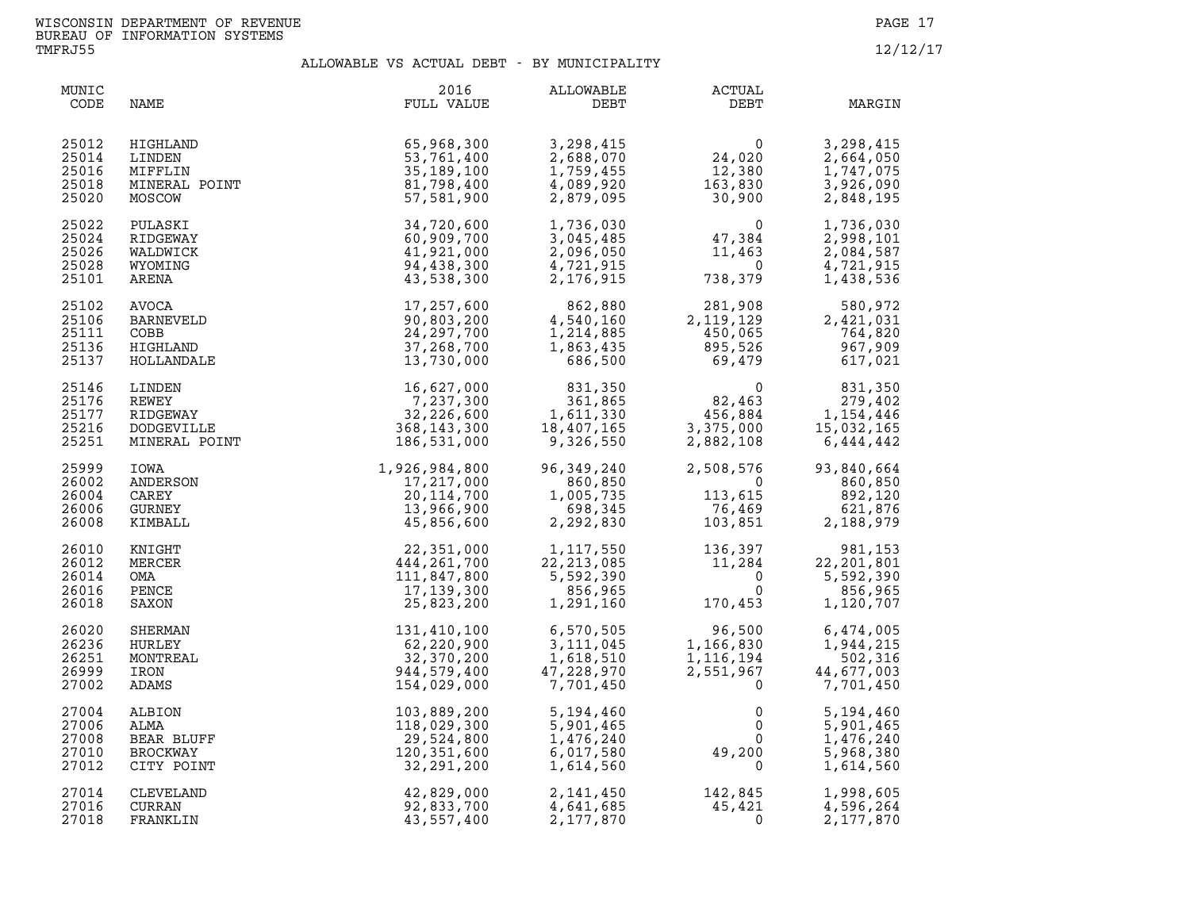| MUNIC<br>CODE                             | NAME                                                          | 2016<br>FULL VALUE                                                                                                                                                 | <b>ALLOWABLE</b><br>DEBT                                                                                                                                                                     | ACTUAL<br>DEBT                                                                                   | MARGIN                                                                                             |
|-------------------------------------------|---------------------------------------------------------------|--------------------------------------------------------------------------------------------------------------------------------------------------------------------|----------------------------------------------------------------------------------------------------------------------------------------------------------------------------------------------|--------------------------------------------------------------------------------------------------|----------------------------------------------------------------------------------------------------|
| 25012<br>25014<br>25016<br>25018<br>25020 | HIGHLAND<br>LINDEN<br>MIFFLIN<br>MINERAL POINT<br>MOSCOW      | 65,968,300<br>53,761,400<br>35, 189, 100<br>81,798,400<br>57,581,900                                                                                               | 3,298,415<br>2,688,070<br>1,759,455<br>4,089,920<br>2,879,095                                                                                                                                | 0<br>24,020<br>12,380<br>163,830<br>30,900                                                       | 3,298,415<br>2,664,050<br>1,747,075<br>3,926,090<br>2,848,195                                      |
| 25022<br>25024<br>25026<br>25028<br>25101 | PULASKI<br>RIDGEWAY<br>WALDWICK<br>WYOMING<br>ARENA           | 34,720,600<br>60,909,700<br>41,921,000<br>94,438,300<br>43,538,300                                                                                                 | 1,736,030<br>3,045,485<br>2,096,050<br>4,721,915<br>2,176,915                                                                                                                                | $\begin{array}{c} 0 \\ 47,384 \\ 11,463 \\ 0 \\ 38,379 \end{array}$<br>738,379                   | 1,736,030<br>2,998,101<br>2,084,587<br>4,721,915<br>1,438,536                                      |
| 25102<br>25106<br>25111<br>25136<br>25137 | AVOCA<br>BARNEVELD<br>COBB<br>HIGHLAND<br>HOLLANDALE          | 17,257,600<br>90,803,200<br>24, 297, 700<br>37,268,700<br>13,730,000                                                                                               | 862,880<br>4,540,160<br>1,214,885<br>1,863,435<br>686,500                                                                                                                                    | 281,908 580,972<br>2,119,129 2,421,031<br>450,065 764,820<br>895,526 967,909<br>69,479 617,021   |                                                                                                    |
| 25146<br>25176<br>25177<br>25216<br>25251 | LINDEN<br>REWEY<br>RIDGEWAY<br>DODGEVILLE<br>MINERAL POINT    | 16,627,000<br>7,237,300<br>32,226,600<br>68,143,300 1<br>368, 143, 300<br>186,531,000                                                                              | 831,350<br>361,865<br>1,611,330<br>18,407,165<br>9,326,550                                                                                                                                   | 82,463                                                                                           | 831,350<br>$456,884$<br>3,375,000<br>3,375,000<br>2,882,108<br>3,375,000<br>3,375,000<br>3,375,000 |
| 25999<br>26002<br>26004<br>26006<br>26008 | IOWA<br>ANDERSON<br>CAREY<br>GURNEY<br>KIMBALL                |                                                                                                                                                                    | 96,349,240<br>860,850<br>1,005,735<br>698,345<br>2,292,830                                                                                                                                   | 2,508,576<br>0<br>113,615<br>76,469<br>103,851<br>2,508,576<br>0<br>113,615<br>76,469<br>103,851 | 93,840,664<br>860,850<br>892,120<br>621,876<br>2,188,979                                           |
| 26010<br>26012<br>26014<br>26016<br>26018 | KNIGHT<br>MERCER<br>OMA<br>PENCE<br>SAXON                     | $1,926,984,800$<br>$17,217,000$<br>$20,114,700$<br>$13,966,900$<br>$45,856,600$<br>$444,261,700$<br>$444,261,700$<br>$111,847,800$<br>$17,139,300$<br>$25,823,200$ | $\begin{array}{cccc} 1,117,550 & 136,397 & 981,153 \\ 22,213,085 & 11,284 & 22,201,801 \\ 5,592,390 & 0 & 5,592,390 \\ 856,965 & 0 & 856,965 \\ 1,291,160 & 170,453 & 1,120,707 \end{array}$ |                                                                                                  |                                                                                                    |
| 26020<br>26236<br>26251<br>26999<br>27002 | SHERMAN<br>HURLEY<br>MONTREAL<br>IRON<br>ADAMS                | 131,410,100<br>62,220,900<br>32,370,200<br>944,579,400<br>154,029,000                                                                                              | 6,570,505<br>3,111,045<br>3,111,045<br>1,618,510<br>47,228,970<br>7,701,450                                                                                                                  | 96,500<br>1,166,830<br>1,116,194<br>2,551,967<br>$\mathbf 0$                                     | 6,474,005<br>1,944,215<br>502,316<br>44,677,003<br>7,701,450                                       |
| 27004<br>27006<br>27008<br>27010<br>27012 | ALBION<br>ALMA<br>BEAR BLUFF<br><b>BROCKWAY</b><br>CITY POINT | 103,889,200<br>118,029,300<br>29,524,800<br>120,351,600<br>32,291,200                                                                                              | 5,194,460<br>5,901,465<br>1,476,240<br>6,017,580<br>1,614,560                                                                                                                                | $0 \qquad \qquad$<br>$\overline{0}$                                                              | 5,194,460<br>5,901,465<br>1,476,240<br>5,968,380<br>1,614,560                                      |
| 27014<br>27016<br>27018                   | CLEVELAND<br>CURRAN<br>FRANKLIN                               | 42,829,000<br>92,833,700<br>43,557,400                                                                                                                             | 2,141,450<br>4,641,685<br>2,177,870                                                                                                                                                          | $142,845$<br>$45,421$<br>$\mathbf{0}$                                                            | 1,998,605<br>4,596,264<br>2,177,870                                                                |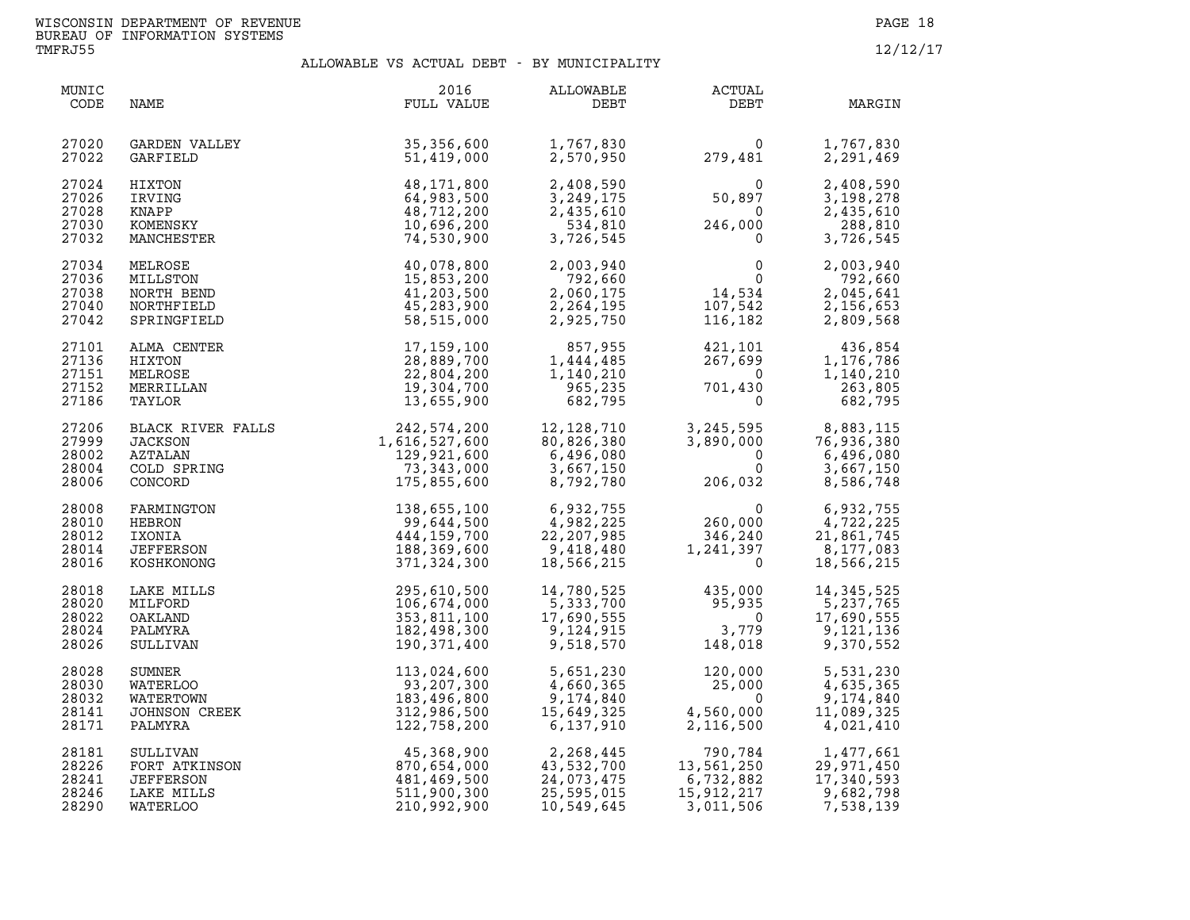| MUNIC<br>CODE                             | NAME                                                              | 2016<br>FULL VALUE                                                       | ALLOWABLE<br>DEBT                                                 | <b>ACTUAL</b><br>DEBT                                                                                             | MARGIN                                                                                           |
|-------------------------------------------|-------------------------------------------------------------------|--------------------------------------------------------------------------|-------------------------------------------------------------------|-------------------------------------------------------------------------------------------------------------------|--------------------------------------------------------------------------------------------------|
| 27020<br>27022                            | GARDEN VALLEY<br>GARFIELD                                         | 35,356,600<br>51,419,000                                                 | 1,767,830<br>2,570,950                                            | 0<br>279,481                                                                                                      | 1,767,830<br>2,291,469                                                                           |
| 27024                                     | HIXTON                                                            | 48,171,800                                                               | 2,408,590                                                         | $50,897$<br>$246,000$<br>$0$                                                                                      | 2,408,590                                                                                        |
| 27026                                     | IRVING                                                            | 64,983,500                                                               | 3,249,175                                                         |                                                                                                                   | 3,198,278                                                                                        |
| 27028                                     | KNAPP                                                             | 48,712,200                                                               | 2,435,610                                                         |                                                                                                                   | 2,435,610                                                                                        |
| 27030                                     | KOMENSKY                                                          | 10,696,200                                                               | 534,810                                                           |                                                                                                                   | 288,810                                                                                          |
| 27032                                     | MANCHESTER                                                        | 74,530,900                                                               | 3,726,545                                                         |                                                                                                                   | 3,726,545                                                                                        |
| 27034<br>27036<br>27038<br>27040<br>27042 | MELROSE<br>MILLSTON<br>NORTH BEND<br>NORTHFIELD<br>SPRINGFIELD    | 40,078,800<br>15,853,200<br>41,203,500<br>45,283,900<br>58,515,000       | 2,003,940<br>792,660<br>2,060,175<br>2,264,195<br>2,925,750       | $\begin{smallmatrix}0&&&0\\&0&\\14&,534\end{smallmatrix}$<br>107,542<br>116,182                                   | 2,003,940<br>792,660<br>2,045,641<br>2,156,653<br>2,809,568                                      |
| 27101                                     | ALMA CENTER                                                       | 17, 159, 100                                                             | 857,955                                                           | 421,101<br>^^7.699                                                                                                | 436,854                                                                                          |
| 27136                                     | HIXTON                                                            | 28,889,700                                                               | 1,444,485                                                         |                                                                                                                   | 1,176,786                                                                                        |
| 27151                                     | MELROSE                                                           | 22,804,200                                                               | 1,140,210                                                         | $\overline{0}$                                                                                                    | 1,140,210                                                                                        |
| 27152                                     | MERRILLAN                                                         | 19,304,700                                                               | 965,235                                                           | 701,430                                                                                                           | 263,805                                                                                          |
| 27186                                     | TAYLOR                                                            | 13,655,900                                                               | 682,795                                                           | $\mathbf 0$                                                                                                       | 682,795                                                                                          |
| 27206<br>27999<br>28002<br>28004<br>28006 | BLACK RIVER FALLS<br>JACKSON<br>AZTALAN<br>COLD SPRING<br>CONCORD | 242,574,200<br>1,616,527,600<br>129,921,600<br>73,343,000<br>175,855,600 | 12, 128, 710<br>80,826,380<br>6,496,080<br>3,667,150<br>8,792,780 | $\Omega$<br>$\Omega$<br>206,032                                                                                   | 3, 245, 595<br>3, 890, 000<br>76, 936, 380<br>6, 436, 380<br>6,496,080<br>3,667,150<br>8,586,748 |
| 28008                                     | FARMINGTON                                                        | 138,655,100                                                              | 6,932,755                                                         | $\begin{array}{r}0\\ -106,032\\ 0\\ \hline 5\\ 260,000\\ 346,240\\ 1,241.26\end{array}$                           | 6,932,755                                                                                        |
| 28010                                     | HEBRON                                                            | 99,644,500                                                               | 4,982,225                                                         |                                                                                                                   | 4,722,225                                                                                        |
| 28012                                     | IXONIA                                                            | 444,159,700                                                              | 22, 207, 985                                                      |                                                                                                                   | 21,861,745                                                                                       |
| 28014                                     | JEFFERSON                                                         | 188,369,600                                                              | 9,418,480                                                         |                                                                                                                   | 8,177,083                                                                                        |
| 28016                                     | KOSHKONONG                                                        | 371,324,300                                                              | 18,566,215                                                        |                                                                                                                   | 18,566,215                                                                                       |
| 28018<br>28020<br>28022<br>28024<br>28026 | LAKE MILLS<br>MILFORD<br>OAKLAND<br>PALMYRA<br>SULLIVAN           | 295,610,500<br>106,674,000<br>353,811,100<br>182,498,300<br>190,371,400  | 14,780,525<br>5,333,700<br>17,690,555<br>9,124,915<br>9,518,570   | 435,000<br>$\begin{array}{r} 35,935 \\ 95,935 \\ 0 \\ 3,779 \\ 148,018 \end{array}$<br>3,779<br>18.018<br>148,018 | 14, 345, 525<br>5,237,765<br>17,690,555<br>9,121,136<br>9,370,552                                |
| 28028                                     | SUMNER                                                            | 113,024,600                                                              | 5,651,230                                                         | 120,000                                                                                                           | 5,531,230                                                                                        |
| 28030                                     | WATERLOO                                                          | 93,207,300                                                               | 4,660,365                                                         | 25,000                                                                                                            | 4,635,365                                                                                        |
| 28032                                     | WATERTOWN                                                         | 183,496,800                                                              | 9,174,840                                                         | $\Omega$                                                                                                          | 9,174,840                                                                                        |
| 28141                                     | JOHNSON CREEK                                                     | 312,986,500                                                              | 15,649,325                                                        | 4,560,000                                                                                                         | 11,089,325                                                                                       |
| 28171                                     | PALMYRA                                                           | 122,758,200                                                              | 6,137,910                                                         | 2,116,500                                                                                                         | 4,021,410                                                                                        |
| 28181                                     | SULLIVAN                                                          | 45,368,900                                                               | 2,268,445                                                         | 790,784                                                                                                           | 1,477,661                                                                                        |
| 28226                                     | FORT ATKINSON                                                     | 870,654,000                                                              | 43,532,700                                                        | $790,784$<br>13,561,250<br>6,732,882<br>15,912,217                                                                | 29,971,450                                                                                       |
| 28241                                     | <b>JEFFERSON</b>                                                  | 481,469,500                                                              | 24,073,475                                                        | 6,732,882                                                                                                         | 17,340,593                                                                                       |
| 28246                                     | LAKE MILLS                                                        | 511,900,300                                                              | 25,595,015                                                        | 15,912,217                                                                                                        | 9,682,798                                                                                        |
| 28290                                     | <b>WATERLOO</b>                                                   | 210,992,900                                                              | 10,549,645                                                        | 3,011,506                                                                                                         | 7,538,139                                                                                        |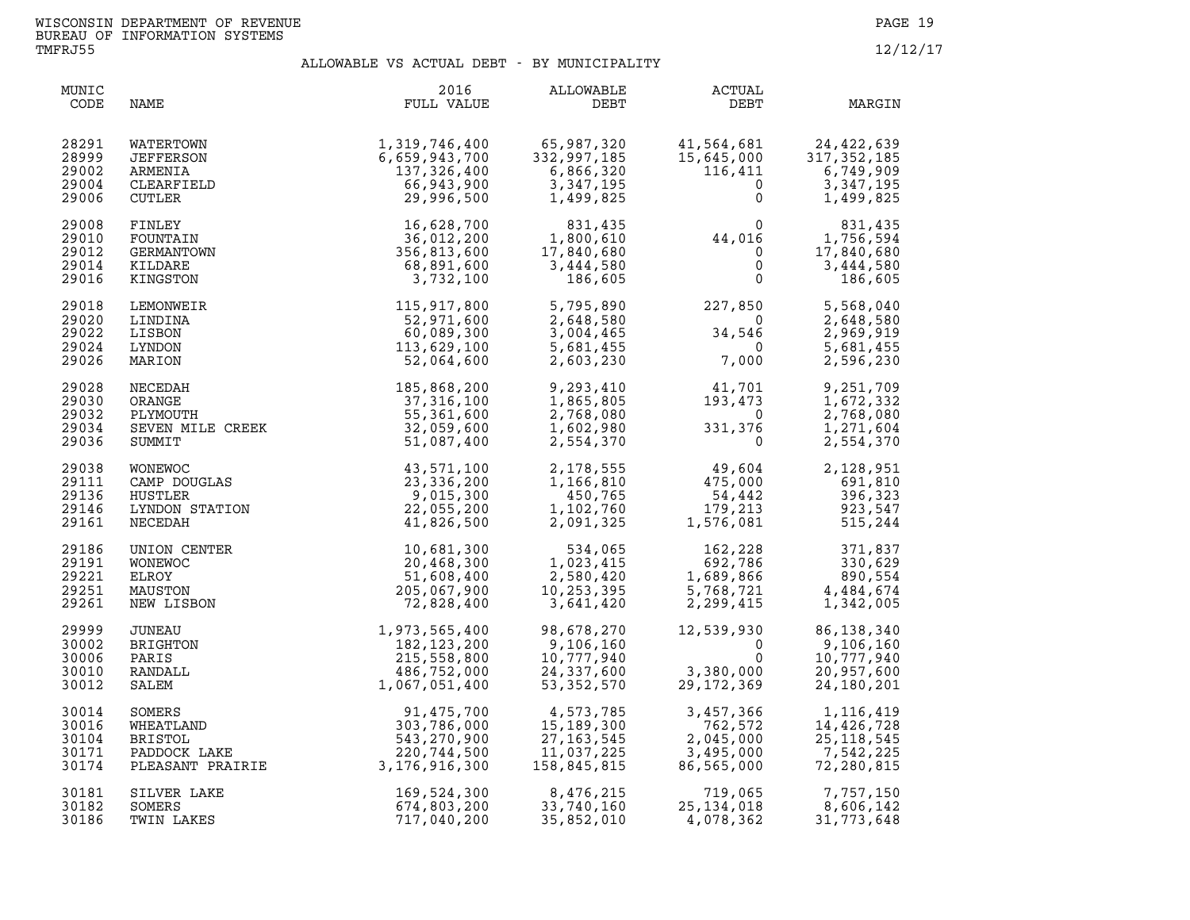| MUNIC<br>CODE                             | NAME                                                      | 2016<br>FULL VALUE                                                                                                                                                                                                                                                       | ALLOWABLE<br>DEBT                                                                                         | ACTUAL<br>DEBT                                                                                       | MARGIN                                                                                                                                                                  |
|-------------------------------------------|-----------------------------------------------------------|--------------------------------------------------------------------------------------------------------------------------------------------------------------------------------------------------------------------------------------------------------------------------|-----------------------------------------------------------------------------------------------------------|------------------------------------------------------------------------------------------------------|-------------------------------------------------------------------------------------------------------------------------------------------------------------------------|
| 28291<br>28999<br>29002<br>29004<br>29006 | WATERTOWN<br>JEFFERSON<br>ARMENIA<br>CLEARFIELD<br>CUTLER | 1, 319, 746, 400<br>6, 659, 943, 700<br>137, 326, 400<br>66, 943, 900<br>29, 996, 500                                                                                                                                                                                    | 65,987,320<br>332,997,185<br>6,866,320<br>3,347,195<br>1,499,825                                          | $\Omega$                                                                                             | $\begin{array}{lll} 41, 564, 681 & 24, 422, 639 \\ 15, 645, 000 & 317, 352, 185 \\ 116, 411 & 6, 749, 909 \\ & & 0 & 3, 347, 195 \end{array}$<br>3,347,195<br>1,499,825 |
| 29008<br>29010<br>29012<br>29014<br>29016 | FINLEY<br>FOUNTAIN<br>GERMANTOWN<br>KILDARE<br>KINGSTON   | 16,628,700<br>36,012,200<br>356,813,600<br>68,891,600<br>3,732,100                                                                                                                                                                                                       | $\begin{array}{r} 831,435 \\ 1,800,610 \\ 17,840,680 \\ 3,444,580 \\ \hline 1,665 \end{array}$<br>186,605 | $\begin{array}{c}0\\44,016\\0\\0\end{array}$ 1<br>$\mathsf{O}$                                       | 831,435<br>1,756,594<br>17,840,680<br>3,444,580<br>186,605                                                                                                              |
| 29018<br>29020<br>29022<br>29024<br>29026 | LEMONWEIR<br>LINDINA<br>LISBON<br>LYNDON<br>MARION        | 115,917,800<br>52,971,600<br>60,089,300<br>113,629,100<br>52,064,600                                                                                                                                                                                                     | 5,795,890<br>2,648,580<br>3,004,465<br>5,681,455<br>2,603,230                                             | $227,850$<br>0<br>34,546<br>7,000                                                                    | 5,568,040<br>2,648,580<br>2,969,919<br>5,681,455<br>2,596,230                                                                                                           |
| 29028<br>29030<br>29032<br>29034<br>29036 |                                                           | NECEDAH<br>NECEDAH<br>ORANGE<br>PLYMOUTH<br>SEVEN MILE CREEK<br>SEVEN MILE CREEK<br>32,059,600<br>SUMMIT<br>51,087,400                                                                                                                                                   | 9,293,410<br>1,865,805<br>2,768,080<br>1,602,980<br>2,554,370                                             | $\begin{array}{c} 41,701\ 193,473\ 0\ 331,376\ 0 \end{array}$                                        | 9,251,709<br>1,672,332<br>2,768,080<br>1,271,604<br>2,554,370                                                                                                           |
| 29038<br>29111<br>29136<br>29146<br>29161 |                                                           | 43,571,100<br>23,336,200<br>9,015,300<br>22,055,200<br>41,826,500                                                                                                                                                                                                        | 1,166,810<br>450,765<br>1,102,760<br>2,091,325                                                            | 2, 178, 555 49, 604<br>$2,128,951$<br>$475,000$<br>$54,442$<br>$179,213$<br>$1,576,081$<br>$515,244$ | 2,128,951                                                                                                                                                               |
| 29186<br>29191<br>29221<br>29251<br>29261 | UNION CENTER<br>WONEWOC<br>ELROY<br>MAUSTON<br>NEW LISBON | 10,681,300<br>20,468,300<br>51,608,400<br>205,067,900<br>72,828,400                                                                                                                                                                                                      | 534,065<br>1,023,415<br>2,580,420<br>10,253,395<br>3,641,420                                              | $162, 228$<br>$692, 786$<br>$1, 689, 866$<br>$5, 768, 721$<br>$2, 299, 415$<br>$1$                   | 371,837<br>330,629<br>890,554<br>4,484,674<br>1,342,005                                                                                                                 |
| 29999<br>30002<br>30006<br>30010<br>30012 |                                                           |                                                                                                                                                                                                                                                                          | 98,678,270<br>98,678,270<br>9,106,160<br>10,777,940<br>24,337,600<br>53,352,570<br>53, 352, 570           | 12,539,930<br>$\Omega$<br>$\mathbf 0$<br>000,000, 29,172<br>369, 172<br>3,380,000<br>29.172.369      | $80,150,160$<br>9,106,160<br>10,777,940<br>20,957,600<br>24,180,201                                                                                                     |
| 30014<br>30016<br>30104<br>30171<br>30174 |                                                           | UNEAU<br>UNEAU<br>BRIGHTON<br>PARIS<br>PARIS<br>PARIS<br>PARIS<br>215,558,800<br>RANDALL<br>486,752,000<br>SALEM<br>31,475,700<br>WHEATLAND<br>BRISTIAND<br>BRISTIAND<br>BRISTIAND<br>BRISTIAND<br>BRISTOL<br>PADDOCK LAKE<br>220,744,500<br>PADDOCK LAKE<br>220,744,500 | 4,573,785<br>15.189.200<br>15,189,300<br>27, 163, 545<br>11,037,225<br>158,845,815                        | 3,457,366<br>762,572<br>2,045,000<br>3,495,000<br>86,565,000                                         | 1,116,419<br>14,426,728<br>25, 118, 545<br>7,542,225<br>72,280,815                                                                                                      |
| 30181<br>30182<br>30186                   | SILVER LAKE<br>SOMERS<br>TWIN LAKES                       | 169,524,300<br>674,803,200<br>717,040,200                                                                                                                                                                                                                                | 8,476,215<br>33,740,160<br>35,852,010                                                                     | 719,065<br>25,134,018<br>4,078,362                                                                   | 7,757,150<br>8,606,142<br>31,773,648                                                                                                                                    |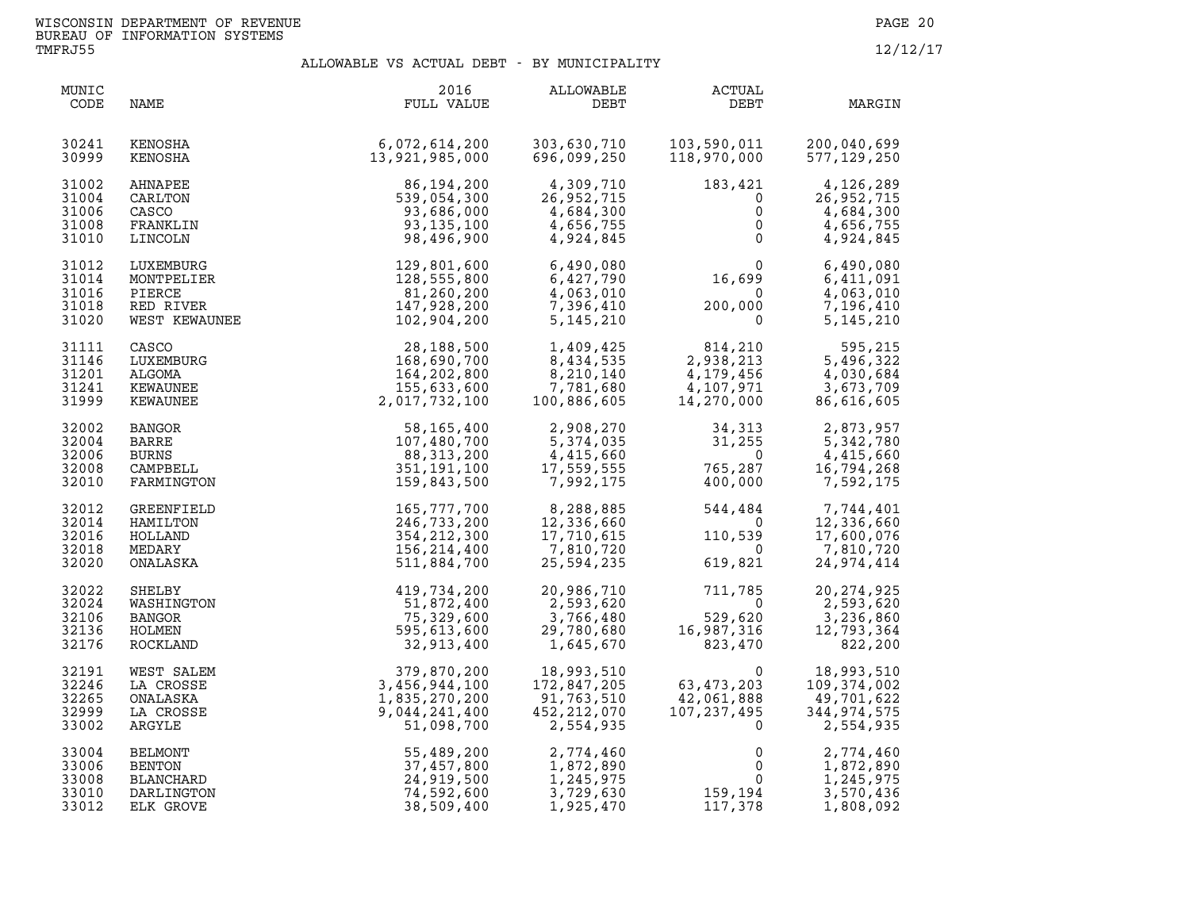| MUNIC<br>CODE                             | NAME                                                            | 2016<br>FULL VALUE                                                     | ALLOWABLE<br>DEBT                                             | <b>ACTUAL</b><br>DEBT                                       | MARGIN                                                        |
|-------------------------------------------|-----------------------------------------------------------------|------------------------------------------------------------------------|---------------------------------------------------------------|-------------------------------------------------------------|---------------------------------------------------------------|
| 30241                                     | KENOSHA                                                         | 6,072,614,200                                                          | 303,630,710                                                   | 103,590,011                                                 | 200,040,699                                                   |
| 30999                                     | KENOSHA                                                         | 13,921,985,000                                                         | 696,099,250                                                   | 118,970,000                                                 | 577, 129, 250                                                 |
| 31002                                     | AHNAPEE                                                         | 86,194,200                                                             | 4,309,710                                                     | 183,421                                                     | 4,126,289                                                     |
| 31004                                     | CARLTON                                                         | 539,054,300                                                            | 26,952,715                                                    | $\overline{0}$                                              | 26,952,715                                                    |
| 31006                                     | CASCO                                                           | 93,686,000                                                             | 26,952,715<br>4,684,300                                       | $\mathbf 0$                                                 | 4,684,300                                                     |
| 31008                                     | FRANKLIN                                                        | 93, 135, 100                                                           | 4,656,755                                                     | $\mathsf{O}$                                                | 4,656,755                                                     |
| 31010                                     | LINCOLN                                                         | 98,496,900                                                             | 4,924,845                                                     | $\Omega$                                                    | 4,924,845                                                     |
| 31012<br>31014<br>31016<br>31018<br>31020 | LUXEMBURG<br>MONTPELIER<br>PIERCE<br>RED RIVER<br>WEST KEWAUNEE | 129,801,600<br>128,555,800<br>81,260,200<br>147,928,200<br>102,904,200 | 6,490,080<br>6,427,790<br>4,063,010<br>7,396,410<br>5,145,210 | 16,699<br>$\overline{\mathbf{0}}$<br>200,000<br>$\mathbf 0$ | 6,490,080<br>6,411,091<br>4,063,010<br>7,196,410<br>5,145,210 |
| 31111                                     | CASCO                                                           | 28,188,500                                                             | 1,409,425                                                     | 814,210                                                     | 595,215                                                       |
| 31146                                     | LUXEMBURG                                                       | 168,690,700                                                            | 8,434,535                                                     | 2,938,213                                                   | 5,496,322                                                     |
| 31201                                     | ALGOMA                                                          | 164,202,800                                                            | 8,210,140                                                     | 4,179,456                                                   | 4,030,684                                                     |
| 31241                                     | KEWAUNEE                                                        | 155,633,600                                                            | 7,781,680                                                     | 4,107,971                                                   | 3,673,709                                                     |
| 31999                                     | KEWAUNEE                                                        | 2,017,732,100                                                          | 100,886,605                                                   | 14,270,000                                                  | 86,616,605                                                    |
| 32002                                     | <b>BANGOR</b>                                                   | 58,165,400                                                             | 2,908,270                                                     | 34,313                                                      | 2,873,957                                                     |
| 32004                                     | <b>BARRE</b>                                                    | 107,480,700                                                            | 5,374,035                                                     | 31,255                                                      | 5,342,780                                                     |
| 32006                                     | <b>BURNS</b>                                                    | 88,313,200                                                             | 4,415,660                                                     | $\overline{0}$                                              | 4,415,660                                                     |
| 32008                                     | CAMPBELL                                                        | 351,191,100                                                            | 17,559,555                                                    | 765,287<br>400.000                                          | 16,794,268                                                    |
| 32010                                     | FARMINGTON                                                      | 159,843,500                                                            | 7,992,175                                                     | 400,000                                                     | 7,592,175                                                     |
| 32012                                     | GREENFIELD                                                      | 165,777,700                                                            | 8,288,885                                                     | 544,484                                                     | 7,744,401                                                     |
| 32014                                     | HAMILTON                                                        | 246,733,200                                                            | 12,336,660                                                    | $\bigcirc$                                                  | 12,336,660                                                    |
| 32016                                     | HOLLAND                                                         | 354, 212, 300                                                          | 17,710,615                                                    | 110,539                                                     | 17,600,076                                                    |
| 32018                                     | MEDARY                                                          | 156,214,400                                                            | 7,810,720                                                     | $\mathbf 0$                                                 | 7,810,720                                                     |
| 32020                                     | ONALASKA                                                        | 511,884,700                                                            | 25,594,235                                                    | 619,821                                                     | 24,974,414                                                    |
| 32022                                     | SHELBY                                                          | 419,734,200                                                            | 20,986,710                                                    | 711,785                                                     | 20, 274, 925                                                  |
| 32024                                     | WASHINGTON                                                      | 51,872,400                                                             | 2,593,620                                                     | $\overline{0}$                                              | 2,593,620                                                     |
| 32106                                     | <b>BANGOR</b>                                                   | 75,329,600                                                             | 3,766,480                                                     | 529,620                                                     | 3,236,860                                                     |
| 32136                                     | HOLMEN                                                          | 595,613,600                                                            | 29,780,680                                                    | 529,620<br>16,987,316                                       | 12,793,364                                                    |
| 32176                                     | ROCKLAND                                                        | 32,913,400                                                             | 1,645,670                                                     | 823,470                                                     | 822,200                                                       |
| 32191                                     | WEST SALEM                                                      | 379,870,200                                                            | 18,993,510                                                    | $\Omega$                                                    | 18,993,510                                                    |
| 32246                                     | LA CROSSE                                                       | 3,456,944,100                                                          | 172,847,205                                                   | 63,473,203                                                  | 109,374,002                                                   |
| 32265                                     | ONALASKA                                                        | 1,835,270,200                                                          | 91,763,510                                                    | 42,061,888                                                  | 49,701,622                                                    |
| 32999                                     | LA CROSSE                                                       | 9,044,241,400                                                          | 452, 212, 070                                                 | 107, 237, 495                                               | 344,974,575                                                   |
| 33002                                     | ARGYLE                                                          | 51,098,700                                                             | 2,554,935                                                     | $\mathbf 0$                                                 | 2,554,935                                                     |
| 33004                                     | <b>BELMONT</b>                                                  | 55,489,200                                                             | 2,774,460                                                     | 0                                                           | 2,774,460                                                     |
| 33006                                     | <b>BENTON</b>                                                   | 37,457,800                                                             | 1,872,890                                                     | $\Omega$                                                    | 1,872,890                                                     |
| 33008                                     | BLANCHARD                                                       | 24,919,500                                                             | 1,245,975                                                     | $\Omega$                                                    | 1,245,975                                                     |
| 33010                                     | DARLINGTON                                                      | 74,592,600                                                             | 3,729,630                                                     | 159,194                                                     | 3,570,436                                                     |
| 33012                                     | ELK GROVE                                                       | 38,509,400                                                             | 1,925,470                                                     | 117,378                                                     | 1,808,092                                                     |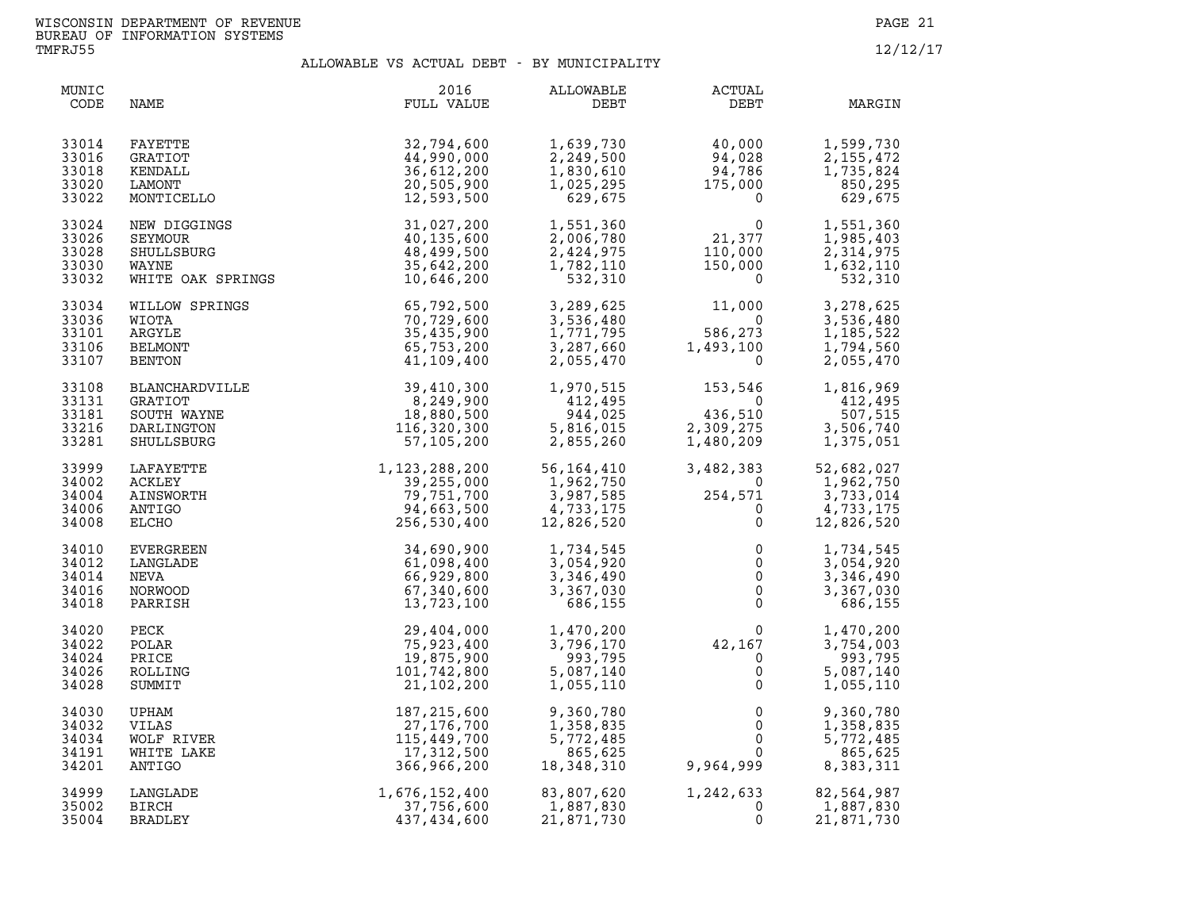| MUNIC<br>CODE                             | NAME                                                                 | 2016<br>FULL VALUE                                                                | ALLOWABLE<br>DEBT                                                | ACTUAL<br>DEBT                                                                                | MARGIN                                                          |
|-------------------------------------------|----------------------------------------------------------------------|-----------------------------------------------------------------------------------|------------------------------------------------------------------|-----------------------------------------------------------------------------------------------|-----------------------------------------------------------------|
| 33014<br>33016<br>33018<br>33020<br>33022 | FAYETTE<br><b>GRATIOT</b><br>KENDALL<br>LAMONT<br>MONTICELLO         | 32,794,600<br>44,990,000<br>36,612,200<br>20,505,900<br>12,593,500                | 1,639,730<br>2,249,500<br>1,830,610<br>1,025,295<br>629,675      | 40,000<br>94,028<br>94,786<br>175,000<br>$\Omega$                                             | 1,599,730<br>2, 155, 472<br>1,735,824<br>850,295<br>629,675     |
| 33024<br>33026<br>33028<br>33030<br>33032 | NEW DIGGINGS<br>SEYMOUR<br>SHULLSBURG<br>WAYNE<br>WHITE OAK SPRINGS  | 31,027,200<br>40,135,600<br>48,499,500<br>35,642,200<br>10,646,200                | 1,551,360<br>2,006,780<br>2,424,975<br>1,782,110<br>532,310      | $\begin{array}{c} 0 \\ 21,377 \\ 110,920 \end{array}$<br>110,000<br>150,000<br>$\overline{0}$ | 1,551,360<br>1,985,403<br>2,314,975<br>1,632,110<br>532,310     |
| 33034<br>33036<br>33101<br>33106<br>33107 | WILLOW SPRINGS<br>WIOTA<br>ARGYLE<br><b>BELMONT</b><br>BENTON        | 65,792,500<br>70,729,600<br>35,435,900<br>65,753,200<br>41,109,400                | 3,289,625<br>3,536,480<br>1,771,795<br>3,287,660<br>2,055,470    | 11,000<br>0<br>586,273<br>1,493,100<br>$\overline{0}$                                         | 3,278,625<br>3,536,480<br>1,185,522<br>1,794,560<br>2,055,470   |
| 33108<br>33131<br>33181<br>33216<br>33281 | BLANCHARDVILLE<br>GRATIOT<br>SOUTH WAYNE<br>DARLINGTON<br>SHULLSBURG | 39,410,300<br>8,249,900<br>18,880,500<br>116,320,300<br>57,105,200                | 1,970,515<br>412,495<br>944,025<br>5,816,015<br>2,855,260        | 153,546<br>$\overline{\mathbf{0}}$<br>436,510<br>2,309,275<br>1,480,209                       | 1,816,969<br>412,495<br>507,515<br>3,506,740<br>1,375,051       |
| 33999<br>34002<br>34004<br>34006<br>34008 | LAFAYETTE<br>ACKLEY<br>AINSWORTH<br>ANTIGO<br>ELCHO                  | 1, 123, 288, 200<br>39, 255, 000<br>79, 751, 700<br>94, 663, 500<br>256, 530, 400 | 56,164,410<br>1,962,750<br>3,987,585<br>4,733,175<br>12,826,520  | 3,482,383<br>$254,571$<br>0<br>0<br>0                                                         | 52,682,027<br>1,962,750<br>3,733,014<br>4,733,175<br>12,826,520 |
| 34010<br>34012<br>34014<br>34016<br>34018 | EVERGREEN<br>LANGLADE<br>NEVA<br>NORWOOD<br>PARRISH                  | 34,690,900<br>61,098,400<br>66,929,800<br>67,340,600<br>13,723,100                | 1,734,545<br>3,054,920<br>3,346,490<br>3,367,030<br>686,155      | $\mathsf{O}$<br>0<br>$\mathsf{O}$<br>$\overline{0}$<br>$\mathsf{O}$                           | 1,734,545<br>3,054,920<br>3,346,490<br>3,367,030<br>686,155     |
| 34020<br>34022<br>34024<br>34026<br>34028 | PECK<br>POLAR<br>PRICE<br>ROLLING<br>SUMMIT                          | 29,404,000<br>75,923,400<br>19,875,900<br>101,742,800<br>21,102,200               | 1,470,200<br>3,796,170<br>993,795<br>5,087,140<br>1,055,110      | $\begin{smallmatrix}&&&0\&42\, ,\,167\&&0\0\end{smallmatrix}$<br>$\mathbf{0}$                 | 1,470,200<br>3,754,003<br>993,795<br>5,087,140<br>1,055,110     |
| 34030<br>34032<br>34034<br>34191<br>34201 | UPHAM<br>VILAS<br>WOLF RIVER<br>WHITE LAKE<br>ANTIGO                 | 187, 215, 600<br>27,176,700<br>115,449,700<br>17,312,500<br>366,966,200           | 9,360,780<br>1,358,835<br>5,772,485<br>865,625<br>18,348,310     | $\mathsf{O}\xspace$<br>$\Omega$<br>$\mathsf{O}\xspace$<br>0<br>9,964,999                      | 9,360,780<br>1,358,835<br>5,772,485<br>865,625<br>8,383,311     |
| 34999<br>35002<br>35004                   | LANGLADE<br>BIRCH<br>BRADLEY                                         | 1,676,152,400<br>37,756,600<br>437,434,600                                        | 83,807,620<br>, دہ , دہ<br>1,887,830<br>-- 071 730<br>21,871,730 | 1,242,633<br>$\Omega$<br>$\Omega$                                                             | 82,564,987<br>1,887,830<br>21,871,730                           |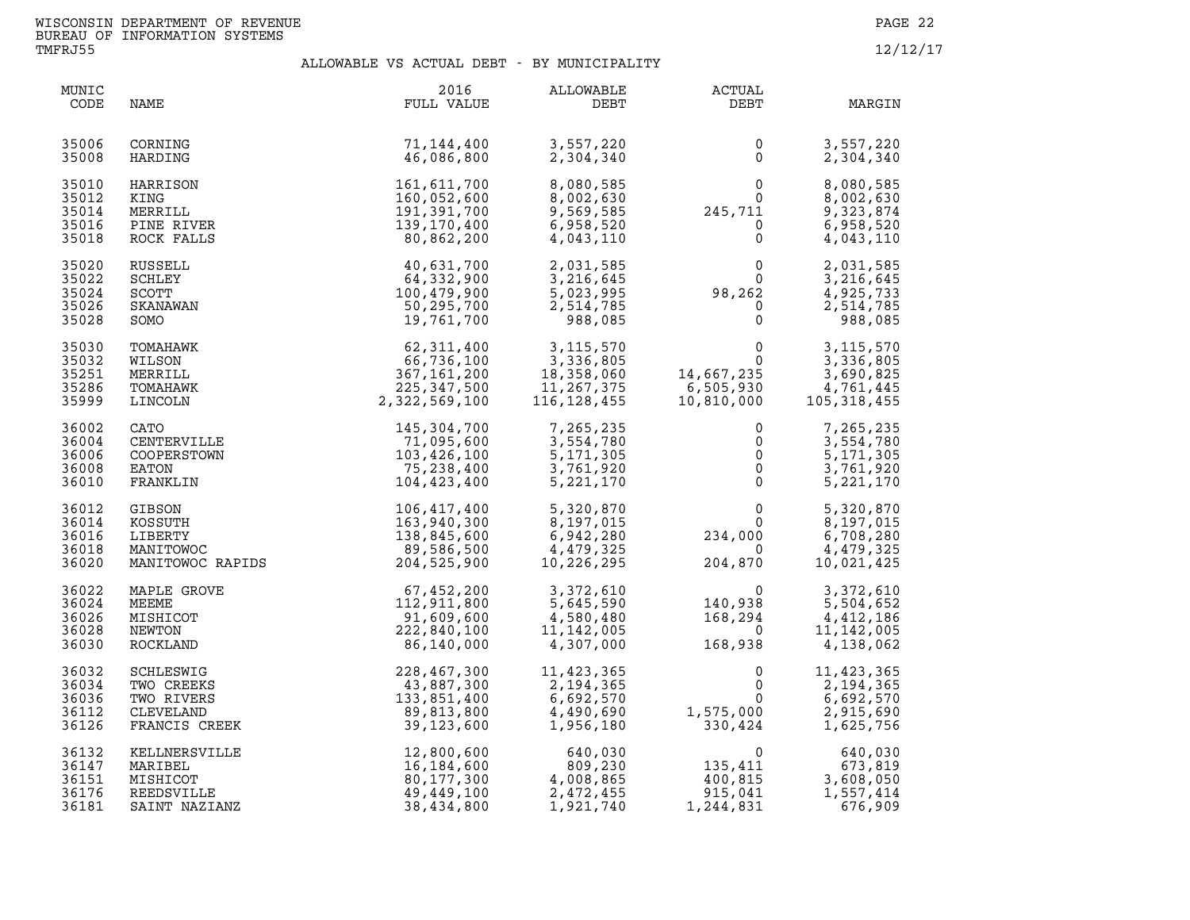| MUNIC<br>CODE                             | NAME                                                                | 2016<br>FULL VALUE                                                                   | ALLOWABLE<br>DEBT                                                                              | <b>ACTUAL</b><br>DEBT                                                                                                                                          | MARGIN                                                                                                     |
|-------------------------------------------|---------------------------------------------------------------------|--------------------------------------------------------------------------------------|------------------------------------------------------------------------------------------------|----------------------------------------------------------------------------------------------------------------------------------------------------------------|------------------------------------------------------------------------------------------------------------|
| 35006<br>35008                            | CORNING<br>HARDING                                                  | 71,144,400<br>46,086,800                                                             | 3,557,220<br>2,304,340                                                                         | 0<br>$\mathbf{0}$                                                                                                                                              | 3,557,220<br>2,304,340                                                                                     |
| 35010<br>35012<br>35014<br>35016<br>35018 | HARRISON<br>KING<br>MERRILL<br>PINE RIVER<br>ROCK FALLS             | 161,611,700<br>160,052,600<br>191,391,700<br>139,170,400<br>80,862,200               | 8,080,585<br>8,002,630<br>9,569,585<br>6,958,520<br>4,043,110                                  | $\begin{smallmatrix}&&&0\0&&&0\245\,,711\0&&&0\end{smallmatrix}$                                                                                               | 8,080,585<br>8,002,630<br>9,323,874<br>6,958,520<br>4,043,110                                              |
| 35020<br>35022<br>35024<br>35026<br>35028 | RUSSELL<br>SCHLEY<br><b>SCOTT</b><br>SKANAWAN<br>SOMO               | 40,631,700<br>64,332,900<br>100,479,900<br>50,295,700<br>19,761,700                  | 2,031,585<br>3,216,645<br>5,023,995<br>2,514,785<br>988,085                                    | $98,262$<br>0<br>0<br>0<br>0                                                                                                                                   | 2,031,585<br>3,216,645<br>$\begin{bmatrix} 2 \\ 0 \\ 0 \end{bmatrix}$<br>4,925,733<br>2,514,785<br>988,085 |
| 35030<br>35032<br>35251<br>35286<br>35999 | TOMAHAWK<br>WILSON<br>MERRILL<br>TOMAHAWK<br>LINCOLN                | 62,311,400<br>66,736,100<br>367, 161, 200<br>225,347,500<br>2,322,569,100            | 3,115,570<br>3,336,805<br>18,358,060<br>11,267,375<br>116,128,455<br>11,267,375<br>116,128,455 | $\overline{0}$<br>$\overline{0}$<br>14,667,235<br>6,505,930<br>10,810,000                                                                                      | 3, 115, 570<br>3,336,805<br>3,690,825<br>4,761,445<br>105, 318, 455                                        |
| 36002<br>36004<br>36006<br>36008<br>36010 | CATO<br>CENTERVILLE<br>COOPERSTOWN<br>EATON<br>FRANKLIN             | 145,304,700<br>71,095,600<br>103,426,100<br>75,238,400<br>104,423,400                | 7,265,235<br>3,554,780<br>5, 171, 305<br>3,761,920<br>5,221,170                                | $\mathbf 0$<br>$\mathsf{O}$<br>$\begin{matrix} 0 \\ 0 \end{matrix}$<br>$\Omega$                                                                                | 7,265,235<br>3,554,780<br>5, 171, 305<br>3,761,920<br>5,221,170                                            |
| 36012<br>36014<br>36016<br>36018<br>36020 |                                                                     | GIBSON<br>KOSSUTH 163,940,300<br>LIBERTY 138,845,600<br>MANITOWOC RAPIDS 204,525,900 | 5,320,870<br>8,197,015<br>$\overline{1}$<br>6,942,280<br>4,479,325<br>10,226,295               | $\begin{smallmatrix}&&&0\\&&&0\\0&&&&0\\2&3&4&\mathbf{,}\ 0&0&0\end{smallmatrix}$<br>$\overline{0}$<br>$\begin{smallmatrix}&&&0\0&204\,,&870\end{smallmatrix}$ | 5,320,870<br>8,197,015<br>6,708,280<br>4,479,325<br>10,021,425                                             |
| 36022<br>36024<br>36026<br>36028<br>36030 | MAPLE GROVE<br>MEEME<br>MISHICOT<br>NEWTON<br>ROCKLAND              | 67,452,200<br>112,911,800<br>91,609,600<br>222,840,100<br>86,140,000                 | 3,372,610<br>5,645,590<br>4,580,480<br>11,142,005<br>4,307,000                                 | $\begin{smallmatrix}&&&0\140,938\168,294\0\168,938\end{smallmatrix}$                                                                                           | 3,372,610<br>5,504,652<br>4,412,186<br>11, 142, 005<br>4,138,062                                           |
| 36032<br>36034<br>36036<br>36112<br>36126 | SCHLESWIG<br>TWO CREEKS<br>TWO RIVERS<br>CLEVELAND<br>FRANCIS CREEK | 228, 467, 300<br>43, 887, 300<br>133, 851, 400<br>89, 813, 800<br>39, 123, 600       | $11, 42, 7, 2, 194, 365$<br>2, 194, 365<br>6,692,570<br>4,490,690<br>1,956,180                 | 0<br>$\mathbf 0$<br>$1,575,000$<br>330,424                                                                                                                     | 11,423,365<br>2,194,365<br>6,692,570<br>2,915,690<br>1,625,756                                             |
| 36132<br>36147<br>36151<br>36176<br>36181 | KELLNERSVILLE<br>MARIBEL<br>MISHICOT<br>REEDSVILLE<br>SAINT NAZIANZ | 12,800,600<br>16,184,600<br>80,177,300<br>49,449,100<br>38,434,800                   | 640,030<br>809,230<br>4,008,865<br>2,472,455<br>1,921,740                                      | $\begin{array}{c} 0 \ 135,411 \ 400,815 \ 915,041 \end{array}$<br>915,041<br>1,244,831                                                                         | 640,030<br>673,819<br>3,608,050<br>1,557,414<br>676,909                                                    |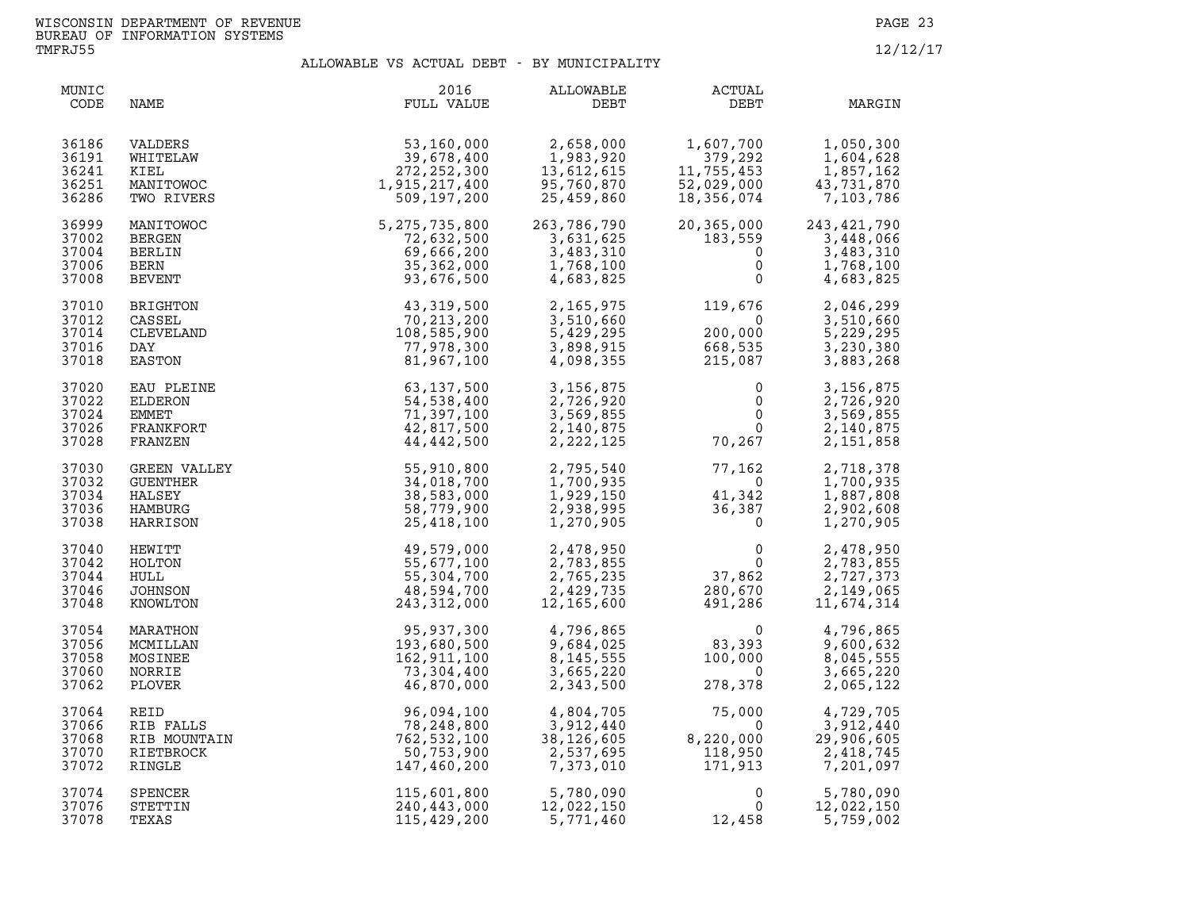| MUNIC<br>CODE                             | NAME                                                | 2016<br>FULL VALUE                                                    | ALLOWABLE<br>DEBT                                                | <b>ACTUAL</b><br>DEBT                                                     | MARGIN                                                         |
|-------------------------------------------|-----------------------------------------------------|-----------------------------------------------------------------------|------------------------------------------------------------------|---------------------------------------------------------------------------|----------------------------------------------------------------|
| 36186                                     | VALDERS                                             | 53,160,000                                                            | 2,658,000                                                        | 1,607,700                                                                 | 1,050,300                                                      |
| 36191                                     | WHITELAW                                            | 39,678,400                                                            | 1,983,920                                                        | 379,292                                                                   | 1,604,628                                                      |
| 36241                                     | KIEL                                                | 272, 252, 300                                                         | 13,612,615                                                       | 11,755,453                                                                | 1,857,162                                                      |
| 36251                                     | MANITOWOC                                           | 1,915,217,400                                                         | 95,760,870                                                       | 52,029,000                                                                | 43,731,870                                                     |
| 36286                                     | TWO RIVERS                                          | 509,197,200                                                           | 25,459,860                                                       | 18,356,074                                                                | 7,103,786                                                      |
| 36999                                     | MANITOWOC                                           | 5, 275, 735, 800                                                      | 263,786,790                                                      | 20,365,000                                                                | 243, 421, 790                                                  |
| 37002                                     | BERGEN                                              | 72,632,500                                                            | 3,631,625                                                        | 183,559                                                                   | 3,448,066                                                      |
| 37004                                     | BERLIN                                              | 69,666,200                                                            | 3,483,310                                                        | $\mathbf 0$                                                               | 3,483,310                                                      |
| 37006                                     | BERN                                                | 35, 362, 000                                                          | 1,768,100                                                        | $\mathbf 0$                                                               | 1,768,100                                                      |
| 37008                                     | <b>BEVENT</b>                                       | 93,676,500                                                            | 4,683,825                                                        | $\mathbf 0$                                                               | 4,683,825                                                      |
| 37010                                     | BRIGHTON                                            | 43,319,500                                                            | 2,165,975                                                        | 119,676                                                                   | 2,046,299                                                      |
| 37012                                     | CASSEL                                              | 70, 213, 200                                                          | 3,510,660                                                        | $\overline{0}$                                                            | 3,510,660                                                      |
| 37014                                     | CLEVELAND                                           | 108,585,900                                                           | 5,429,295                                                        | 200,000                                                                   | 5,229,295                                                      |
| 37016                                     | DAY                                                 | 77,978,300                                                            | 3,898,915                                                        | 668,535                                                                   | 3,230,380                                                      |
| 37018                                     | EASTON                                              | 81,967,100                                                            | 4,098,355                                                        | 215,087                                                                   | 3,883,268                                                      |
| 37020                                     | EAU PLEINE                                          | 63, 137, 500                                                          | 3,156,875                                                        | $\mathbf 0$                                                               | 3,156,875                                                      |
| 37022                                     | ELDERON                                             | 54,538,400                                                            | 2,726,920                                                        | 0                                                                         | 2,726,920                                                      |
| 37024                                     | <b>EMMET</b>                                        | 71,397,100                                                            | 3,569,855                                                        | $\overline{0}$                                                            | 3,569,855                                                      |
| 37026                                     | FRANKFORT                                           | 42,817,500                                                            | 2,140,875                                                        | $\overline{0}$                                                            | 2,140,875                                                      |
| 37028                                     | FRANZEN                                             | 44,442,500                                                            | 2,222,125                                                        | 70,267                                                                    | 2,151,858                                                      |
| 37030                                     | GREEN VALLEY                                        | 55,910,800                                                            | 2,795,540                                                        | 77,162                                                                    | 2,718,378                                                      |
| 37032                                     | GUENTHER                                            | 34,018,700                                                            | 1,700,935                                                        | $\overline{0}$                                                            | 1,700,935                                                      |
| 37034                                     | HALSEY                                              | 38,583,000                                                            | 1,929,150                                                        | 41,342                                                                    | 1,887,808                                                      |
| 37036                                     | HAMBURG                                             | 58,779,900                                                            | 2,938,995                                                        | 36,387                                                                    | 2,902,608                                                      |
| 37038                                     | HARRISON                                            | 25,418,100                                                            | 1,270,905                                                        | $\overline{0}$                                                            | 1,270,905                                                      |
| 37040<br>37042<br>37044<br>37046<br>37048 | HEWITT<br>HOLTON<br>HULL<br>JOHNSON<br>KNOWLTON     | 49,579,000<br>55,677,100<br>55,304,700<br>48,594,700<br>243, 312, 000 | 2,478,950<br>2,783,855<br>2,765,235<br>2,429,735<br>12, 165, 600 | $\begin{smallmatrix}0&0\\0&37,862\end{smallmatrix}$<br>280,670<br>491,286 | 2,478,950<br>2,783,855<br>2,727,373<br>2,149,065<br>11,674,314 |
| 37054<br>37056<br>37058<br>37060<br>37062 | MARATHON<br>MCMILLAN<br>MOSINEE<br>NORRIE<br>PLOVER | 95,937,300<br>193,680,500<br>162,911,100<br>73,304,400<br>46,870,000  | 4,796,865<br>9,684,025<br>8,145,555<br>3,665,220<br>2,343,500    | $\Omega$<br>$83,393$<br>$100,000$<br>0<br>278,378                         | 4,796,865<br>9,600,632<br>8,045,555<br>3,665,220<br>2,065,122  |
| 37064                                     | REID                                                | 96,094,100                                                            | 4,804,705                                                        | 75,000                                                                    | 4,729,705                                                      |
| 37066                                     | RIB FALLS                                           | 78,248,800                                                            | 3,912,440                                                        | $\overline{0}$                                                            | 3,912,440                                                      |
| 37068                                     | RIB MOUNTAIN                                        | 762,532,100                                                           | 38,126,605                                                       | 8,220,000                                                                 | 29,906,605                                                     |
| 37070                                     | RIETBROCK                                           | 50,753,900                                                            | 2,537,695                                                        | 118,950                                                                   | 2,418,745                                                      |
| 37072                                     | RINGLE                                              | 147,460,200                                                           | 7,373,010                                                        | 171,913                                                                   | 7,201,097                                                      |
| 37074                                     | SPENCER                                             | 115,601,800                                                           | 5,780,090                                                        | 0                                                                         | 5,780,090                                                      |
| 37076                                     | STETTIN                                             | 240,443,000                                                           | 12,022,150                                                       | $\mathbf{0}$                                                              | 12,022,150                                                     |
| 37078                                     | TEXAS                                               | 115,429,200                                                           | 5,771,460                                                        | 12,458                                                                    | 5,759,002                                                      |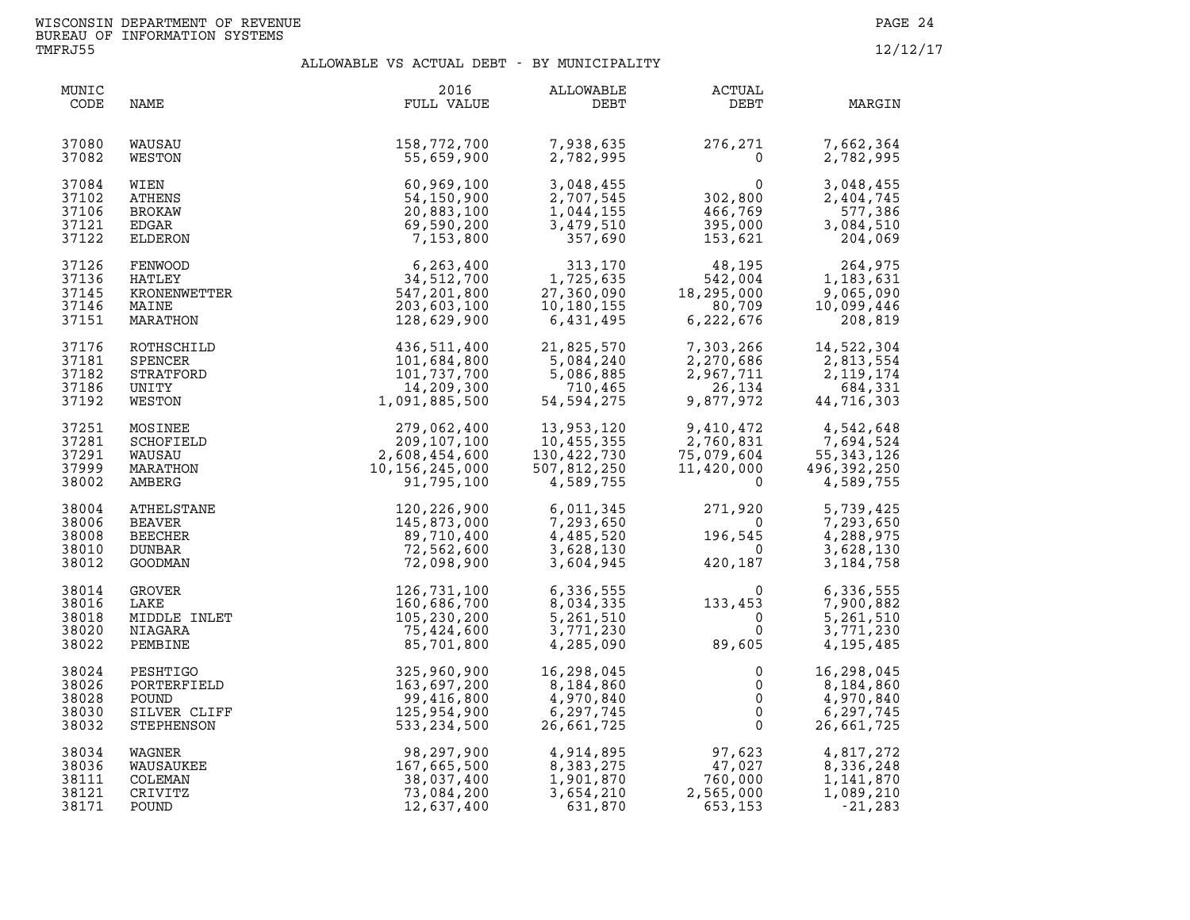| MUNIC<br>CODE                             | NAME                                                            | 2016<br>FULL VALUE                                                          | ALLOWABLE<br>DEBT                                                              | ACTUAL<br>DEBT                                                                                                                     | MARGIN                                                              |
|-------------------------------------------|-----------------------------------------------------------------|-----------------------------------------------------------------------------|--------------------------------------------------------------------------------|------------------------------------------------------------------------------------------------------------------------------------|---------------------------------------------------------------------|
| 37080<br>37082                            | WAUSAU<br>WESTON                                                | 158,772,700<br>55,659,900                                                   | 7,938,635<br>2,782,995                                                         | 276,271<br>$\Omega$                                                                                                                | 7,662,364<br>2,782,995                                              |
| 37084<br>37102<br>37106<br>37121<br>37122 | WIEN<br>ATHENS<br><b>BROKAW</b><br>EDGAR<br>ELDERON             | 60,969,100<br>54,150,900<br>20,883,100<br>69,590,200<br>7,153,800           | 3,048,455<br>2,707,545<br>1,044,155<br>3,479,510<br>357,690                    | 0<br>302,800<br>466,769<br>395,000<br>153,621                                                                                      | 3,048,455<br>2,404,745<br>577,386<br>3,084,510<br>204,069           |
| 37126<br>37136<br>37145<br>37146<br>37151 | FENWOOD<br>HATLEY<br>KRONENWETTER<br>MATNE<br>MAINE<br>MARATHON | 6, 263, 400<br>34,512,700<br>547,201,800<br>203,603,100<br>128,629,900      | 313,170<br>1,725,635<br>27,360,090<br>10,180,155<br>6,431,495                  | 48,195<br>542,004<br>18,295,000<br>80,709<br>6,222,676                                                                             | 264,975<br>1,183,631<br>9,065,090<br>10,099,446<br>208,819          |
| 37176<br>37181<br>37182<br>37186<br>37192 | ROTHSCHILD<br>SPENCER<br>STRATFORD<br>UNITY<br>WESTON           | 436,511,400<br>101,684,800<br>101,737,700<br>14,209,300<br>1,091,885,500    | 21,825,570<br>$21, 02, 240$<br>5,084,240<br>5,086,885<br>710,465<br>54,594,275 | 7,303,266<br>7, 303, 23<br>2, 270, 686<br>^^7_711<br>26,134<br>9,877,972                                                           | $14, 522, 554$<br>2,813,554<br>2, 119, 174<br>684,331<br>44,716,303 |
| 37251<br>37281<br>37291<br>37999<br>38002 | MOSINEE<br>SCHOFIELD<br>WAUSAU<br>MARATHON<br>AMBERG            | 279,062,400<br>209,107,100<br>2,608,454,600<br>10,156,245,000<br>91,795,100 | 13,953,120<br>10,455,355<br>130,422,730<br>507,812,250<br>4,589,755            | 9,410,472<br>2,760,831<br>2,760,831<br>75,079,604<br>11,420,000  4<br>0                                                            | 4,542,648<br>7,694,524<br>55, 343, 126<br>496,392,250<br>4,589,755  |
| 38004<br>38006<br>38008<br>38010<br>38012 | ATHELSTANE<br><b>BEAVER</b><br>BEECHER<br>DUNBAR<br>GOODMAN     | 120,226,900<br>145,873,000<br>89,710,400<br>72,562,600<br>72,098,900        | 6,011,345<br>7,293,650<br>4,485,520<br>3,628,130<br>3,604,945                  | 271,920<br>$\overline{\mathbf{0}}$<br>196,545<br>$\overline{0}$<br>420,187                                                         | 5,739,425<br>7,293,650<br>4,288,975<br>3,628,130<br>3,184,758       |
| 38014<br>38016<br>38018<br>38020<br>38022 | GROVER<br>LAKE<br>MIDDLE INLET<br>NIAGARA<br>PEMBINE            | 126,731,100<br>160,686,700<br>105,230,200<br>75,424,600<br>85,701,800       | 6,336,555<br>8,034,335<br>5,261,510<br>3,771,230<br>4,285,090                  | $\begin{smallmatrix}&&&0\133\,,\,4\,5\,3\0\0\phantom{0}0\phantom{0}\0\phantom{0}\phantom{0}\,0\end{smallmatrix}$<br>$\overline{0}$ | 6,336,555<br>7,900,882<br>5,261,510<br>3,771,230<br>4,195,485       |
| 38024<br>38026<br>38028<br>38030<br>38032 | PESHTIGO<br>PORTERFIELD<br>POUND<br>SILVER CLIFF<br>STEPHENSON  | 325,960,900<br>163,697,200<br>99,416,800<br>125,954,900<br>533,234,500      | 16,298,045<br>8,184,860<br>4,970,840<br>6,297,745<br>26,661,725                | 0<br>$\mathsf{O}$<br>$\mathsf{O}$<br>$\mathsf{O}$<br>$\Omega$                                                                      | 16,298,045<br>8,184,860<br>4,970,840<br>6,297,745<br>26,661,725     |
| 38034<br>38036<br>38111<br>38121<br>38171 | WAGNER<br>WAUSAUKEE<br>COLEMAN<br>CRIVITZ<br>POUND              | 98,297,900<br>167,665,500<br>38,037,400<br>73,084,200<br>12,637,400         | 4,914,895<br>8,383,275<br>1,901,870<br>3,654,210<br>631,870                    | 97,623<br>47,027<br>760,000<br>2,565,000<br>653,153                                                                                | 4,817,272<br>8,336,248<br>1,141,870<br>1,089,210<br>$-21,283$       |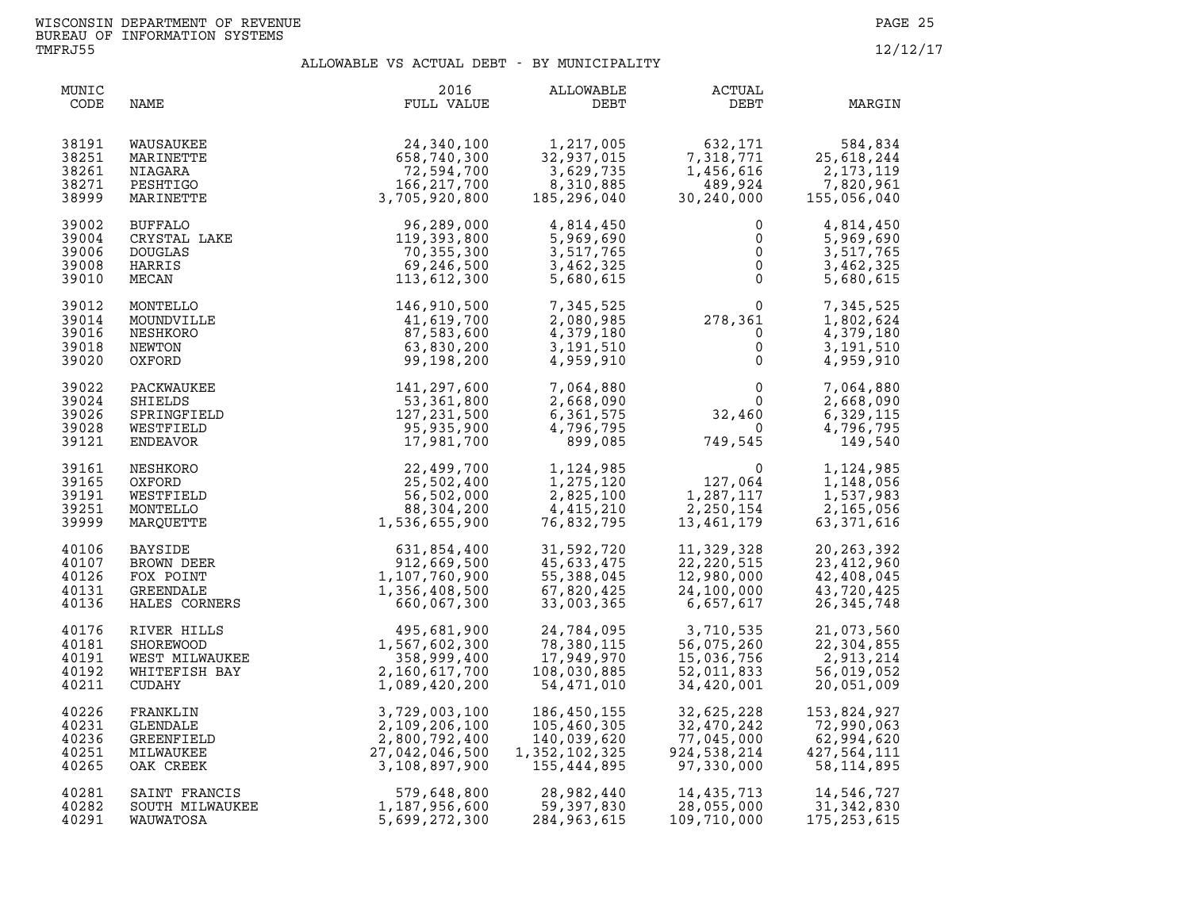| MUNIC<br>CODE                             | NAME                                                                    | 2016<br>FULL VALUE                                                                 | ALLOWABLE<br>DEBT                                                                                              | ACTUAL<br>DEBT                                                                                                                  | MARGIN                                                                           |
|-------------------------------------------|-------------------------------------------------------------------------|------------------------------------------------------------------------------------|----------------------------------------------------------------------------------------------------------------|---------------------------------------------------------------------------------------------------------------------------------|----------------------------------------------------------------------------------|
| 38191<br>38251<br>38261<br>38271<br>38999 | WAUSAUKEE<br>MARINETTE<br>NIAGARA<br>PESHTIGO<br>MARINETTE              | 24,340,100<br>658,740,300<br>72,594,700<br>166,217,700<br>3,705,920,800            | $1,217,005$<br>32.927.005<br>3,629,735<br>8,310,885<br>185,296,040                                             | $632,171$<br>7,318<br>$\begin{array}{cc} \n 71 & 25 \\  \times 456,616 & 2 \\  489,924 & 7.8 \\  30,240,000 & 15\n \end{array}$ | 584,834<br>25,618,244<br>2,173,119<br>7,820,961<br>155,056,040                   |
| 39002<br>39004<br>39006<br>39008<br>39010 | BUFFALO<br>CRYSTAL LAKE<br><b>DOUGLAS</b><br>HARRIS<br>MECAN            | 96,289,000<br>119,393,800<br>70,355,300<br>69,246,500<br>113,612,300               | 4,814,450<br>5,969,690<br>3,517,765<br>3,462,325<br>5,680,615                                                  | $\begin{bmatrix} 0 \\ 0 \end{bmatrix}$<br>$\overline{0}$                                                                        | 4,814,450<br>5,969,690<br>3,517,765<br>3,462,325<br>5,680,615                    |
| 39012<br>39014<br>39016<br>39018<br>39020 | MONTELLO<br>MOUNDVILLE<br>NESHKORO<br>NEWTON<br>OXFORD                  | 146,910,500<br>41,619,700<br>87,583,600<br>63,830,200<br>99,198,200                | 7,345,525<br>2,080,985<br>4,379,180<br>3,191,510<br>4,959,910                                                  | $278,361$<br>0<br>0<br>0<br>0                                                                                                   | 7,345,525<br>1,802,624<br>4,379,180<br>3,191,510<br>4,959,910                    |
| 39022<br>39024<br>39026<br>39028<br>39121 | PACKWAUKEE<br>SHIELDS<br>SPRINGFIELD<br>WESTFIELD<br>ENDEAVOR           | 141,297,600<br>53,361,800<br>127, 231, 500<br>95,935,900<br>17,981,700             | 7,064,880<br>2,668,090<br>6,361,575<br>4,796,795<br>899,085                                                    | $\begin{smallmatrix}&&&0\\&&0\\0&2\\2&4&6&0\\&&-1\end{smallmatrix}$<br>$\overline{0}$<br>749,545                                | $0 \qquad \qquad$<br>7,064,880<br>2,668,090<br>6,329,115<br>4,796,795<br>149,540 |
| 39161<br>39165<br>39191<br>39251<br>39999 | NESHKORO<br>OXFORD<br>WESTFIELD<br>MONTELLO<br>MAROUETTE                | $22,499,700$<br>$25,502,400$<br>$56,502,000$<br>$88,304,200$<br>$1,536,655,900$    | $\label{eq:2.1} \frac{1}{2} \int_{-\infty}^{\infty} \frac{1}{2} \, \mathrm{d} x \, \mathrm{d} x$<br>76,832,795 | 1, 124, 985<br>1, 275, 120<br>2, 825, 100<br>4, 415, 210<br>76, 832, 795<br>13, 461, 179                                        | 1,124,985<br>1,148,056<br>1,537,983<br>2,165,056<br>63, 371, 616                 |
| 40106<br>40107<br>40126<br>40131<br>40136 | <b>BAYSIDE</b><br>BROWN DEER<br>FOX POINT<br>GREENDALE<br>HALES CORNERS | $631, 854, 400$<br>912,669,500<br>91,107,760,900<br>1,356,408,500<br>660,067,300   | 31,592,720<br>45,633,475<br>55,388,045<br>67,820,425<br>33,003,365                                             | 11,329,328<br>22, 220, 515<br>12,980,000<br>24,100,000<br>6,657,617                                                             | 20, 263, 392<br>23,412,960<br>42,408,045<br>43,720,425<br>26, 345, 748           |
| 40176<br>40181<br>40191<br>40192<br>40211 | RIVER HILLS<br>SHOREWOOD<br>WEST MILWAUKEE<br>WHITEFISH BAY<br>CUDAHY   | 495,681,900<br>1,567,602,300<br>358,999,400<br>2,160,617,700<br>1,089,420,200      | 24,784,095<br>78,380,115<br>17,949,970<br>108,030,885<br>54,471,010                                            | 3,710,535<br>56,075,260<br>15,036,756<br>52,011,833<br>34,420,001                                                               | 21,073,560<br>22,304,855<br>2,913,214<br>56,019,052<br>20,051,009                |
| 40226<br>40231<br>40236<br>40251<br>40265 | FRANKLIN<br>GLENDALE<br>GREENFIELD<br>MILWAUKEE<br>OAK CREEK            | 3,729,003,100<br>2,109,206,100<br>2,800,792,400<br>27,042,046,500<br>3,108,897,900 | 186,450,155<br>105,460,305<br>140,039,620<br>1,352,102,325<br>155,444,895                                      | 32,625,228<br>32,470,242<br>77,045,000<br>924,538,214<br>97,330,000                                                             | 153,824,927<br>72,990,063<br>62,994,620<br>427,564,111<br>58, 114, 895           |
| 40281<br>40282<br>40291                   | SAINT FRANCIS<br>SOUTH MILWAUKEE<br>WAUWATOSA                           | 579,648,800<br>1,187,956,600<br>5,699,272,300                                      | 28,982,440<br>59.397.920<br>59,397,830<br>284,963,615                                                          | 14, 435, 713<br>28,055,000<br>109,710,000                                                                                       | 14,546,727<br>31,342,830<br>175, 253, 615                                        |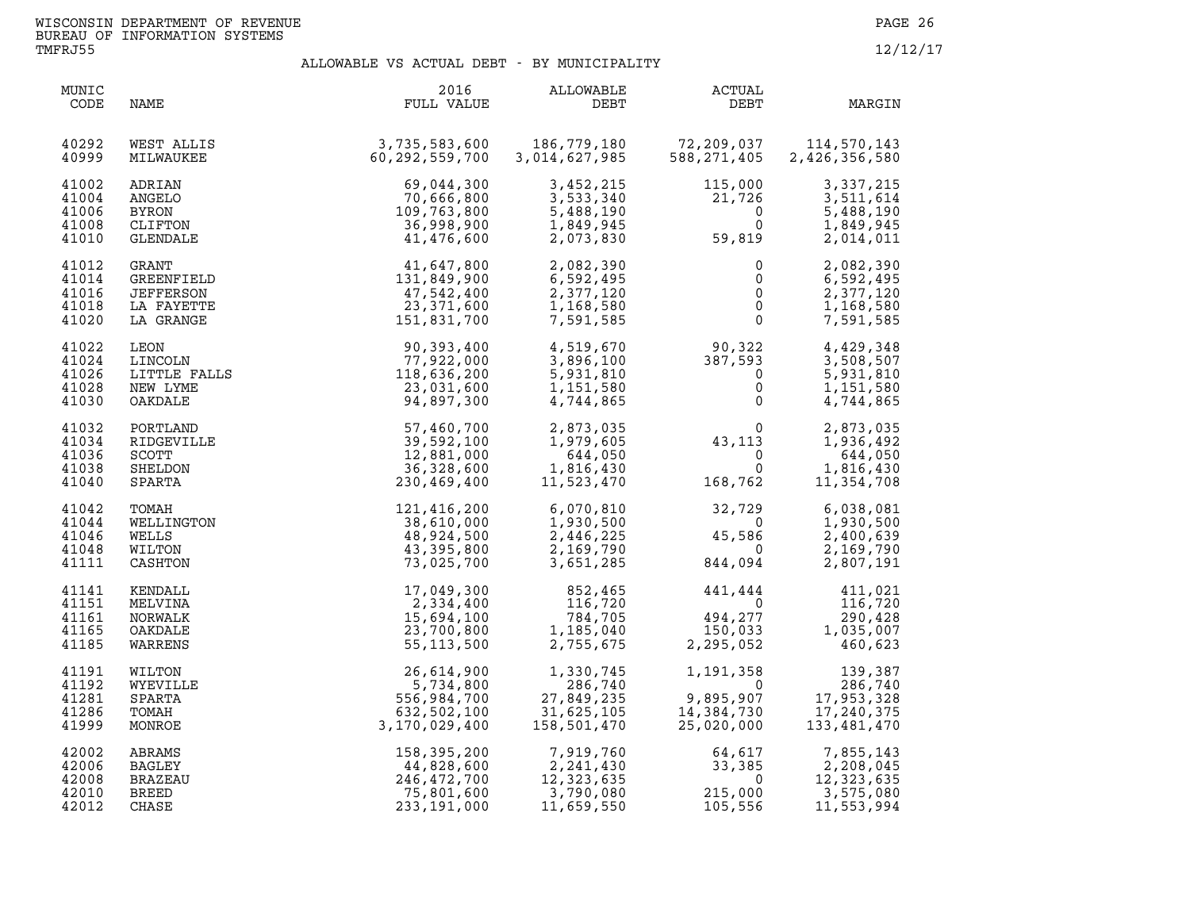| MUNIC<br>CODE                             | NAME                                                        | 2016<br>FULL VALUE                                                                                             | ALLOWABLE<br>DEBT                                               | ACTUAL<br>DEBT                                                                               | MARGIN                                                                                                       |
|-------------------------------------------|-------------------------------------------------------------|----------------------------------------------------------------------------------------------------------------|-----------------------------------------------------------------|----------------------------------------------------------------------------------------------|--------------------------------------------------------------------------------------------------------------|
| 40292<br>40999                            | WEST ALLIS<br>MILWAUKEE                                     | 3,735,583,600<br>60,292,559,700                                                                                | 186,779,180<br>3,014,627,985                                    | 72,209,037<br>588,271,405                                                                    | 114,570,143<br>2,426,356,580                                                                                 |
| 41002<br>41004<br>41006<br>41008<br>41010 | ADRIAN<br>ANGELO<br>BYRON<br>CLIFTON<br>GLENDALE            | 69,044,300<br>70,666,800<br>109,763,800<br>36,998,900<br>41,476,600                                            | 3,452,215<br>3,533,340<br>5,488,190<br>1,849,945<br>2,073,830   | $115,000$<br>$21,726$<br>$0$<br>$59,819$<br>$\begin{bmatrix} 726\0\0\end{bmatrix}$<br>59,819 | 3,337,215<br>3,511,614<br>5,488,190<br>1,849,945<br>2,014,011                                                |
| 41012<br>41014<br>41016<br>41018<br>41020 | GRANT<br>GREENFIELD<br>JEFFERSON<br>LA FAYETTE<br>LA GRANGE | $11,647,800$<br>$131,849,900$<br>$47,542,400$<br>$23,371,600$<br>$151,831,700$<br>$90,393,400$                 | 2,082,390<br>6,592,495<br>2,377,120<br>1,168,580<br>7,591,585   | $\overline{0}$<br>$\overline{0}$                                                             | 2,082,390<br>6,592,495<br>2,377,120<br>$\begin{bmatrix} 0 \\ 0 \\ 0 \end{bmatrix}$<br>1,168,580<br>7,591,585 |
| 41022<br>41024<br>41026<br>41028<br>41030 |                                                             | LEON 90,393,400<br>LINCOLN 77,922,000<br>LITTLE FALLS 118,636,200<br>NEW LYME 23,031,600<br>OAKDALE 94,897,300 | 4,519,670<br>3,896,100<br>5,931,810<br>1,151,580<br>4,744,865   | $90,322$<br>$387,593$<br>$0$<br>$0$<br>$0$                                                   | 4,429,348<br>3,508,507<br>5,931,810<br>1,151,580<br>4,744,865                                                |
| 41032<br>41034<br>41036<br>41038<br>41040 | PORTLAND<br>RIDGEVILLE<br>SCOTT<br>SHELDON<br>SPARTA        | 57,460,700<br>39,592,100<br>12,881,000<br>36,328,600<br>230,469,400                                            | 2,873,035<br>1,979,605<br>644,050<br>1,816,430<br>11,523,470    | $\begin{array}{c} 0 \\ 43,113 \\ 0 \\ 0 \\ 168,762 \end{array}$                              | 2,873,035<br>$\overline{0}$<br>1,936,492<br>644,050<br>1,816,430<br>11,354,708                               |
| 41042<br>41044<br>41046<br>41048<br>41111 | TOMAH<br>WELLINGTON<br>WELLS<br>WILTON<br>CASHTON           | 121,416,200<br>38,610,000<br>48,924,500<br>43,395,800<br>73,025,700                                            | 6,070,810<br>1,930,500<br>2,446,225<br>2,169,790<br>3,651,285   | $32,729$<br>0<br>45,586<br>0<br>844,094                                                      | 6,038,081<br>1,930,500<br>2,400,639<br>2,169,790<br>2,807,191                                                |
| 41141<br>41151<br>41161<br>41165<br>41185 | KENDALL<br>MELVINA<br>NORWALK<br>OAKDALE<br>WARRENS         | 17,049,300<br>2,334,400<br>15,694,100<br>23,700,800<br>55,113,500                                              | 852,465<br>116,720<br>784,705<br>1,185,040<br>2,755,675         | $441, 444$<br>$0$<br>$494, 277$<br>$150, 033$<br>$2, 295, 052$<br>2,295,052                  | 411,021<br>116,720<br>290,428<br>1,035,007<br>460,623                                                        |
| 41191<br>41192<br>41281<br>41286<br>41999 | WILTON<br>WYEVILLE<br>SPARTA<br>TOMAH<br>MONROE             | 26,614,900<br>5,734,800<br>556,984,700<br>632,502,100<br>3,170,029,400                                         | 1,330,745<br>286,740<br>27,849,235<br>31,625,105<br>158,501,470 | 1,191,358<br>$\overline{0}$<br>9,895,907<br>14,384,730<br>25,020,000                         | $\begin{array}{c} 139,387 \\ 286,740 \\ 17,953,328 \\ 17,240,375 \end{array}$<br>133,481,470                 |
| 42002<br>42006<br>42008<br>42010<br>42012 | ABRAMS<br><b>BAGLEY</b><br>BRAZEAU<br><b>BREED</b><br>CHASE | 158,395,200<br>44,828,600<br>246,472,700<br>75,801,600<br>233, 191, 000                                        | 7,919,760<br>2,241,430<br>12,323,635<br>3,790,080<br>11,659,550 | $64, 617$<br>33, 385<br>0<br>215,000<br>105,556                                              | 7,855,143<br>2,208,045<br>12,323,635<br>3,575,080<br>11,553,994                                              |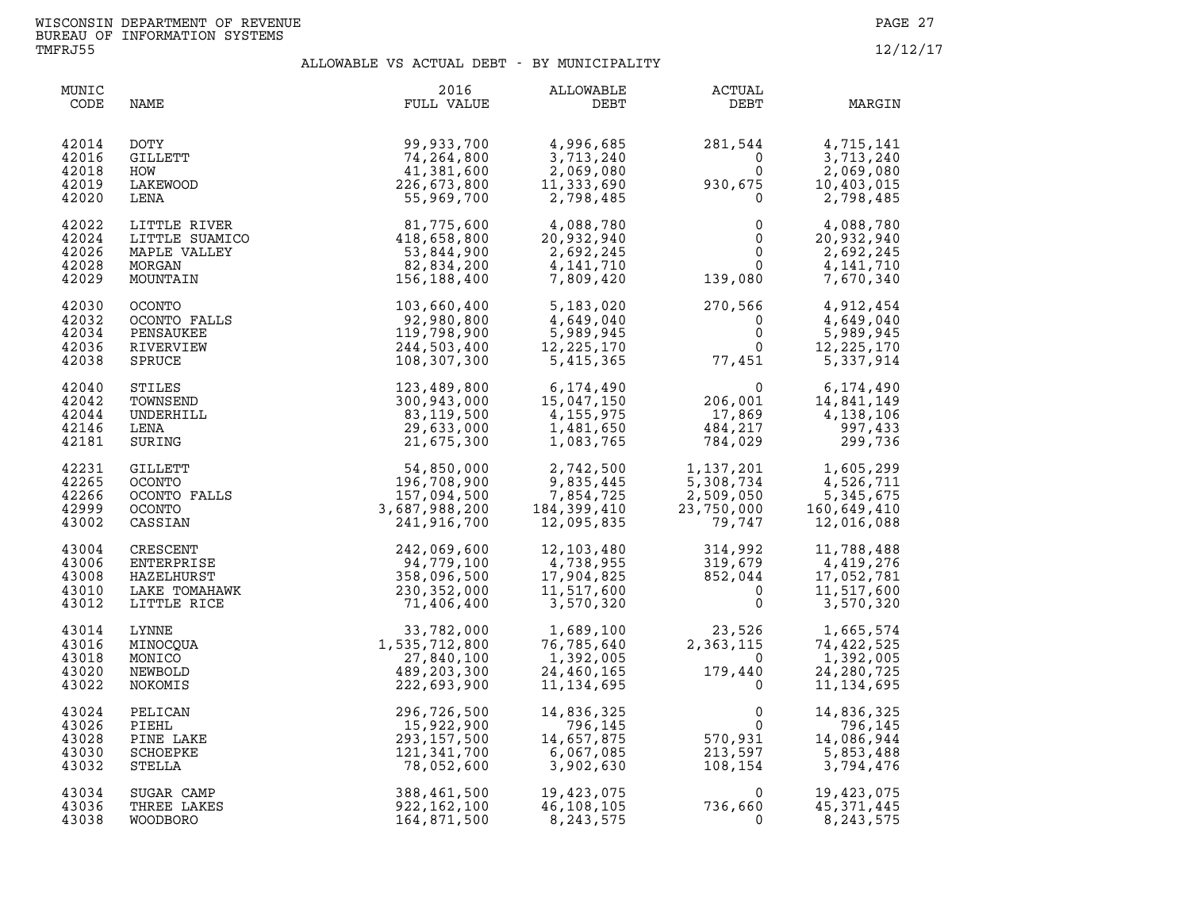| MUNIC<br>CODE                             | NAME                                                                 | 2016<br>FULL VALUE                                                                                                                                                                                                                                                               | ALLOWABLE<br>DEBT                                                                                  | <b>ACTUAL</b><br>DEBT                                                                                                                      | MARGIN                                                               |
|-------------------------------------------|----------------------------------------------------------------------|----------------------------------------------------------------------------------------------------------------------------------------------------------------------------------------------------------------------------------------------------------------------------------|----------------------------------------------------------------------------------------------------|--------------------------------------------------------------------------------------------------------------------------------------------|----------------------------------------------------------------------|
| 42014<br>42016<br>42018<br>42019<br>42020 | DOTY<br>GILLETT<br>HOW<br>LAKEWOOD<br>LENA                           | 99,933,700<br>74,264,800<br>41,381,600<br>226,673,800<br>55,969,700                                                                                                                                                                                                              | 4,996,685<br>3,713,240<br>$2, 333, 62, 2, 798, 485$<br>2,798,485                                   | 281,544<br>930,675                                                                                                                         | 4,715,141<br>3,713,240<br>2,069,080<br>10,403,015<br>2,798,485       |
| 42022<br>42024<br>42026<br>42028<br>42029 | LITTLE RIVER<br>LITTLE SUAMICO<br>MAPLE VALLEY<br>MORGAN<br>MOUNTAIN | $81, 775, 600$<br>$418, 658, 800$<br>$53, 844, 900$<br>$82, 834, 200$<br>$156, 188, 400$                                                                                                                                                                                         | 4,088,780<br>20,932,940<br>2,692,245<br>4,141,710<br>7,809,420                                     | $\begin{smallmatrix} & & & 0\ & & & 0\ & & & 0\ & & & 0\ & & & & 0\ & & & & 0\ & & & & 0\ & & & & 139\, ,\, 080 & & & & \end{smallmatrix}$ | 4,088,780<br>20,932,940<br>2,692,245<br>4,141,710<br>7,670,340       |
| 42030<br>42032<br>42034<br>42036<br>42038 |                                                                      | 0CONTO<br>0CONTO FALLS<br>0CONTO FALLS<br>92,980,800<br>PENSAUKEE 119,798,900<br>RIVERVIEW 119,798,900<br>SPRUCE 108.307.300                                                                                                                                                     | 5,183,020<br>4,649,040<br>5,989,945                                                                | $\begin{array}{cc} 270,566 & 4,912,454\ 0 & 4,649,040\ 0 & 5,989,945\ 0 & 12,225,170\ 77,451 & 5,337,914 \end{array}$                      |                                                                      |
| 42040<br>42042<br>42044<br>42146<br>42181 |                                                                      | AUKEE<br>SEVIEW<br>CCE<br>ILES<br>ILES<br>MNSEND<br>MNSEND<br>SENA<br>ENA<br>ENA<br>SERIELLETT<br>SENA<br>29, 8000<br>14, 155, 9700<br>14, 155, 9700<br>1, 081, 650<br>1, 081, 765<br>CULETT<br>COONTO<br>FALLS<br>COONTO<br>TALLS<br>24, 667, 900<br>9, 835, 445<br>OCONTO<br>1 |                                                                                                    | $\begin{array}{c} 0 \\ 206,001 \\ 17,869 \\ 484,217 \end{array}$<br>484,217<br>464,217<br>784,029                                          | 6,174,490<br>14,841,149<br>4,138,106<br>997,433<br>299,736           |
| 42231<br>42265<br>42266<br>42999<br>43002 |                                                                      |                                                                                                                                                                                                                                                                                  |                                                                                                    | $1, 137, 201$<br>$5, 308, 734$<br>$2, 509, 050$<br>$23, 750, 000$<br>$79, 747$                                                             | 1,605,299<br>4,526,711<br>5,345,675<br>160,649,410<br>12,016,088     |
| 43004<br>43006<br>43008<br>43010<br>43012 | CRESCENT<br>ENTERPRISE<br>HAZELHURST<br>LAKE TOMAHAWK<br>LITTLE RICE | 71,406,400                                                                                                                                                                                                                                                                       | $12, 103, 480$<br>$4, 738, 955$<br>$17, 904, 825$<br>$11, 517, 600$<br>$3, 570, 320$<br>$0$<br>$0$ |                                                                                                                                            | 11,788,488<br>4,419,276<br>17,052,781<br>11,517,600<br>3,570,320     |
| 43014<br>43016<br>43018<br>43020<br>43022 | <b>LYNNE</b><br>MINOCQUA<br>MONICO<br>NEWBOLD<br>NOKOMIS             | 33,782,000<br>1,535,712,800<br>27,840,100<br>489,203,300<br>222,693,900                                                                                                                                                                                                          | 1,689,100<br>76,785,640<br>1,392,005<br>24,460,165<br>11,134,695                                   | 23,526<br>2,363,115<br>23,526<br>$\overline{0}$<br>0<br>179,440<br>0                                                                       | 1,665,574<br>74,422,525<br>1,392,005<br>24, 280, 725<br>11, 134, 695 |
| 43024<br>43026<br>43028<br>43030<br>43032 | PELICAN<br>PIEHL<br>PINE LAKE<br><b>SCHOEPKE</b><br>STELLA           | 296,726,500<br>15,922,900<br>293, 157, 500<br>121,341,700<br>78,052,600                                                                                                                                                                                                          | 14,836,325<br>796,145<br>14,657,875<br>6,067,085<br>3,902,630                                      | $\begin{array}{c} 0 \\ 0 \\ 570, 931 \\ 212, 597 \end{array}$<br>213,597<br>108,154                                                        | 14,836,325<br>796,145<br>14,086,944<br>5,853,488<br>3,794,476        |
| 43034<br>43036<br>43038                   | SUGAR CAMP<br>THREE LAKES<br>WOODBORO                                | 388,461,500<br>922,162,100<br>164,871,500                                                                                                                                                                                                                                        | 19,423,075<br>46,108,105<br>8,243,575                                                              | $\Omega$<br>736,660<br>$\mathbf{0}$                                                                                                        | 19,423,075<br>45,371,445<br>8,243,575                                |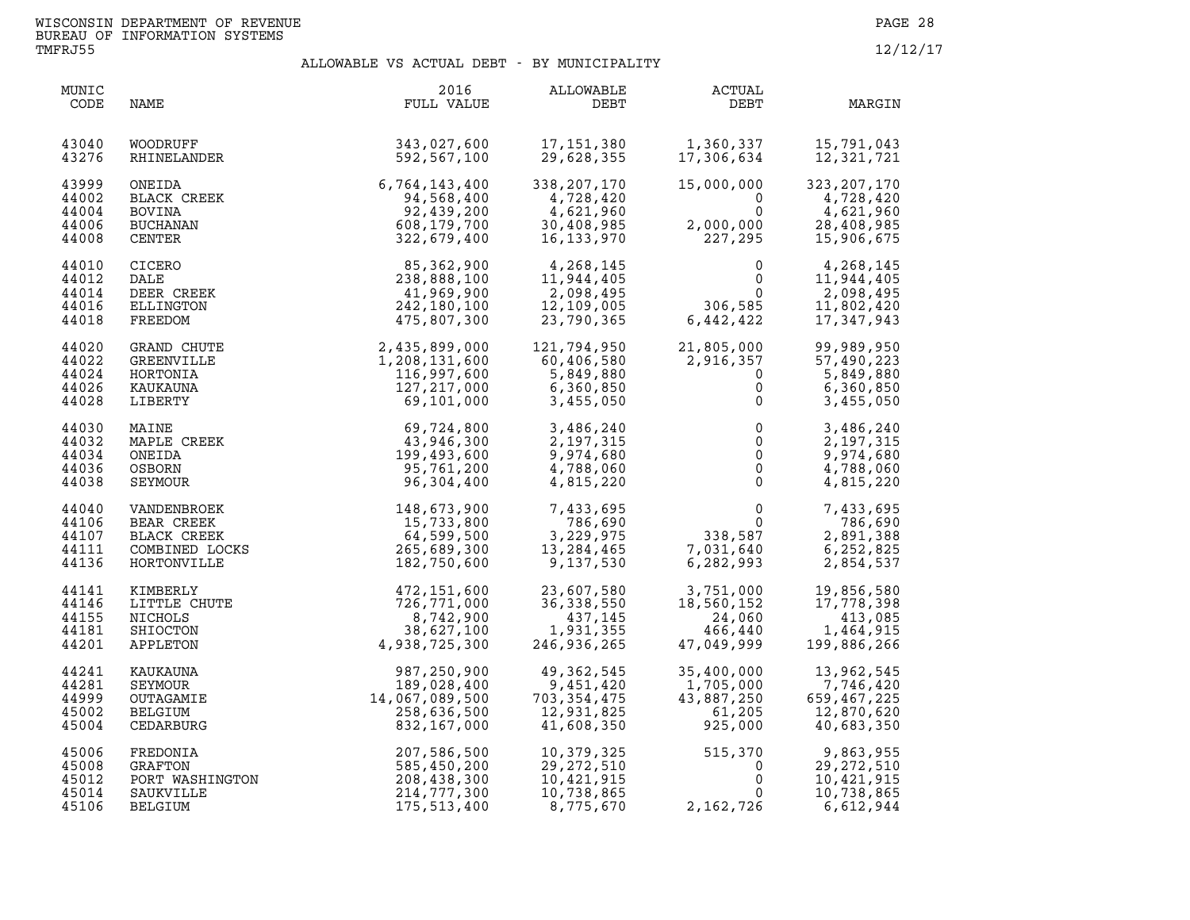| MUNIC<br>CODE                             | NAME                                                                      | 2016<br>FULL VALUE                                                                                                                                                                   | ALLOWABLE<br>DEBT                                                   | <b>ACTUAL</b><br>DEBT                                                                              | MARGIN                                                              |
|-------------------------------------------|---------------------------------------------------------------------------|--------------------------------------------------------------------------------------------------------------------------------------------------------------------------------------|---------------------------------------------------------------------|----------------------------------------------------------------------------------------------------|---------------------------------------------------------------------|
| 43040<br>43276                            | WOODRUFF<br>RHINELANDER                                                   | 343,027,600<br>592,567,100                                                                                                                                                           | 17,151,380<br>29,628,355                                            | 1,360,337<br>17,306,634                                                                            | 15,791,043<br>12,321,721                                            |
| 43999<br>44002<br>44004<br>44006<br>44008 | ONEIDA<br>BLACK CREEK<br><b>BOVINA</b><br>BUCHANAN<br>CENTER              | $6,764,143,400$ $94,568,400$ $92,439,200$ $608,179,700$ $322,679,499$                                                                                                                | 338,207,170<br>4,728,420<br>4,621,960<br>30,408,985<br>16,133,970   | 15,000,000<br>$\overline{0}$<br>$\mathbf{0}$<br>2,000,000<br>227,295                               | 323, 207, 170<br>4,728,420<br>4,621,960<br>28,408,985<br>15,906,675 |
| 44010<br>44012<br>44014<br>44016<br>44018 | CICERO<br>DALE<br>DEER CREEK<br>ELLINGTON<br>FREEDOM                      | 85,362,900<br>238,888,100<br>41,969,900<br>242,180,100<br>475,807,300                                                                                                                | 4,268,145<br>11,944,405<br>2,098,495<br>12,109,005<br>23,790,365    | $0$<br>306,585<br>442,422                                                                          | 4,268,145<br>11,944,405<br>2,098,495<br>11,802,420<br>17,347,943    |
| 44020<br>44022<br>44024<br>44026<br>44028 | GRAND CHUTE<br>GREENVILLE<br>HORTONIA<br>KAUKAUNA<br>LIBERTY              |                                                                                                                                                                                      | 121,794,950<br>60,406,580<br>5,849,880<br>6,360,850<br>3,455,050    | 21,805,000<br>2,916,357<br>$\mathbf 0$<br>$\mathbf 0$<br>$\mathsf{O}\xspace$                       | 99,989,950<br>57,490,223<br>5,849,880<br>6,360,850<br>3,455,050     |
| 44030<br>44032<br>44034<br>44036<br>44038 | MAINE<br>MAPLE CREEK<br>ONEIDA<br>OSBORN<br>SEYMOUR                       | $\begin{array}{r} 2,435,899,000\ 1,208,131,600\ 116,997,600\ 127,217,000\ 69,101,000\ \end{array}$<br>$\begin{array}{r} 60,724,800\ 43,946,300\ 95,761,200\ 96,304,400\ \end{array}$ | 3,486,240<br>2,197,315<br>9,974,680<br>4,788,060<br>4,815,220       | $\begin{array}{c} 0 \\ 0 \\ 0 \\ 0 \\ 0 \end{array}$                                               | 3,486,240<br>2,197,315<br>9,974,680<br>4,788,060<br>4,815,220       |
| 44040<br>44106<br>44107<br>44111<br>44136 | VANDENBROEK<br>BEAR CREEK<br>BLACK CREEK<br>COMBINED LOCKS<br>HORTONVILLE | $148, 673, 900$<br>$15, 733, 800$<br>$64, 599, 500$<br>$265, 689, 300$<br>$182, 750, 600$                                                                                            | 7,433,695<br>786,690<br>3,229,975<br>13,284,465<br>9,137,530        | $\begin{smallmatrix}&&&0\\&&&0\\&&338,587\\7,031,640\\^{\smallfrown}\quad?82,993\end{smallmatrix}$ | 7,433,695<br>786,690<br>2,891,388<br>6,252,825<br>2,854,537         |
| 44141<br>44146<br>44155<br>44181<br>44201 | KIMBERLY<br>LITTLE CHUTE<br>NICHOLS<br>SHIOCTON<br>APPLETON               | 472,151,600<br>726,771,000<br>8,742,900<br>38,627,100<br>4,938,725,300                                                                                                               | 23,607,580<br>36, 338, 550<br>437,145<br>1,931,355<br>246,936,265   | 3,751,000<br>18,560,152<br>18,560,152<br>24,060<br>466,440<br>47,049,999                           | 19,856,580<br>17,778,398<br>413,085<br>1,464,915<br>199,886,266     |
| 44241<br>44281<br>44999<br>45002<br>45004 | KAUKAUNA<br>SEYMOUR<br>OUTAGAMIE<br>BELGIUM<br>CEDARBURG                  | $18,7538,725,300$<br>987,250,900<br>189,028,400<br>14,067,089,500<br>258,636,500<br>832,167 000                                                                                      | 49,362,545<br>9,451,420<br>703,354,475<br>12,931,825<br>41,608,350  | 35,400,000<br>1,705,000<br>43,887,250<br>61,205<br>925,000                                         | 13,962,545<br>7,746,420<br>659,467,225<br>12,870,620<br>40,683,350  |
| 45006<br>45008<br>45012<br>45014<br>45106 | FREDONIA<br>GRAFTON<br>PORT WASHINGTON<br>SAUKVILLE<br>BELGIUM            | 207,586,500<br>585,450,200<br>208,438,300<br>208,438,300<br>214,777,300<br>175,513,400                                                                                               | 10,379,325<br>29, 272, 510<br>10,421,915<br>10,738,865<br>8,775,670 | 515,370<br>$\mathbf 0$<br>$\mathbf 0$<br>$\mathbf{0}$<br>2, 162, 726                               | 9,863,955<br>29, 272, 510<br>10,421,915<br>10,738,865<br>6,612,944  |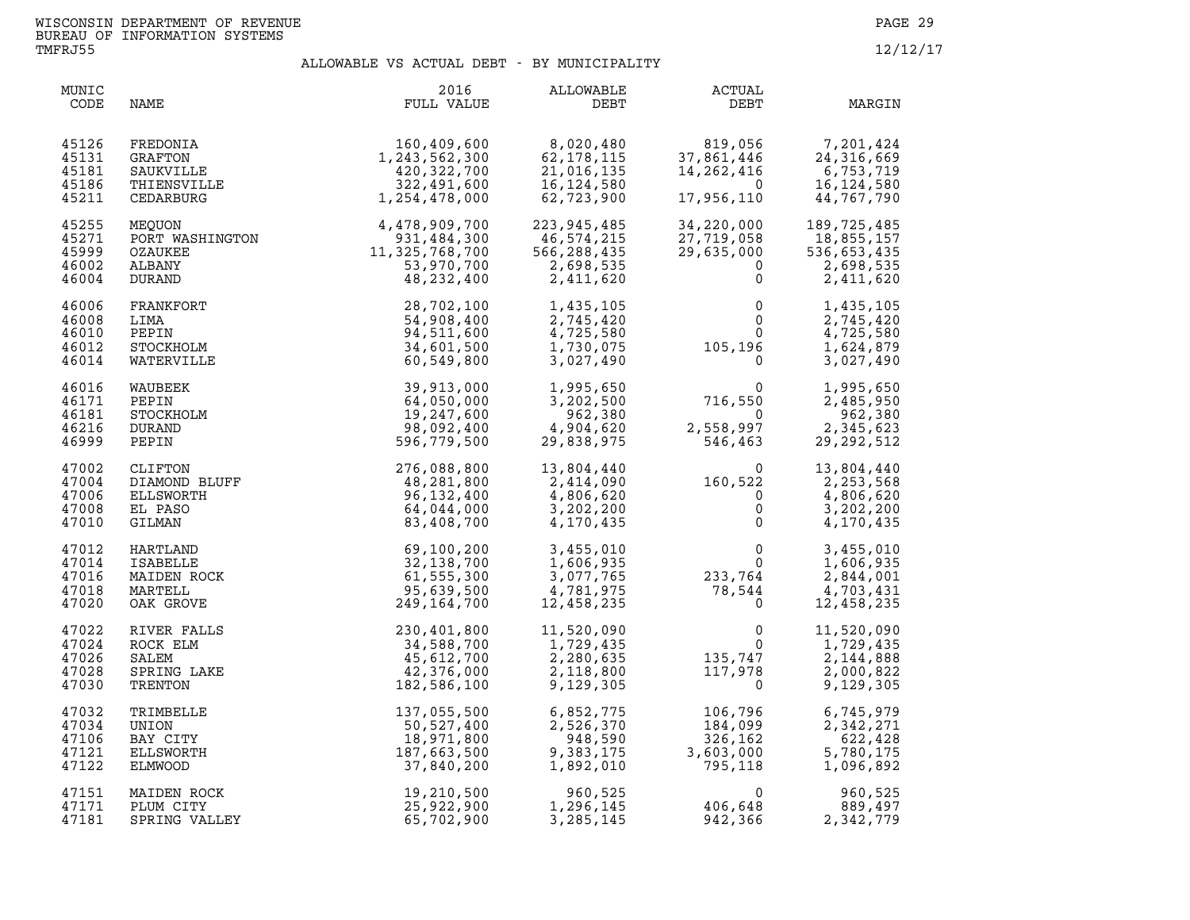| MUNIC<br>CODE                             | NAME                                                                                                                      | 2016<br>FULL VALUE                                                                                                                                                                                                                                                     | ALLOWABLE<br>DEBT                                                   | ACTUAL<br>DEBT                                                                                      | MARGIN                                                               |
|-------------------------------------------|---------------------------------------------------------------------------------------------------------------------------|------------------------------------------------------------------------------------------------------------------------------------------------------------------------------------------------------------------------------------------------------------------------|---------------------------------------------------------------------|-----------------------------------------------------------------------------------------------------|----------------------------------------------------------------------|
| 45126<br>45131<br>45181<br>45186<br>45211 | FREDONIA<br>GRAFTON<br>SAUKVILLE<br>THIENSVILLE<br>CEDARBURG                                                              | 160,409,600<br>1,243,562,300<br>420,322,700<br>322,491,600<br>1,254,478,000                                                                                                                                                                                            | 8,020,480<br>62,178,115<br>21,016,135<br>16, 124, 580<br>62,723,900 | 819,056<br>37,861,446<br>14,262,416<br>$\overline{0}$<br>17,956,110                                 | $7,201,424$<br>24,316,66°<br>6,75°<br>16<br>44,767,790               |
| 45255<br>45271<br>45999<br>46002<br>46004 |                                                                                                                           |                                                                                                                                                                                                                                                                        | 223,945,485<br>46,574,215<br>566,288,435<br>2,698,535<br>2,411,620  | 34,220,000<br>27,719,058<br>29,635,000<br>$\Omega$<br>$\mathbf{0}$                                  | 189, 725, 485<br>18,855,157<br>536,653,435<br>2,698,535<br>2,411,620 |
| 46006<br>46008<br>46010<br>46012<br>46014 |                                                                                                                           | MEQUON<br>PORT WASHINGTON<br>PORT WASHINGTON<br>OZAUKEE<br>CALBANY<br>DURAND<br>PERANKFORT<br>LIMA<br>FRANKFORT<br>LIMA<br>DEPIN<br>LIMA<br>STOCKHOLM<br>34,511,600<br>34,511,600<br>VATERVILLE<br>(AUBERVILLE<br>(AUBERVILLE<br>(AUBERVILLE<br>(AUBERVILLE<br>(AUBERV | 1,435,105<br>2,745,420<br>4,725,580<br>1,730,075<br>3,027,490       | $\begin{smallmatrix} & & 0\ & & 0\ & & & 0\ & & & 0\ & 0\ & 105\,, 196\ & & & & 0\end{smallmatrix}$ | 1,435,105<br>2,745,420<br>4,725,580<br>1,624,879<br>3,027,490        |
| 46016<br>46171<br>46181<br>46216<br>46999 | WAUBEEK<br>PEPIN<br>STOCKHOLM<br><b>DURAND</b><br>PEPIN                                                                   | 39,913,000<br>64,050,000<br>19,247,600<br>98,092,400<br>596,779,500                                                                                                                                                                                                    | 1,995,650<br>3,202,500<br>962,380<br>4,904,620<br>29,838,975        | 0<br>716,550<br>2,558,997<br>546.463<br>2,558,997<br>546,463                                        | 1,995,650<br>2,485,950<br>962,380<br>2,345,623<br>29, 292, 512       |
| 47002<br>47004<br>47006<br>47008<br>47010 |                                                                                                                           | 276,088,800<br>48,281,800<br>96, 132, 400<br>64,044,000<br>83,408,700                                                                                                                                                                                                  | 13,804,440<br>2,414,090<br>4,806,620<br>3,202,200<br>4,170,435      | $160,522 \ 0 \ 0 \ 0$<br>$\mathbf{0}$                                                               | 13,804,440<br>2,253,568<br>4,806,620<br>3,202,200<br>4,170,435       |
| 47012<br>47014<br>47016<br>47018<br>47020 | CLIFTON<br>DIAMOND BLUFF<br>ELLSWORTH<br>EL PASO<br>GILMAN<br>HARTLAND<br>ISABELLE<br>MAIDEN ROCK<br>MARTELL<br>OAK GROVE | 69,100,200<br>32,138,700<br>61,555,300<br>95,639,500<br>249,164,700                                                                                                                                                                                                    | 3,455,010<br>1,606,935<br>3,077,765<br>4,781,975<br>12,458,235      | $\begin{smallmatrix}0&&&&0\&233,764\&78,544\end{smallmatrix}$                                       | 3,455,010<br>1,606,935<br>2,844,001<br>4,703,431<br>12,458,235       |
| 47022<br>47024<br>47026<br>47028<br>47030 | RIVER FALLS<br>ROCK ELM<br>SALEM<br>SPRING LAKE<br>TRENTON                                                                | 230,401,800<br>34,588,700<br>45,612,700<br>42,376,000<br>182,586,100                                                                                                                                                                                                   | 11,520,090<br>1,729,435<br>2,280,635<br>2,118,800<br>9,129,305      | $\begin{smallmatrix}&&&0\0135,747\117,978\0\end{smallmatrix}$                                       | 11,520,090<br>1,729,435<br>2,144,888<br>2,000,822<br>9,129,305       |
| 47032<br>47034<br>47106<br>47121<br>47122 | TRIMBELLE<br>UNION<br>BAY CITY<br>ELLSWORTH<br>ELMWOOD                                                                    | 137,055,500<br>50,527,400<br>18,971,800<br>187,663,500<br>37,840,200                                                                                                                                                                                                   | 6,852,775<br>2,526,370<br>948,590<br>9,383,175<br>1,892,010         | 106,796<br>184,099<br>326,162<br>3,603,000<br>795,118                                               | 6,745,979<br>2,342,271<br>622,428<br>5,780,175<br>1,096,892          |
| 47151<br>47171<br>47181                   | MAIDEN ROCK<br>PLUM CITY<br>SPRING VALLEY                                                                                 | 19,210,500<br>25,922,900<br>65,702,900                                                                                                                                                                                                                                 | 960,525<br>1,296,145<br>3,285,145                                   | $\Omega$<br>406,648<br>942,366                                                                      | 960,525<br>889,497<br>2,342,779                                      |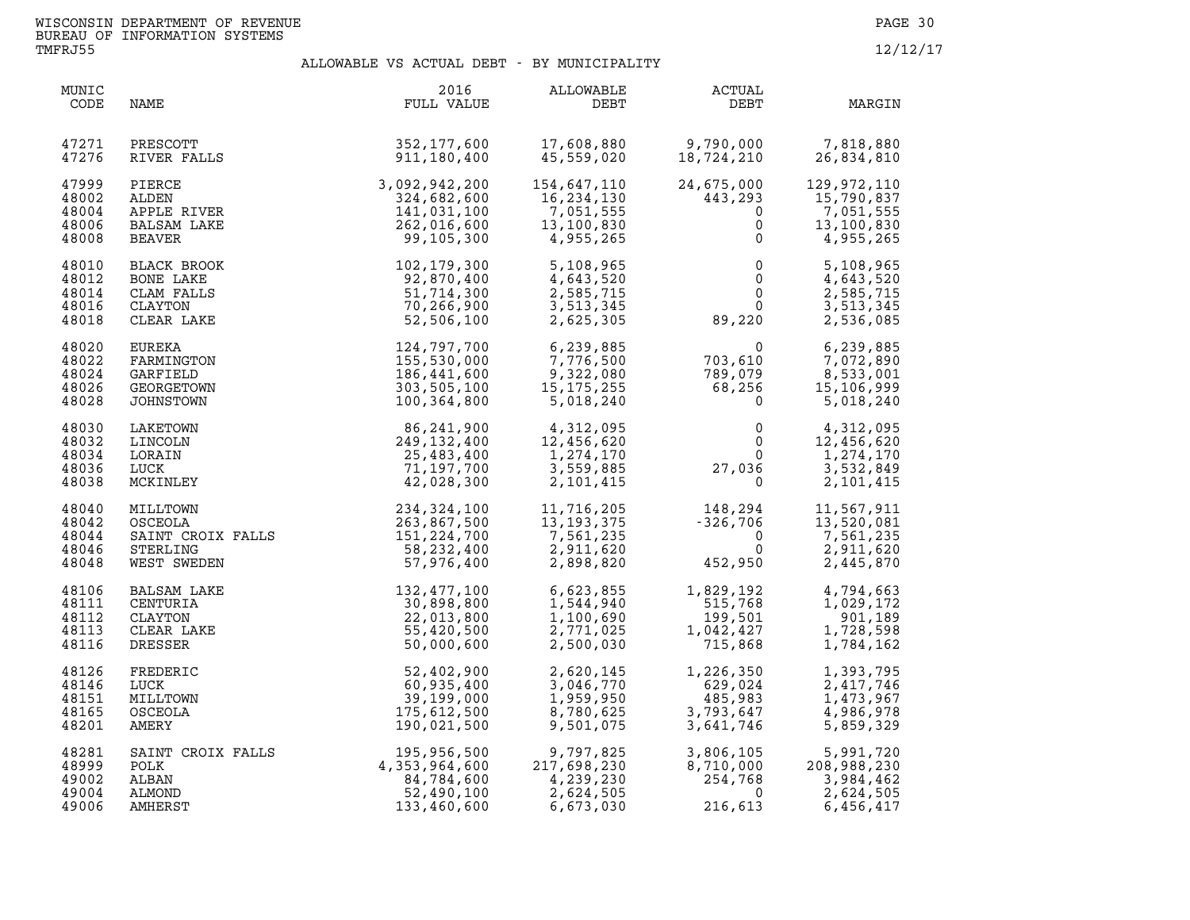| MUNIC<br>CODE                             | NAME                                                                                                          | 2016<br>FULL VALUE                                                       | ALLOWABLE<br>DEBT                                                                          | ACTUAL<br>DEBT                                                                                                                                                            | MARGIN                                                            |
|-------------------------------------------|---------------------------------------------------------------------------------------------------------------|--------------------------------------------------------------------------|--------------------------------------------------------------------------------------------|---------------------------------------------------------------------------------------------------------------------------------------------------------------------------|-------------------------------------------------------------------|
| 47271<br>47276                            | PRESCOTT<br>RIVER FALLS                                                                                       | 352, 177, 600<br>911,180,400                                             | 17,608,880<br>45,559,020                                                                   | 9,790,000<br>18,724,210                                                                                                                                                   | 7,818,880<br>26,834,810                                           |
| 47999<br>48002<br>48004<br>48006<br>48008 | PIERCE<br>ALDEN<br>APPLE RIVER<br><b>BALSAM LAKE</b><br>BEAVER                                                | 3,092,942,200<br>324,682,600<br>141,031,100<br>262,016,600<br>99,105,300 | 154,647,110<br>16,234,130<br>7,051,555<br>13,100,830<br>4,955,265                          | 24,675,000<br>443,293<br>$\mathbf 0$<br>0<br>$\mathsf{O}$                                                                                                                 | 129,972,110<br>15,790,837<br>7,051,555<br>13,100,830<br>4,955,265 |
| 48010<br>48012<br>48014<br>48016<br>48018 | BLACK BROOK<br>BONE LAKE<br>CLAM FALLS<br>CLAYTON<br>CLEAR LAKE                                               | 102,179,300<br>92,870,400<br>51,714,300<br>70,266,900<br>52,506,100      | 5,108,965<br>4,643,520<br>2,585,715<br>3,513,345<br>2,625,305                              | $\begin{smallmatrix} & & & 0\ & & & 0\ & & & 0\ & & & & 0\ & & & & 0\ & & & & 0\ & & & & 0\ & & & & 0\ & & & & 0\end{smallmatrix}$<br>$\begin{matrix}0\\0\\0\end{matrix}$ | 5,108,965<br>4,643,520<br>2,585,715<br>3,513,345<br>2,536,085     |
| 48020<br>48022<br>48024<br>48026<br>48028 | EUREKA<br>FARMINGTON<br>GARFIELD<br>GEORGETOWN<br>JOHNSTOWN                                                   | 124,797,700<br>155,530,000<br>186,441,600<br>303,505,100<br>100,364,800  | 6,239,885<br>6,239,885<br>7,776,500<br>9,322,080<br>15,175,255<br>5,018,240                | $\begin{array}{cc} 0 & 6\,,239\,,885\ 703\,,610 & 7\,,072\,,890\ 789\,,079 & 8\,,533\,,001\ 68\,,256 & 15\,,106\,,999\ 0 & 5\,,018\,,240\ \end{array}$                    |                                                                   |
| 48030<br>48032<br>48034<br>48036<br>48038 | LAKETOWN<br>LINCOLN<br>LORAIN<br>LUCK<br>MCKINLEY                                                             | 86,241,900<br>249, 132, 400<br>25,483,400<br>71,197,700<br>42,028,300    | $4,312,095$<br>12.456.620<br>12,456,620<br>1,274,170<br>3,559,885<br>2,101,415             | $\begin{smallmatrix} & & 0\ 0\ 0\ 0\ \end{smallmatrix}$<br>27,036<br>$0 \qquad \qquad$                                                                                    | 4,312,095<br>12,456,620<br>1,274,170<br>3,532,849<br>2,101,415    |
| 48040<br>48042<br>48044<br>48046<br>48048 | MILLTOWN 234, 324, 100<br>OSCEOLA 263, 867, 500<br>SAINT CROIX FALLS 151, 224, 700<br>STERLING<br>WEST SWEDEN | 58,232,400<br>57,976,400                                                 | 11,716,205<br>13,193,375<br>7,561,235<br>2,911,620<br>2,898,820<br>11,716,205<br>2,911,620 | $148,294$<br>$-326,706$<br>$0$<br>$452,950$<br>452,950                                                                                                                    | 11,567,911<br>13,520,081<br>7,561,235<br>2,911,620<br>2,445,870   |
| 48106<br>48111<br>48112<br>48113<br>48116 | BALSAM LAKE<br>CENTURIA<br>CLAYTON<br>CLEAR LAKE<br>DRESSER                                                   | 132,477,100<br>30,898,800<br>22,013,800<br>55,420,500<br>50,000,600      | 6,623,855<br>1,544,940<br>1,100,690<br>2,771,025<br>2,500,030                              | 1,829,192<br>515,768<br>199,501<br>$1,042,427$<br>715,868                                                                                                                 | 4,794,663<br>1,029,172<br>901,189<br>1,728,598<br>1,784,162       |
| 48126<br>48146<br>48151<br>48165<br>48201 | FREDERIC<br>LUCK<br>MILLTOWN<br>OSCEOLA<br>AMERY                                                              | 52,402,900<br>60,935,400<br>39,199,000<br>175,612,500<br>190,021,500     | 2,620,145<br>3,046,770<br>1,959,950<br>8,780,625<br>9,501,075                              | 1,226,350<br>$1, 220, 33$<br>$629, 024$<br>$485, 983$<br>$3, 793, 647$<br>$641, 746$                                                                                      | 1,393,795<br>2,417,746<br>1,473,967<br>4,986,978<br>5,859,329     |
| 48281<br>48999<br>49002<br>49004<br>49006 | SAINT CROIX FALLS<br>POLK<br>POLK<br>ALBAN<br>ALMOND<br>AMHERST                                               | 195,956,500<br>4,353,964,600<br>84,784,600<br>52,490,100<br>133,460,600  | $\overline{21}$<br>9,797,825<br>217,698,230<br>4,239,230<br>2,624,505<br>6,673,030         | 3,806,105<br>8,710,000 2<br>254,768<br>3,806,105<br>8,710,000<br>254,768<br>216.613<br>216,613                                                                            | 5,991,720<br>208,988,230<br>3,984,462<br>2,624,505<br>6,456,417   |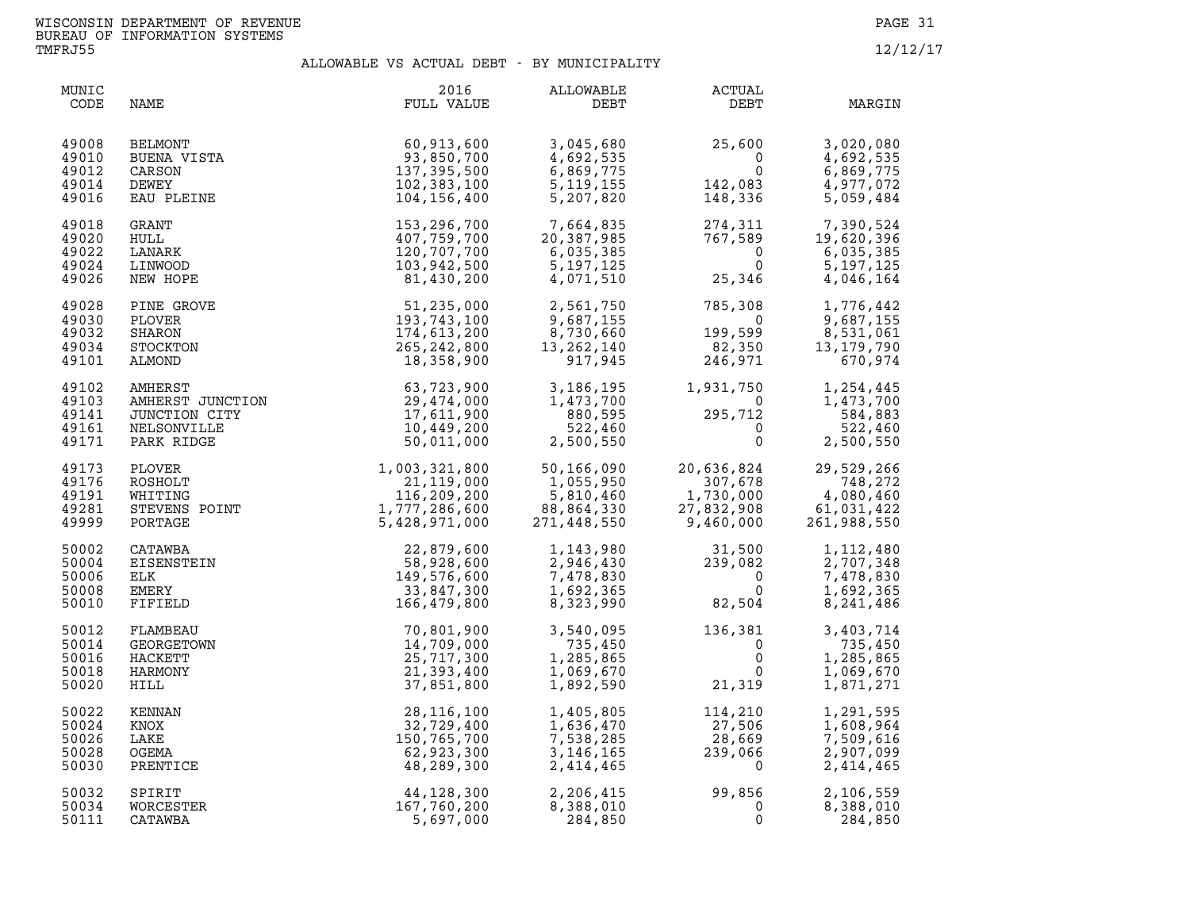| MUNIC<br>CODE                             | NAME                                                           | 2016<br>FULL VALUE                                                                                                                                                                                         | ALLOWABLE<br>DEBT                                                                      | ACTUAL<br>DEBT                                                                                                                  | MARGIN                                                                             |
|-------------------------------------------|----------------------------------------------------------------|------------------------------------------------------------------------------------------------------------------------------------------------------------------------------------------------------------|----------------------------------------------------------------------------------------|---------------------------------------------------------------------------------------------------------------------------------|------------------------------------------------------------------------------------|
| 49008<br>49010<br>49012<br>49014<br>49016 | <b>BELMONT</b><br>BUENA VISTA<br>CARSON<br>DEWEY<br>EAU PLEINE | 60,913,600<br>93,850,700<br>137,395,500<br>102,383,100<br>104,156,400                                                                                                                                      | 3,045,680<br>4,692,535<br>6,869,775<br>5, 119, 155<br>5,207,820                        | $25,600$<br>0<br>$142,083$<br>148,336                                                                                           | 3,020,080<br>4,692,535<br>6,869,775<br>4,977,072<br>5,059,484                      |
| 49018<br>49020<br>49022<br>49024<br>49026 | GRANT<br>HULL<br>LANARK<br>LINWOOD<br>NEW HOPE                 | 153,296,700<br>407,759,700<br>120,707,700<br>103,942,500<br>81,430,200                                                                                                                                     | 7,664,835<br>20,387,985<br>6,035,385<br>5,197,125<br>4,071,510                         | $\begin{array}{cc} 274,311 & 7,390,524 \ 767,589 & 19,620,396 \ 0 & 6,035,385 \ 0 & 5,197,125 \ 25,346 & 4,046,164 \end{array}$ |                                                                                    |
| 49028<br>49030<br>49032<br>49034<br>49101 | PINE GROVE<br>PLOVER<br>SHARON<br>STOCKTON<br>ALMOND           | 51,235,000<br>193,743,100<br>174,613,200<br>265, 242, 800<br>18,358,900                                                                                                                                    | 2,561,750<br>9,687,155<br>8,730,660<br>13,262,140<br>917,945                           | $785,308$<br>0<br>199,599<br>82,350<br>246,971                                                                                  | 1,776,442<br>9,687,155<br>8,531,061<br>13, 179, 790<br>670,974                     |
| 49102<br>49103<br>49141<br>49161<br>49171 |                                                                | AWHERST<br>AMHERST<br>MHERST<br>JUNCTION CITY<br>CONCIDE 29,474,000<br>NELSONVILLE<br>PARK RIDGE 50.011 000<br>PLOVER                                                                                      | 3,186,195<br>1,473,700<br>880,595<br>522,460<br>2,500,550                              | $1,931,750 \ 0 \ 295,712 \ 0 \ 0 \ 0$                                                                                           | 1,931,750 1,254,445<br>0 1,473,700<br>1,473,700<br>584,883<br>522,460<br>2,500,550 |
| 49173<br>49176<br>49191<br>49281<br>49999 |                                                                | PLOVER<br>ROSHOLT<br>ROSHOLT<br>WHITING<br>STEVENS POINT<br>POINT<br>POINT<br>CONTAGE<br>STEVENS POINT<br>CONTAGE<br>FORTAGE<br>PORTAGE<br>FORTAGE<br>POINT<br>CONTAGE<br>STEVENG 5,428,971,000<br>CONTAGE | $\begin{array}{r} .166,090 \\ 1,055,950 \\ 5,810,460 \\ 88,864,332 \\ 271 \end{array}$ | 20,636,824<br>$307,678$<br>$1,730,000$<br>1,730,000<br>27,832,908<br>9,460,000                                                  | 29,529,266<br>748,272<br>4,080,460<br>61,031,422<br>261,988,550                    |
| 50002<br>50004<br>50006<br>50008<br>50010 | CATAWBA<br>EISENSTEIN<br>ELK<br>EMERY<br>FIFIELD               | 22,879,600<br>58,928,600<br>149,576,600<br>33,847,300<br>166,479,800                                                                                                                                       | 1,143,980<br>2,946,430<br>7,478,830<br>1,692,365<br>8,323,990                          | $31,500$<br>$239,082$<br>$0$<br>0<br>82,504                                                                                     | 1,112,480<br>2,707,348<br>7,478,830<br>1,692,365<br>8,241,486                      |
| 50012<br>50014<br>50016<br>50018<br>50020 | FLAMBEAU<br>GEORGETOWN<br>HACKETT<br>HARMONY<br>HILL           | 70,801,900<br>14,709,000<br>25,717,300<br>21,393,400<br>37,851,800                                                                                                                                         | 3,540,095<br>735,450<br>1,285,865<br>1,069,670<br>1,892,590                            | $136,381$<br>0<br>0<br>0<br>21,319                                                                                              | 3,403,714<br>735,450<br>1,285,865<br>1,069,670<br>1,871,271                        |
| 50022<br>50024<br>50026<br>50028<br>50030 | KENNAN<br>KNOX<br>LAKE<br>OGEMA<br>PRENTICE                    | 28, 116, 100<br>32,729,400<br>150,765,700<br>62,923,300<br>48,289,300                                                                                                                                      | 1,405,805<br>1,636,470<br>7,538,285<br>3,146,165<br>2,414,465                          | $\begin{array}{c} 114\,, 210\ 27\,, 506\ 28\,, 669\ 239\,, 066\ 0 \end{array}$                                                  | 1,291,595<br>1,608,964<br>7,509,616<br>2,907,099<br>2,414,465                      |
| 50032<br>50034<br>50111                   | SPIRIT<br>WORCESTER<br>CATAWBA                                 | 44,128,300<br>167,760,200<br>5,697,000                                                                                                                                                                     | 2,206,415<br>8,388,010<br>284,850                                                      | $99,856$<br>0<br>0<br>$\mathbf 0$                                                                                               | 2,106,559<br>8,388,010<br>284,850                                                  |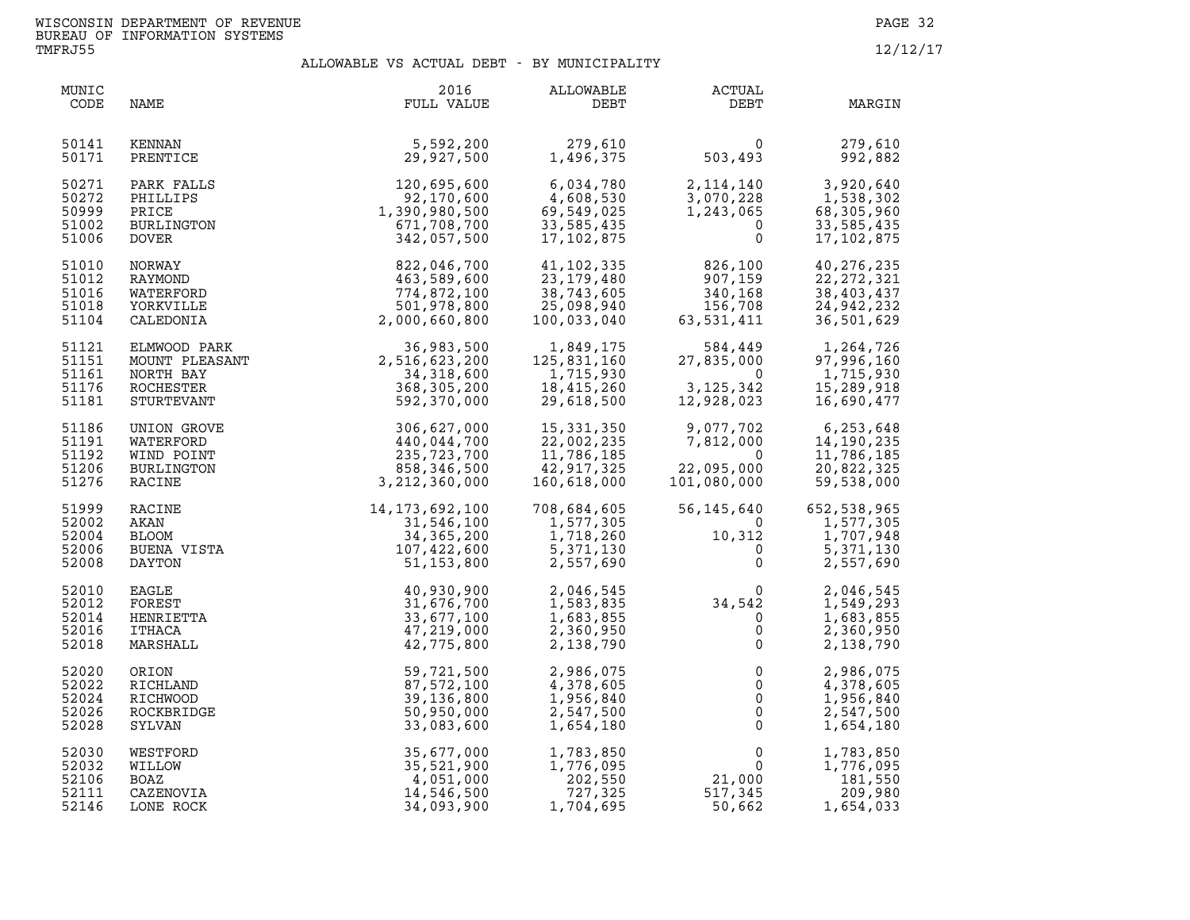| MUNIC<br>CODE                             | NAME                                                                   | 2016<br>FULL VALUE                                                           | ALLOWABLE<br>DEBT                                                   | <b>ACTUAL</b><br>DEBT                                                                      | MARGIN                                                               |
|-------------------------------------------|------------------------------------------------------------------------|------------------------------------------------------------------------------|---------------------------------------------------------------------|--------------------------------------------------------------------------------------------|----------------------------------------------------------------------|
| 50141<br>50171                            | KENNAN<br>PRENTICE                                                     | 5,592,200<br>29,927,500                                                      | 279,610<br>1,496,375                                                | $\Omega$<br>503,493                                                                        | 279,610<br>992,882                                                   |
| 50271<br>50272<br>50999<br>51002<br>51006 | PARK FALLS<br>PHILLIPS<br>PRICE<br>BURLINGTON<br><b>DOVER</b>          | 120,695,600<br>92,170,600<br>1,390,980,500<br>671,708,700<br>342,057,500     | 6,034,780<br>4,608,530<br>69,549,025<br>33,585,435<br>17, 102, 875  | 2,114,140<br>3,070,228<br>1,243,065<br>$\mathbf 0$<br>$\mathbf{0}$                         | 3,920,640<br>1,538,302<br>68,305,960<br>33,585,435<br>17,102,875     |
| 51010<br>51012<br>51016<br>51018<br>51104 | NORWAY<br>RAYMOND<br>WATERFORD<br>YORKVILLE<br>CALEDONIA               | 822,046,700<br>463,589,600<br>774,872,100<br>501,978,800<br>2,000,660,800    | 41,102,335<br>23,179,480<br>38,743,605<br>25,098,940<br>100,033,040 | 826,100<br>907,159<br>340 168<br>340,168<br>340,168<br>156,708<br>63,531,411               | 40,276,235<br>22, 272, 321<br>38,403,437<br>24,942,232<br>36,501,629 |
| 51121<br>51151<br>51161<br>51176<br>51181 | ELMWOOD PARK<br>MOUNT PLEASANT<br>NORTH BAY<br>ROCHESTER<br>STURTEVANT | 36,983,500<br>2,516,623,200<br>34,318,600<br>368,305,200<br>592,370,000      | 1,849,175<br>125,831,160<br>1,715,930<br>18,415,260<br>29,618,500   | 584,449<br>27,835,000<br>$\Omega$<br>3, 125, 342<br>12,928,023                             | 1,264,726<br>97,996,160<br>1,715,930<br>15,289,918<br>16,690,477     |
| 51186<br>51191<br>51192<br>51206<br>51276 | UNION GROVE<br>WATERFORD<br>WIND POINT<br>BURLINGTON<br>RACINE         | 306,627,000<br>440,044,700<br>235,723,700<br>858,346,500<br>3, 212, 360, 000 | 15,331,350<br>22,002,235<br>11,786,185<br>42,917,325<br>160,618,000 | 9,077,702<br>7,812,000<br>$\overline{0}$<br>22,095,000<br>101,080,000                      | 6,253,648<br>14,190,235<br>11,786,185<br>20,822,325<br>59,538,000    |
| 51999<br>52002<br>52004<br>52006<br>52008 | <b>RACINE</b><br>AKAN<br><b>BLOOM</b><br>BUENA VISTA<br>DAYTON         | 14,173,692,100<br>31,546,100<br>34, 365, 200<br>107,422,600<br>51, 153, 800  | 708,684,605<br>1,577,305<br>1,718,260<br>5, 371, 130<br>2,557,690   | 56,145,640<br>$\Omega$<br>10,312<br>$\overline{0}$<br>$\mathsf{O}$                         | 652,538,965<br>1,577,305<br>1,707,948<br>5,371,130<br>2,557,690      |
| 52010<br>52012<br>52014<br>52016<br>52018 | EAGLE<br>FOREST<br>HENRIETTA<br>ITHACA<br>MARSHALL                     | 40,930,900<br>31,676,700<br>33,677,100<br>47,219,000<br>42,775,800           | 2,046,545<br>1,583,835<br>1,683,855<br>2,360,950<br>2,138,790       | $\begin{array}{c} 0 \\ 34,542 \\ 0 \end{array}$<br>$\mathsf{O}$<br>$\mathsf{O}$            | 2,046,545<br>1,549,293<br>1,683,855<br>2,360,950<br>2,138,790        |
| 52020<br>52022<br>52024<br>52026<br>52028 | ORION<br>RICHLAND<br>RICHWOOD<br>ROCKBRIDGE<br>SYLVAN                  | 59,721,500<br>87,572,100<br>39,136,800<br>50,950,000<br>33,083,600           | 2,986,075<br>4,378,605<br>1,956,840<br>2,547,500<br>1,654,180       | $\mathsf 0$<br>$\mathsf{O}\xspace$<br>$\mathsf{O}\xspace$<br>$\overline{0}$<br>$\mathsf 0$ | 2,986,075<br>4,378,605<br>1,956,840<br>2,547,500<br>1,654,180        |
| 52030<br>52032<br>52106<br>52111<br>52146 | WESTFORD<br><b>WILLOW</b><br>BOAZ<br>CAZENOVIA<br>LONE ROCK            | 35,677,000<br>35,521,900<br>4,051,000<br>14,546,500<br>34,093,900            | 1,783,850<br>1,776,095<br>202,550<br>727,325<br>1,704,695           | 0<br>$\overline{0}$<br>21,000<br>517,345<br>50,662                                         | 1,783,850<br>1,776,095<br>181,550<br>209,980<br>1,654,033            |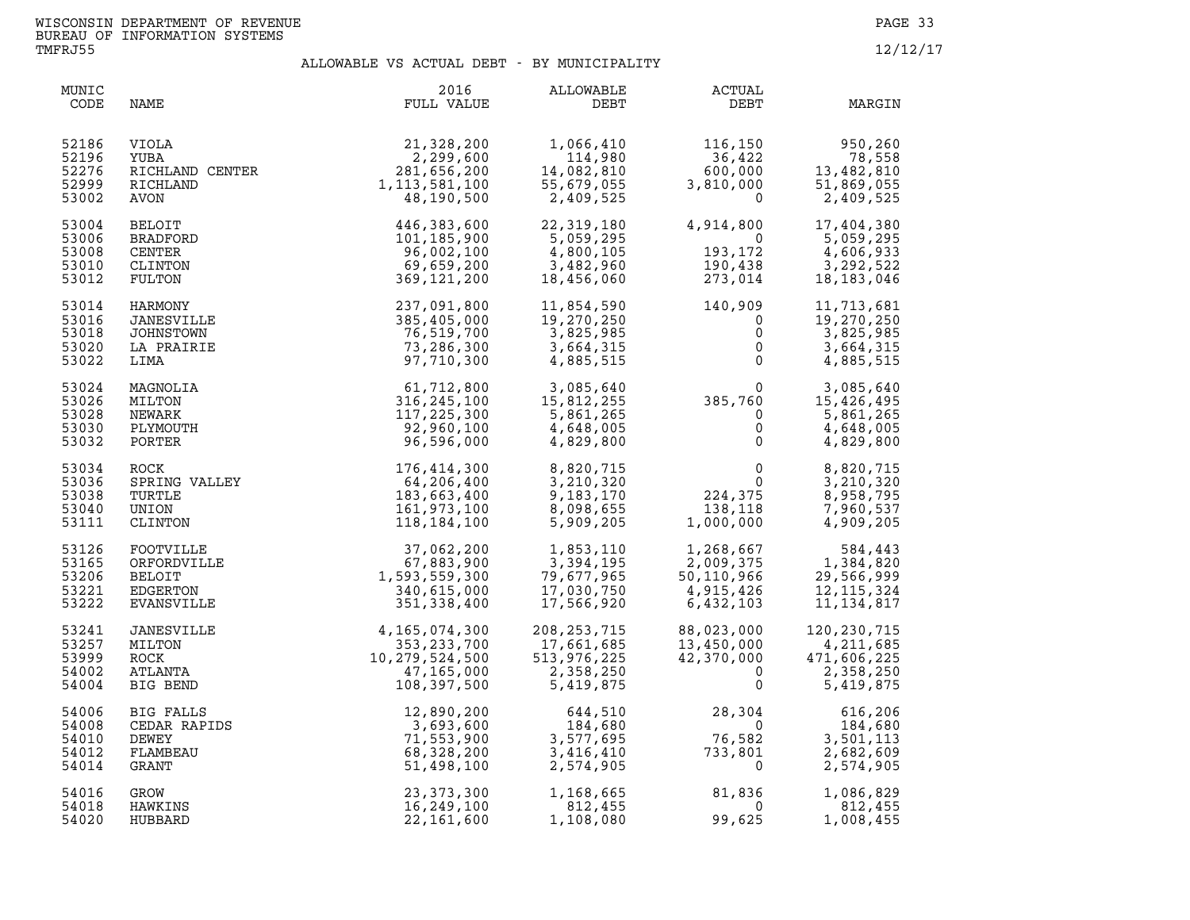| MUNIC<br>CODE                             | NAME                                                                                                                        | 2016<br>FULL VALUE                                                                      | ALLOWABLE<br>DEBT                                                    | ACTUAL<br>DEBT                                                             | MARGIN                                                                                                                                                              |
|-------------------------------------------|-----------------------------------------------------------------------------------------------------------------------------|-----------------------------------------------------------------------------------------|----------------------------------------------------------------------|----------------------------------------------------------------------------|---------------------------------------------------------------------------------------------------------------------------------------------------------------------|
| 52186<br>52196<br>52276<br>52999<br>53002 | YUBA<br>RICHLAND CENTER<br>RICHLAND<br>AVON<br>3ELOIT<br>'RADFORD<br>ENTER<br>LINTON<br>ILTON<br>'LTON<br>RMONY<br>RESITTER | 21,328,200<br>2,299,600<br>281,656,200<br>1, 113, 581, 100<br>48,190,500                | 1,066,410<br>114,980<br>14,082,810<br>55,679,055<br>2,409,525        | 116,150<br>36,422<br>600,000<br>3,810,000<br>$\overline{0}$                | 950,260<br>78,558<br>13,482,810<br>51,869,055<br>2,409,525                                                                                                          |
| 53004<br>53006<br>53008<br>53010<br>53012 |                                                                                                                             | 446,383,600<br>101,185,900<br>96,002,100<br>69,659,200<br>369, 121, 200                 | 22,319,180<br>5,059,295<br>4,800,105<br>3,482,960<br>18,456,060      | 4,914,800<br>$\overline{0}$<br>193,172<br>190,438<br>--- 014<br>273,014    | 17,404,380<br>5,059,295<br>4,606,933<br>3,292,522<br>18,183,046                                                                                                     |
| 53014<br>53016<br>53018<br>53020<br>53022 | JANESVILLE<br>JOHNSTOWN<br>LA PRAIRIE<br>LIMA                                                                               | 237,091,800<br>385,405,000<br>76,519,700<br>73,286,300<br>97,710,300                    | 11,854,590<br>19,270,250<br>3,825,985<br>3,664,315<br>4,885,515      | $140,909$<br>0<br>0<br>0<br>0                                              | 11,713,681<br>19,270,250<br>3,825,985<br>3,664,315<br>4,885,515                                                                                                     |
| 53024<br>53026<br>53028<br>53030<br>53032 | MAGNOLIA<br>MILTON<br>NEWARK<br>PLYMOUTH<br>PORTER                                                                          | 61,712,800<br>316, 245, 100<br>117,225,300<br>92,960,100<br>96,596,000                  | 3,085,640<br>15,812,255<br>5,861,265<br>4,648,005<br>4,829,800       | $385,760$<br>0<br>0<br>0                                                   | $0 \qquad 3,085,640$<br>15,426,495<br>5,861,265<br>4,648,005<br>4,829,800                                                                                           |
| 53034<br>53036<br>53038<br>53040<br>53111 | ROCK<br>SPRING VALLEY<br>TURTLE<br>UNION<br>CLINTON                                                                         | 176,414,300<br>64,206,400<br>183,663,400<br>161,973,100<br>118,184,100                  | 8,820,715<br>3,210,320<br>9,183,170<br>8,098,655<br>5,909,205        | $\begin{smallmatrix}&&&0\&&0\224\,,375\138\,,118\1&0.000\end{smallmatrix}$ | 8,820,715<br>3,210,320<br>8,958,795<br>7,960,537<br>4,909,205                                                                                                       |
| 53126<br>53165<br>53206<br>53221<br>53222 | FOOTVILLE<br>ORFORDVILLE<br>BELOIT<br>EDGERTON<br><b>EVANSVILLE</b>                                                         | 37,062,200<br>67,883,900<br>1,593,559,300<br>340,615,000<br>351,338,400                 | 1,853,110<br>3,394,195<br>79,677,965<br>17,030,750<br>17,566,920     | $1,268,667$<br>2,009,375<br>50,110,966<br>4,915,426<br>6,432,103           | $\begin{array}{llll} 1,268,667 & 584,443 \\ 2,009,375 & 1,384,820 \\ 50,110,966 & 29,566,999 \\ 4,915,426 & 12,115,324 \end{array}$<br>12, 115, 324<br>11, 134, 817 |
| 53241<br>53257<br>53999<br>54002<br>54004 | JANESVILLE<br>MILTON<br>ROCK<br>ATLANTA<br>BIG BEND                                                                         | 4, 165, 074, 300<br>353, 233, 700<br>10, 279, 524, 500<br>47, 165, 000<br>108, 397, 500 | 208, 253, 715<br>17,661,685<br>513,976,225<br>2,358,250<br>5,419,875 | 88,023,000<br>13,450,000<br>42,370,000<br>$\mathbf 0$<br>$\mathsf{O}$      | 120, 230, 715<br>4,211,685<br>471,606,225<br>2,358,250<br>5,419,875                                                                                                 |
| 54006<br>54008<br>54010<br>54012<br>54014 | BIG FALLS<br>CEDAR RAPIDS<br>DEWEY<br>FLAMBEAU<br>GRANT                                                                     | 12,890,200<br>3,693,600<br>71,553,900<br>68,328,200<br>51,498,100                       | 644,510<br>184,680<br>3,577,695<br>3,416,410<br>2,574,905            | 28,304<br>$\overline{0}$<br>76,582<br>$733$<br>733,801<br>$\overline{0}$   | 616,206<br>184,680<br>3,501,113<br>2,682,609<br>2,574,905                                                                                                           |
| 54016<br>54018<br>54020                   | GROW<br>HAWKINS<br>HUBBARD                                                                                                  | 23, 373, 300<br>16,249,100<br>22,161,600                                                | 1,168,665<br>812,455<br>1,108,080                                    | 81,836<br>$\overline{0}$<br>99,625                                         | 1,086,829<br>812,455<br>1,008,455                                                                                                                                   |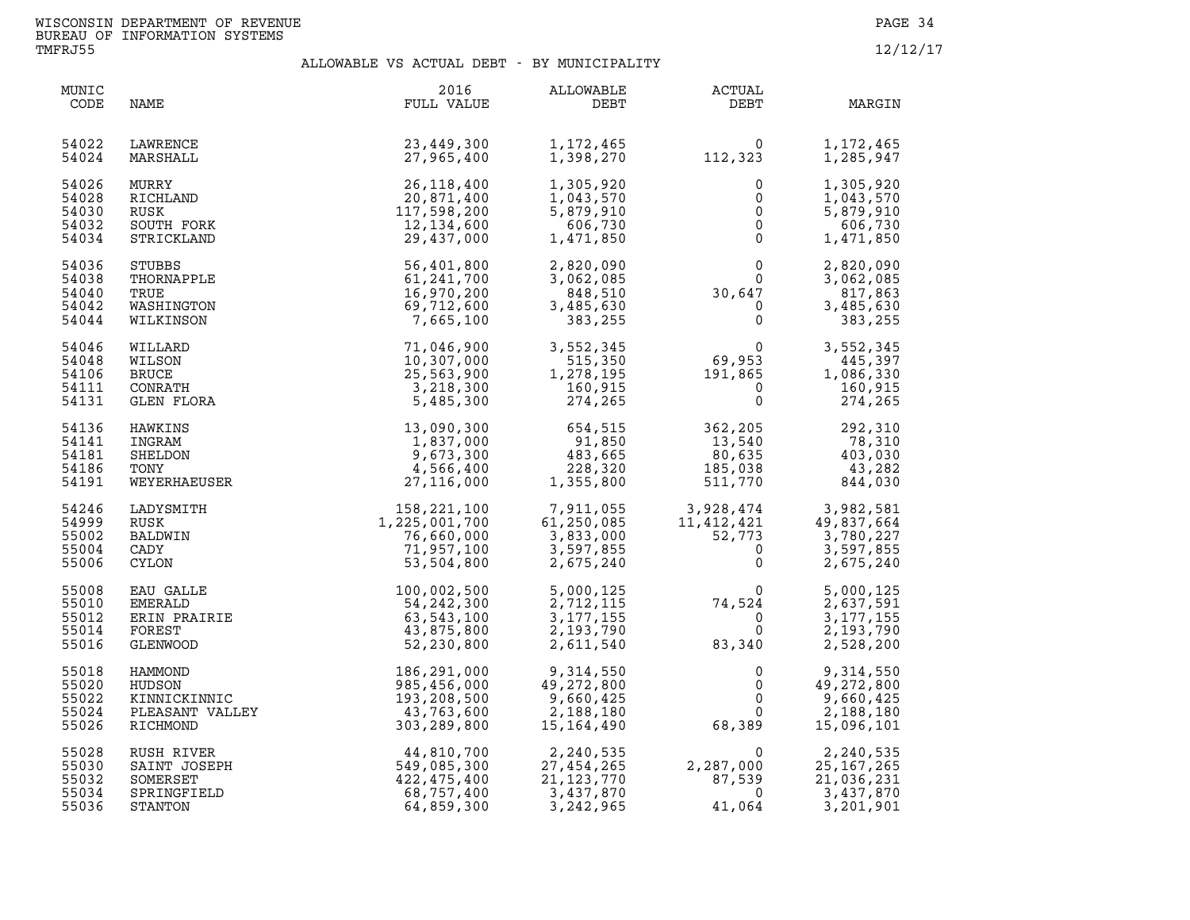| MUNIC<br>CODE                             | NAME                                                              | 2016<br>FULL VALUE                                                                                                 | ALLOWABLE<br>DEBT                                                                          | <b>ACTUAL</b><br>DEBT                                                                                                                                | MARGIN                                                                            |
|-------------------------------------------|-------------------------------------------------------------------|--------------------------------------------------------------------------------------------------------------------|--------------------------------------------------------------------------------------------|------------------------------------------------------------------------------------------------------------------------------------------------------|-----------------------------------------------------------------------------------|
| 54022<br>54024                            | LAWRENCE<br>MARSHALL                                              | 23,449,300<br>27,965,400                                                                                           | 1,172,465<br>1,398,270                                                                     | $0$<br>112,323                                                                                                                                       | 1,172,465<br>1,285,947                                                            |
| 54026<br>54028<br>54030<br>54032<br>54034 | MURRY<br>RICHLAND<br>RUSK<br>SOUTH FORK<br>STRICKLAND             | 26, 118, 400<br>20,871,400<br>117,598,200<br>12,134,600<br>29,437,000                                              | 1,305,920<br>1,043,570<br>5,879,910<br>606,730<br>1,471,850                                | 0<br>$\Omega$<br>$\overline{0}$<br>$\overline{0}$<br>$\mathsf{O}$                                                                                    | 1,305,920<br>1,043,570<br>5,879,910<br>606,730<br>1,471,850                       |
| 54036<br>54038<br>54040<br>54042<br>54044 | <b>STUBBS</b><br>THORNAPPLE<br>TRUE<br>WASHINGTON<br>WILKINSON    | 56,401,800<br>61,241,700<br>16,970,200<br>69,712,600<br>7,665,100                                                  | 2,820,090<br>3,062,085<br>848,510<br>3,485,630<br>383,255                                  | $\begin{smallmatrix}&&&0\0&\phantom-0&0\0&\phantom-0&0\0&\phantom-0&0\end{smallmatrix}$<br>$\overline{0}$<br>$\Omega$<br>$\overline{0}$              | 2,820,090<br>3,062,085<br>817,863<br>3,485,630<br>383,255                         |
| 54046<br>54048<br>54106<br>54111<br>54131 | WILLARD<br>WILSON<br><b>BRUCE</b><br>CONRATH<br>GLEN FLORA        | 71,046,900<br>10,307,000<br>25,563,900<br>3,218,300<br>5,485,300                                                   | 3,552,345<br>515,350<br>1,278,195<br>160,915<br>274,265                                    | $69,953$<br>$191,865$<br>$0$<br>0                                                                                                                    | 3,552,345<br>445,397<br>1,086,330<br>160,915<br>274,265                           |
| 54136<br>54141<br>54181<br>54186<br>54191 | HAWKINS<br>INGRAM<br>SHELDON<br>TONY<br>WEYERHAEUSER              | 13,090,300<br>1,837,000<br>9,673,300<br>4,566,400<br>27, 116, 000                                                  | $654, 31$<br>91,850<br>483,665<br>228,320<br>1,355,800                                     | $362, 205$<br>$13, 540$<br>$80, 635$<br>$185, 038$<br>13,540<br>80,635<br>185,038<br>511,770                                                         | $\frac{252}{78,310}$<br>403,030<br>43,282<br>844,030                              |
| 54246<br>54999<br>55002<br>55004<br>55006 | LADYSMITH<br>RUSK<br>BALDWIN<br>CADY<br><b>CYLON</b>              | 158, 221, 100<br>1, 225, 001, 700<br>76, 660, 000<br>71, 957, 100<br>53, 504, 800                                  | 7,911,055<br>61,250,085<br>3,833,000<br>3,597,855<br>2,675,240                             | $\begin{array}{cccc} 3,928,474 & & 3,982,581 \\ 11,412,421 & & 49,837,664 \\ 52,773 & & 3,780,227 \\ 0 & & 3,597,855 \\ 0 & & 2,675,240 \end{array}$ |                                                                                   |
| 55008<br>55010<br>55012<br>55014<br>55016 | EAU GALLE<br><b>EMERALD</b><br>ERIN PRAIRIE<br>FOREST<br>GLENWOOD | $\begin{array}{r} 100,002,500\\ 54,242,300\\ 63,543,100\\ 43,875,800\\ 52,230,800 \end{array}$                     | 5,000,125<br>2,712,115<br>3, 177, 155<br>2,193,790<br>2,611,540                            | $74,524$<br>0<br>83,340<br>74,524<br>83,340                                                                                                          | $\overline{0}$<br>5,000,125<br>2,637,591<br>3, 177, 155<br>2,193,790<br>2,528,200 |
| 55018<br>55020<br>55022<br>55024<br>55026 | HAMMOND<br>HUDSON<br>KINNICKINNIC<br>PLEASANT VALLEY<br>RICHMOND  | C<br>ALLEY<br>$303, 208, 500$<br>$43, 763, 600$<br>$303, 289, 800$<br>$44, 810, 700$<br>$549, 085, 30$<br>$475, 4$ | 9,314,550<br>49,272,800<br>9,660,425<br>2,188,180<br>15, 164, 490                          | 0<br>$\mathbf 0$<br>$\overline{0}$<br>$\overline{0}$<br>68,389                                                                                       | 9,314,550<br>49,272,800<br>9,660,425<br>2,188,180<br>15,096,101                   |
| 55028<br>55030<br>55032<br>55034<br>55036 | RUSH RIVER<br>SAINT JOSEPH<br>SOMERSET<br>SPRINGFIELD<br>STANTON  | $44,810,700$<br>$549,085,300$<br>$422,475,400$<br>$68,757,400$<br>$64,859,300$<br>64,859,300                       | 2,240,535<br>2,240,535<br>27,454,265<br>21,123,770<br>3,437,870<br>27,454,265<br>3,242,965 | $0$<br>2, 287, 000<br>87, 539<br>2,287,000<br>87,539<br>41,064                                                                                       | 2,240,535<br>25, 167, 265<br>21,036,231<br>3,437,870<br>3,201,901                 |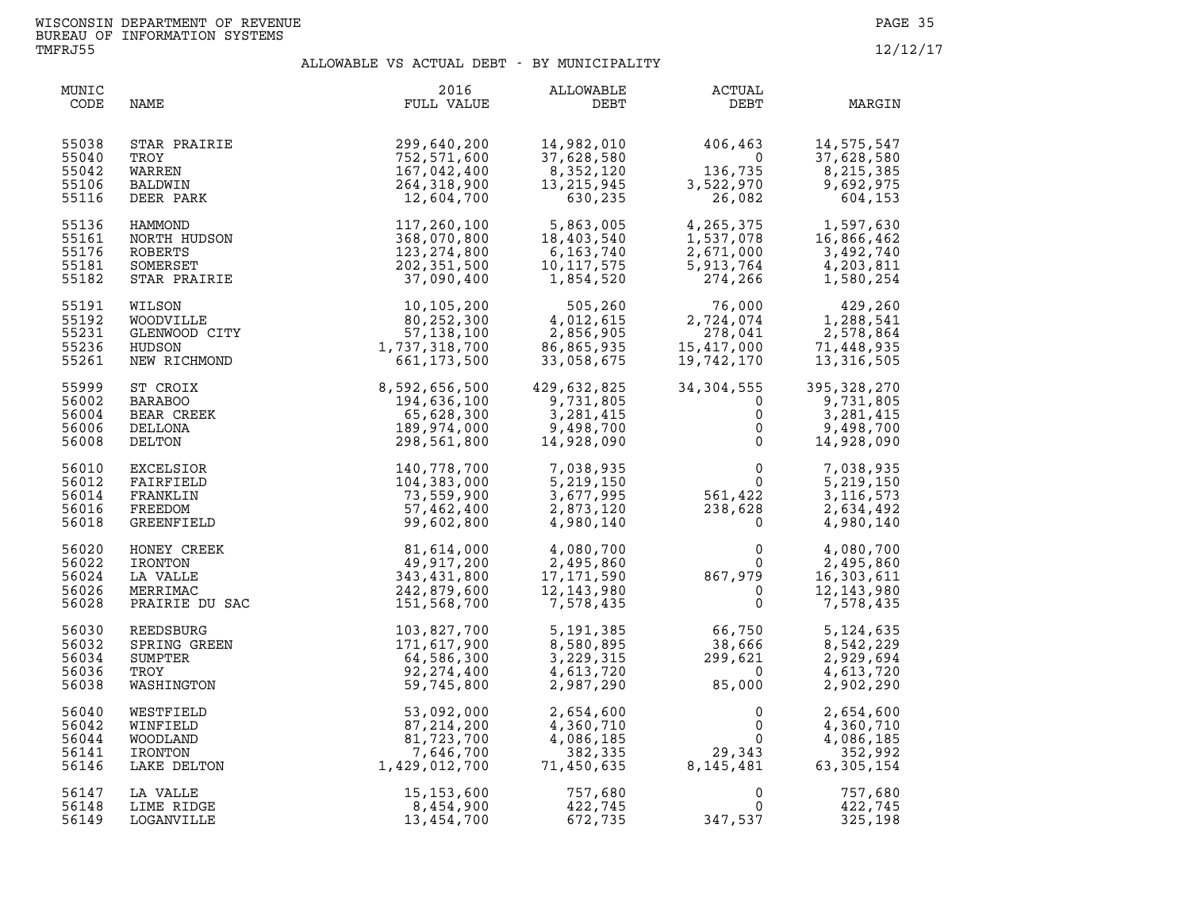| MUNIC<br>CODE                             | NAME                                                               | 2016<br>FULL VALUE                                                                                                        | ALLOWABLE<br>DEBT                                                                                                                                                             | <b>ACTUAL</b><br>DEBT                                                                                                                           | MARGIN                                                             |
|-------------------------------------------|--------------------------------------------------------------------|---------------------------------------------------------------------------------------------------------------------------|-------------------------------------------------------------------------------------------------------------------------------------------------------------------------------|-------------------------------------------------------------------------------------------------------------------------------------------------|--------------------------------------------------------------------|
| 55038<br>55040<br>55042<br>55106<br>55116 | STAR PRAIRIE<br>TROY<br>WARREN<br>BALDWIN<br>DEER PARK             | 299,640,200<br>752,571,600<br>167,042,400<br>264,318,900<br>12,604,700                                                    | 14,982,010<br>37,628,580<br>8,352,120<br>13, 215, 945<br>630,235                                                                                                              | $\begin{array}{r} 406,463 \\ 0 \\ 136,735 \\ 3,522,970 \\ 26,082 \end{array}$<br>3,522,970                                                      | 14,575,547<br>37,628,580<br>8,215,385<br>9,692,975<br>604,153      |
| 55136<br>55161<br>55176<br>55181<br>55182 | HAMMOND<br>NORTH HUDSON<br>ROBERTS<br>SOMERSET<br>STAR PRAIRIE     | 117,260,100<br>368,070,800<br>123, 274, 800<br>202,351,500<br>37,090,400                                                  | 5,863,005<br>18,403,540<br>6,163,740<br>10,117,575<br>1,854,520                                                                                                               | 4, 265, 375 1, 597, 630<br>1, 537, 078 16, 866, 462<br>2, 671, 000 3, 492, 740<br>$2,671,000$<br>5,913,764<br>274,266                           | 4,203,811<br>1,580,254                                             |
| 55191<br>55192<br>55231<br>55236<br>55261 |                                                                    | WILSON 10,105,200<br>WOODVILLE 80,252,300<br>GLENWOOD CITY 57,138,100<br>HUDSON 1,737,318,700<br>NEW RICHMOND 661,173,500 | $\begin{array}{cccc} 10,105,200 & 505,260 \\ 80,252,300 & 4,012,615 \\ 57,138,100 & 2,856,905 \\ 737,318,700 & 86,865,935 \\ 661,173,500 & 33,058,675 \end{array}$<br>505,260 | $\begin{array}{cc} 76,000 & 429,260\ 2,724,074 & 1,288,541\ 278,041 & 2,578,864\ 15,417,000 & 71,448,935\ 19,742,170 & 13,316,505\ \end{array}$ |                                                                    |
| 55999<br>56002<br>56004<br>56006<br>56008 | ST CROIX<br>BARABOO<br>BEAR CREEK<br>DELLONA<br>DELTON             | 8,592,656,500<br>194,636,100<br>65,628,300<br>189,974,000<br>298,561,800                                                  | 429,632,825<br>9,731,805<br>3,281,415<br>9,498,700<br>14,928,090                                                                                                              | 34, 304, 555<br>$\overline{0}$<br>$\mathsf{O}$<br>$\mathsf{O}$<br>$\overline{0}$                                                                | 395, 328, 270<br>9,731,805<br>3,281,415<br>9,498,700<br>14,928,090 |
| 56010<br>56012<br>56014<br>56016<br>56018 | EXCELSIOR<br>FAIRFIELD<br>FRANKLIN<br>FREEDOM<br><b>GREENFIELD</b> | 140,778,700<br>104,383,000<br>73,559,900<br>57,462,400<br>99,602,800                                                      | 7,038,935<br>5,219,150<br>3,677,995<br>2,873,120<br>4,980,140                                                                                                                 | $\begin{matrix}&&0\0\phantom{-}0\\561,422\phantom{0}\\238,628\phantom{0}\\0\phantom{0}\end{matrix}$                                             | 7,038,935<br>5,219,150<br>3, 116, 573<br>2,634,492<br>4,980,140    |
| 56020<br>56022<br>56024<br>56026<br>56028 | HONEY CREEK<br>IRONTON<br>LA VALLE<br>MERRIMAC<br>PRAIRIE DU SAC   | 81,614,000<br>49,917,200<br>343,431,800<br>242,879,600<br>151,568,700                                                     | 4,080,700<br>$2,495,860$<br>17,171,590<br>12,143,980<br>7,578,435                                                                                                             | $0$<br>867, 979<br>0<br>0                                                                                                                       | 4,080,700<br>2,495,860<br>16,303,611<br>12, 143, 980<br>7,578,435  |
| 56030<br>56032<br>56034<br>56036<br>56038 | REEDSBURG<br>SPRING GREEN<br>SUMPTER<br>TROY<br>WASHINGTON         | 103,827,700<br>171,617,900<br>64,586,300<br>92, 274, 400<br>59,745,800                                                    | 5,191,385<br>8,580,895<br>3,229,315<br>4,613,720<br>2,987,290                                                                                                                 | $66,750$<br>$38,666$<br>$299,621$<br>$85,000$                                                                                                   | 5, 124, 635<br>8,542,229<br>2,929,694<br>4,613,720<br>2,902,290    |
| 56040<br>56042<br>56044<br>56141<br>56146 | WESTFIELD<br>WINFIELD<br>WOODLAND<br>IRONTON<br>LAKE DELTON        | $53,092,000$<br>$87,214,200$<br>$81,723,700$<br>$7,646,700$<br>$1,429,012,700$                                            | 2,654,600<br>4,360,710<br>4,086,185<br>382,335<br>71,450,635                                                                                                                  | $\begin{smallmatrix}&&&0\\&&&0\\0&&&&0\\&29\,,\,343\\8\,,\,145\,,\,481\end{smallmatrix}$                                                        | 2,654,600<br>4,360,710<br>4,086,185<br>352,992<br>63, 305, 154     |
| 56147<br>56148<br>56149                   | LA VALLE<br>LIME RIDGE<br>LOGANVILLE                               | 15, 153, 600<br>8,454,900<br>13,454,700                                                                                   | 757,680<br>422,745<br>672,735                                                                                                                                                 | $\mathbf 0$<br>0<br>347,537                                                                                                                     | 757,680<br>422,745<br>325,198                                      |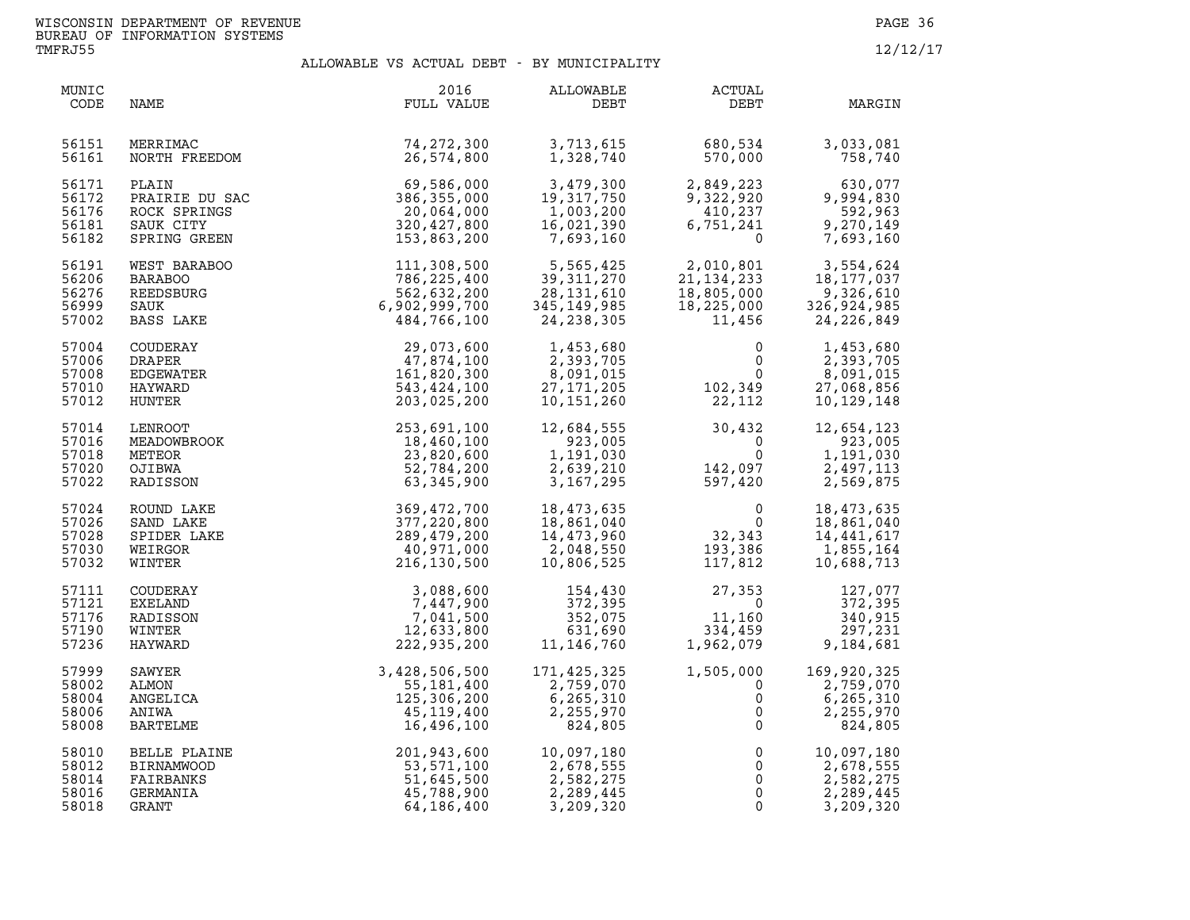| MUNIC<br>CODE                             | NAME                                                                 | 2016<br>FULL VALUE                                                        | ALLOWABLE<br>DEBT                                                  | ACTUAL<br>DEBT                                                                   | MARGIN                                                              |
|-------------------------------------------|----------------------------------------------------------------------|---------------------------------------------------------------------------|--------------------------------------------------------------------|----------------------------------------------------------------------------------|---------------------------------------------------------------------|
| 56151<br>56161                            | MERRIMAC<br>NORTH FREEDOM                                            | 74, 272, 300<br>26,574,800                                                | 3,713,615<br>1,328,740                                             | 680,534<br>570,000                                                               | 3,033,081<br>758,740                                                |
| 56171<br>56172<br>56176<br>56181<br>56182 | PLAIN<br>PRAIRIE DU SAC<br>ROCK SPRINGS<br>SAUK CITY<br>SPRING GREEN | 69,586,000<br>386,355,000<br>20,064,000<br>320,427,800<br>153,863,200     | 3,479,300<br>19,317,750<br>1,003,200<br>16,021,390<br>7,693,160    | 2,849,223<br>9,322,920<br>410,237<br>6,751,241<br>0                              | 630,077<br>9,994,830<br>592,963<br>9,270,149<br>7,693,160           |
| 56191<br>56206<br>56276<br>56999<br>57002 | WEST BARABOO<br><b>BARABOO</b><br>REEDSBURG<br>SAUK<br>BASS LAKE     | 111,308,500<br>786,225,400<br>562,632,200<br>6,902,999,700<br>484,766,100 | 5,565,425<br>39,311,270<br>28,131,610<br>345,149,985<br>24,238,305 | 2,010,801<br>41,134,233<br>18,805,000<br>18,225,000<br>11,456                    | 3,554,624<br>18,177,037<br>9,326,610<br>326,924,985<br>24, 226, 849 |
| 57004<br>57006<br>57008<br>57010<br>57012 | COUDERAY<br>DRAPER<br>EDGEWATER<br>HAYWARD<br>HUNTER                 | 29,073,600<br>47,874,100<br>161,820,300<br>543,424,100<br>203,025,200     | 1,453,680<br>2,393,705<br>8,091,015<br>27,171,205<br>10,151,260    | $\mathbf 0$<br>$\begin{smallmatrix}&&&0\0&&&0\0&0&0\22\,,\,112\end{smallmatrix}$ | 1,453,680<br>2,393,705<br>8,091,015<br>27,068,856<br>10,129,148     |
| 57014<br>57016<br>57018<br>57020<br>57022 | LENROOT<br>MEADOWBROOK<br>METEOR<br>OJIBWA<br>RADISSON               | 253,691,100<br>18,460,100<br>23,820,600<br>52,784,200<br>63,345,900       | 12,684,555<br>923,005<br>1,191,030<br>2,639,210<br>3,167,295       | $30,432$<br>0<br>$142,097$<br>597,420                                            | 12,654,123<br>923,005<br>1,191,030<br>2,497,113<br>2,569,875        |
| 57024<br>57026<br>57028<br>57030<br>57032 | ROUND LAKE<br>SAND LAKE<br>SPIDER LAKE<br>WEIRGOR<br>WINTER          | 369,472,700<br>377,220,800<br>289,479,200<br>40,971,000<br>216,130,500    | 18,473,635<br>18,861,040<br>14,473,960<br>2,048,550<br>10,806,525  | $\begin{smallmatrix}&&&0\0&32\,,343\193\,,386\117\,,812\end{smallmatrix}$        | 18,473,635<br>18,861,040<br>14, 441, 617<br>1,855,164<br>10,688,713 |
| 57111<br>57121<br>57176<br>57190<br>57236 | COUDERAY<br>EXELAND<br>RADISSON<br>WINTER<br>HAYWARD                 | 3,088,600<br>7,447,900<br>7,041,500<br>12,633,800<br>222,935,200          | 154,430<br>372,395<br>352,075<br>631,690<br>11, 146, 760           | 27,353<br>$\overline{0}$<br>$11,160$<br>334,459<br>1,962,079                     | 127,077<br>372,395<br>340,915<br>297,231<br>9,184,681               |
| 57999<br>58002<br>58004<br>58006<br>58008 | SAWYER<br>ALMON<br>ANGELICA<br>ANIWA<br>BARTELME                     | 3,428,506,500<br>55,181,400<br>125,306,200<br>45, 119, 400<br>16,496,100  | 171,425,325<br>2,759,070<br>6,265,310<br>2,255,970<br>824,805      | 1,505,000<br>$\mathbf 0$<br>0<br>0<br>$\mathbf 0$                                | 169,920,325<br>2,759,070<br>6,265,310<br>2,255,970<br>824,805       |
| 58010<br>58012<br>58014<br>58016<br>58018 | BELLE PLAINE<br><b>BIRNAMWOOD</b><br>FAIRBANKS<br>GERMANIA<br>GRANT  | 201,943,600<br>53,571,100<br>51,645,500<br>45,788,900<br>64,186,400       | 10,097,180<br>2,678,555<br>2,582,275<br>2,289,445<br>3,209,320     | $\mathsf 0$<br>$\mathsf{O}$<br>0<br>$\mathbf 0$<br>$\mathbf 0$                   | 10,097,180<br>2,678,555<br>2,582,275<br>2,289,445<br>3,209,320      |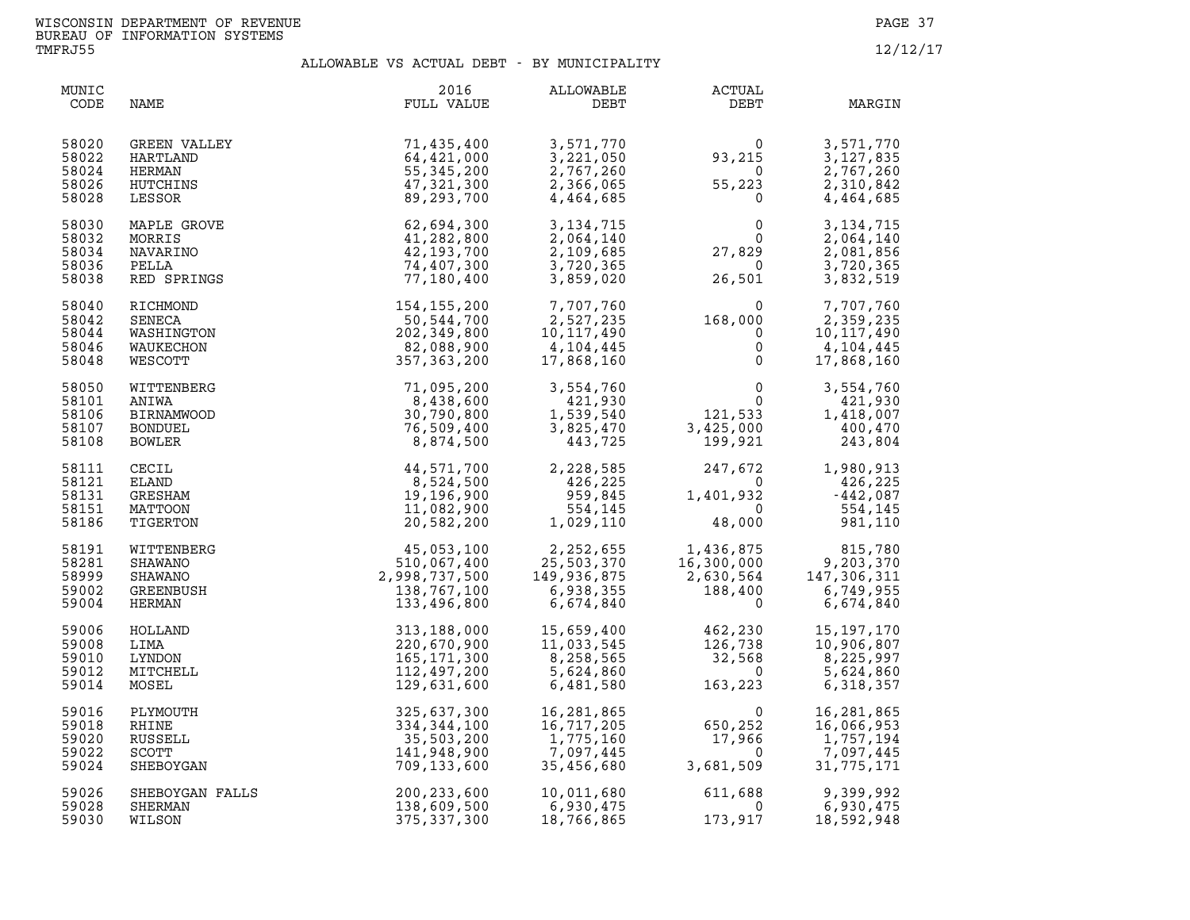| MUNIC<br>CODE                             | NAME                                                                 | 2016<br>FULL VALUE                                                       | <b>ALLOWABLE</b><br>DEBT                                          | ACTUAL<br>DEBT                                                                  | MARGIN                                                                                                                       |
|-------------------------------------------|----------------------------------------------------------------------|--------------------------------------------------------------------------|-------------------------------------------------------------------|---------------------------------------------------------------------------------|------------------------------------------------------------------------------------------------------------------------------|
| 58020                                     | GREEN VALLEY                                                         | 71,435,400                                                               | 3,571,770                                                         | $\Omega$                                                                        | 3,571,770                                                                                                                    |
| 58022                                     | HARTLAND                                                             | 64,421,000                                                               | 3,221,050                                                         | 93,215                                                                          | 3, 127, 835                                                                                                                  |
| 58024                                     | HERMAN                                                               | 55, 345, 200                                                             | 2,767,260                                                         | $\sim$ 0                                                                        | 2,767,260                                                                                                                    |
| 58026                                     | HUTCHINS                                                             | 47,321,300                                                               | 2,366,065                                                         | 55,223                                                                          | 2,310,842                                                                                                                    |
| 58028                                     | LESSOR                                                               | 89,293,700                                                               | 4,464,685                                                         | $\overline{\mathbf{0}}$                                                         | 4,464,685                                                                                                                    |
| 58030                                     | MAPLE GROVE                                                          | 62,694,300                                                               | 3, 134, 715                                                       | $\Omega$                                                                        | 3, 134, 715                                                                                                                  |
| 58032                                     | MORRIS                                                               | 41,282,800                                                               | 2,064,140                                                         | $\overline{0}$                                                                  | 2,064,140                                                                                                                    |
| 58034                                     | NAVARINO                                                             | 42, 193, 700                                                             | 2,109,685                                                         | 27,829                                                                          | 2,081,856                                                                                                                    |
| 58036                                     | PELLA                                                                | 74,407,300                                                               | 3,720,365                                                         | $\bigcirc$                                                                      | 3,720,365                                                                                                                    |
| 58038                                     | RED SPRINGS                                                          | 77,180,400                                                               | 3,859,020                                                         | 26,501                                                                          | 3,832,519                                                                                                                    |
| 58040<br>58042<br>58044<br>58046<br>58048 | RICHMOND<br>SENECA<br>WASHINGTON<br>WAUKECHON<br>WESCOTT             | 154,155,200<br>50,544,700<br>202,349,800<br>82,088,900<br>357,363,200    | 7,707,760<br>2,527,235<br>10, 117, 490<br>4,104,445<br>17,868,160 | $168,000\ 0\ 0$<br>$\mathbf{0}$                                                 | 7,707,760<br>2,359,235<br>10, 117, 490<br>4,104,445<br>17,868,160                                                            |
| 58050<br>58101<br>58106<br>58107<br>58108 | WITTENBERG<br>ANIWA<br><b>BIRNAMWOOD</b><br><b>BONDUEL</b><br>BOWLER | 71,095,200<br>8,438,600<br>30,790,800<br>76,509,400<br>8,874,500         | 3,554,760<br>421,930<br>1,539,540<br>3,825,470<br>443,725         | $\begin{smallmatrix}&&&0\\&&&0\\121,533\\3,425,000\\&&199,921\end{smallmatrix}$ | 3,554,760<br>421,930<br>1,418,007<br>400,470<br>243,804                                                                      |
| 58111<br>58121<br>58131<br>58151<br>58186 | CECIL<br><b>ELAND</b><br>GRESHAM<br>MATTOON<br>TIGERTON              | 44,571,700<br>8,524,500<br>19,196,900<br>11,082,900<br>20,582,200        | 2,228,585<br>426,225<br>959,845<br>554,145<br>1,029,110           | 247,672<br>0<br>1,401,932<br>$\overline{0}$<br>48,000                           | 1,980,913<br>426,225<br>$-442,087$<br>554,145<br>981,110                                                                     |
| 58191<br>58281<br>58999<br>59002<br>59004 | WITTENBERG<br><b>SHAWANO</b><br>SHAWANO<br>GREENBUSH<br>HERMAN       | 45,053,100<br>510,067,400<br>2,998,737,500<br>138,767,100<br>133,496,800 | 2,252,655<br>25,503,370<br>149,936,875<br>6,938,355<br>6,674,840  | 1,436,875<br>16,300,000<br>2,630,564<br>188,400<br>0                            | $1,436,875$<br>$16,300,000$<br>$2,630,564$<br>$188,400$<br>$5,749.955$<br>$188,400$<br>$2,749.955$<br>6,749,955<br>6,674,840 |
| 59006                                     | HOLLAND                                                              | 313,188,000                                                              | 15,659,400                                                        | 462,230<br>126,738<br>32,568<br>163,223                                         | 15, 197, 170                                                                                                                 |
| 59008                                     | LIMA                                                                 | 220,670,900                                                              | 11,033,545                                                        |                                                                                 | 10,906,807                                                                                                                   |
| 59010                                     | LYNDON                                                               | 165,171,300                                                              | 8,258,565                                                         |                                                                                 | 8,225,997                                                                                                                    |
| 59012                                     | MITCHELL                                                             | 112,497,200                                                              | 5,624,860                                                         |                                                                                 | 5,624,860                                                                                                                    |
| 59014                                     | MOSEL                                                                | 129,631,600                                                              | 6,481,580                                                         |                                                                                 | 6,318,357                                                                                                                    |
| 59016                                     | PLYMOUTH                                                             | 325,637,300                                                              | 16,281,865                                                        | $\Omega$                                                                        | 16,281,865                                                                                                                   |
| 59018                                     | RHINE                                                                | 334,344,100                                                              | 16,717,205                                                        | 650,252                                                                         | 16,066,953                                                                                                                   |
| 59020                                     | RUSSELL                                                              | 35,503,200                                                               | 1,775,160                                                         | 17,966                                                                          | 1,757,194                                                                                                                    |
| 59022                                     | <b>SCOTT</b>                                                         | 141,948,900                                                              | 7,097,445                                                         | $\overline{0}$                                                                  | 7,097,445                                                                                                                    |
| 59024                                     | SHEBOYGAN                                                            | 709,133,600                                                              | 35,456,680                                                        | 3,681,509                                                                       | 31,775,171                                                                                                                   |
| 59026                                     | SHEBOYGAN FALLS                                                      | 200, 233, 600                                                            | 10,011,680                                                        | 611,688                                                                         | 9,399,992                                                                                                                    |
| 59028                                     | SHERMAN                                                              | 138,609,500                                                              | 6,930,475                                                         | - 0                                                                             | 6,930,475                                                                                                                    |
| 59030                                     | WILSON                                                               | 375, 337, 300                                                            | 18,766,865                                                        | 173,917                                                                         | 18,592,948                                                                                                                   |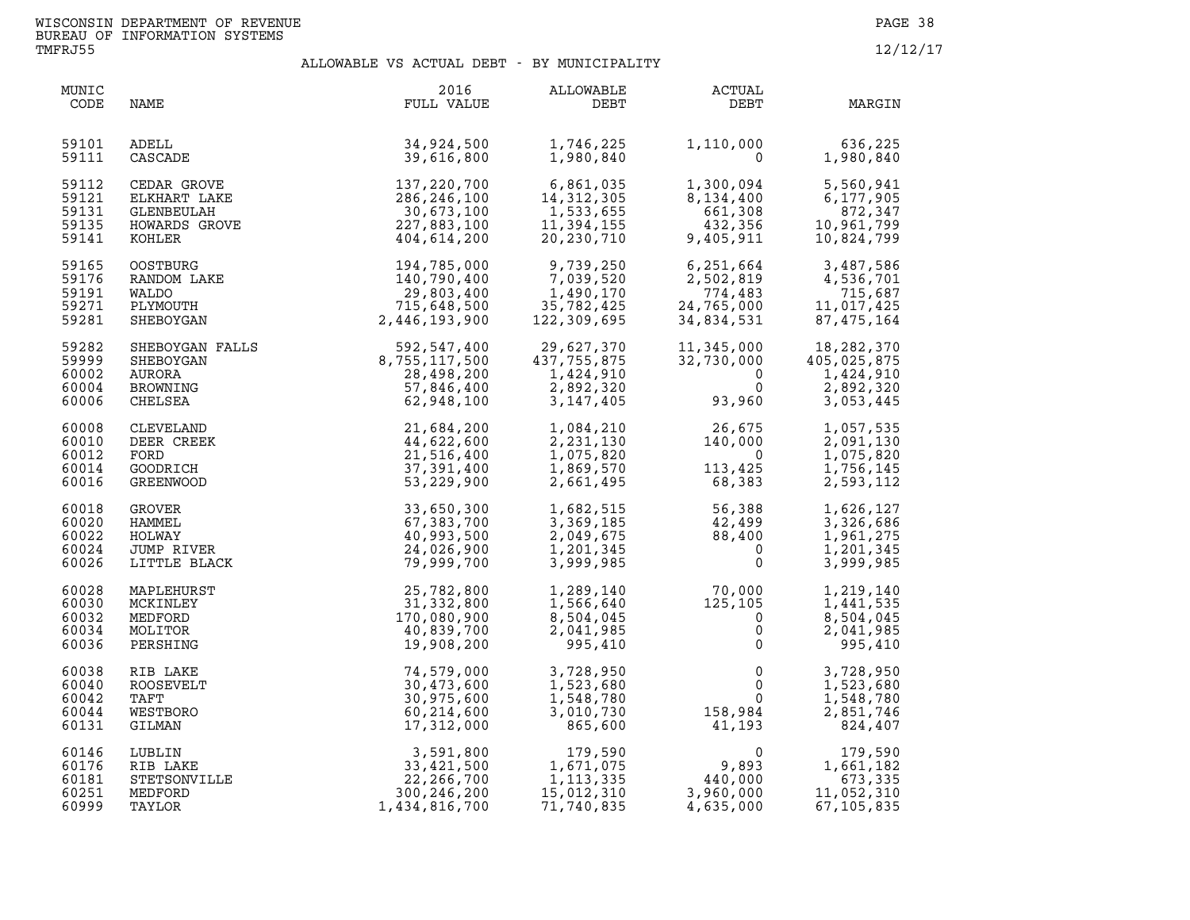| MUNIC<br>CODE                             | NAME                                                             | 2016<br>FULL VALUE                                                                                                       | ALLOWABLE<br>DEBT                                                                | <b>ACTUAL</b><br>DEBT                                           | MARGIN                                                           |
|-------------------------------------------|------------------------------------------------------------------|--------------------------------------------------------------------------------------------------------------------------|----------------------------------------------------------------------------------|-----------------------------------------------------------------|------------------------------------------------------------------|
| 59101<br>59111                            | ADELL<br>CASCADE                                                 | 34,924,500<br>39,616,800                                                                                                 | 1,746,225<br>1,980,840                                                           |                                                                 | 1,110,000 636,225<br>0 1,980,840<br>1,980,840                    |
| 59112<br>59121<br>59131<br>59135<br>59141 |                                                                  | CEDAR GROVE<br>ELKHART LAKE 286,246,100<br>GLENBEULAH 30,673,100<br>HOWARDS GROVE 227,883,100<br>KOHLER 404 614 200      | 6,861,035<br>14,312,305<br>14, 312, 305<br>1,533,655<br>11,394,155<br>20,230,710 | $1,300,094$<br>8,134,400<br>661,308<br>432,356<br>9,405,911     | 5,560,941<br>6,177,905<br>872,347<br>10,961,799<br>10,824,799    |
| 59165<br>59176<br>59191<br>59271<br>59281 | <b>OOSTBURG</b><br>RANDOM LAKE<br>WALDO<br>PLYMOUTH<br>SHEBOYGAN | 194,785,000<br>140,790,400<br>29,803,400<br>715,648,500<br>2,446,193,900<br>2,446,193,900                                | 9,739,250<br>7,039,520<br>1,490,170<br>35,782,425<br>122,309,695                 | 6,251,664<br>2,502,819<br>774,483<br>24,765,000<br>34,834,531   | 3,487,586<br>4,536,701<br>715,687<br>11,017,425<br>87, 475, 164  |
| 59282<br>59999<br>60002<br>60004<br>60006 |                                                                  | SHEBOYGAN FALLS 592,547,400<br>SHEBOYGAN 8,755,117,500<br>AURORA 28,498,200<br>BROWNING 57,846,400<br>CHELSEA 62,948,100 | 29,627,370<br>437,755,875<br>1,424,910<br>2,892,320<br>3,147,405                 | 11,345,000<br>32,730,000<br>$\Omega$<br>$\Omega$<br>93,960      | 18,282,370<br>405,025,875<br>1,424,910<br>2,892,320<br>3,053,445 |
| 60008<br>60010<br>60012<br>60014<br>60016 | CLEVELAND<br>DEER CREEK<br>FORD<br>GOODRICH<br>GREENWOOD         | 21,684,200<br>44,622,600<br>21,516,400<br>37,391,400<br>53,229,900                                                       | 1,084,210<br>2,231,130<br>1,075,820<br>1,869,570<br>2,661,495                    | $26,675$<br>$140,000$<br>$0$<br>$113,425$<br>$68,383$           | 1,057,535<br>2,091,130<br>1,075,820<br>1,756,145<br>2,593,112    |
| 60018<br>60020<br>60022<br>60024<br>60026 | GROVER<br>HAMMEL<br>HOLWAY<br>JUMP RIVER<br>LITTLE BLACK         | 33,650,300<br>67,383,700<br>40,993,500<br>24,026,900<br>79,999,700                                                       | 1,682,515<br>3,369,185<br>2,049,675<br>1,201,345<br>3,999,985                    | 56,388<br>$42,499$<br>$88.400$<br>$\mathbf{0}$<br>$\Omega$      | 1,626,127<br>3,326,686<br>1,961,275<br>1,201,345<br>3,999,985    |
| 60028<br>60030<br>60032<br>60034<br>60036 | MAPLEHURST<br>MCKINLEY<br>MEDFORD<br>MOLITOR<br>PERSHING         | 25,782,800<br>31,332,800<br>170,080,900<br>40,839,700<br>19,908,200                                                      | 1,289,140<br>1,566,640<br>8,504,045<br>2,041,985<br>995,410                      | $70,000$<br>$125,105$<br>$0$<br>$0$                             | 1,219,140<br>1,441,535<br>8,504,045<br>2,041,985<br>995,410      |
| 60038<br>60040<br>60042<br>60044<br>60131 | RIB LAKE<br>ROOSEVELT<br>TAFT<br>WESTBORO<br>GILMAN              | 74,579,000<br>30,473,600<br>30,975,600<br>60,214,600<br>17,312,000                                                       | 3,728,950<br>1,523,680<br>1,548,780<br>3,010,730<br>865,600                      | $\mathbf 0$<br>$\mathbf{0}$<br>$\mathbf 0$<br>158,984<br>41,193 | 3,728,950<br>1,523,680<br>1,548,780<br>2,851,746<br>824,407      |
| 60146<br>60176<br>60181<br>60251<br>60999 | LUBLIN<br>RIB LAKE<br>STETSONVILLE<br>MEDFORD<br>TAYLOR          | 3,591,800<br>33,421,500           1,<br>22,266,700<br>300, 246, 200<br>1,434,816,700                                     | 179,590<br>1,671,075<br>1, 113, 335<br>15,012,310<br>71,740,835                  | 0<br>9,893<br>440,000<br>3,960.000<br>4,635,000                 | 179,590<br>1,661,182<br>673,335<br>11,052,310<br>67, 105, 835    |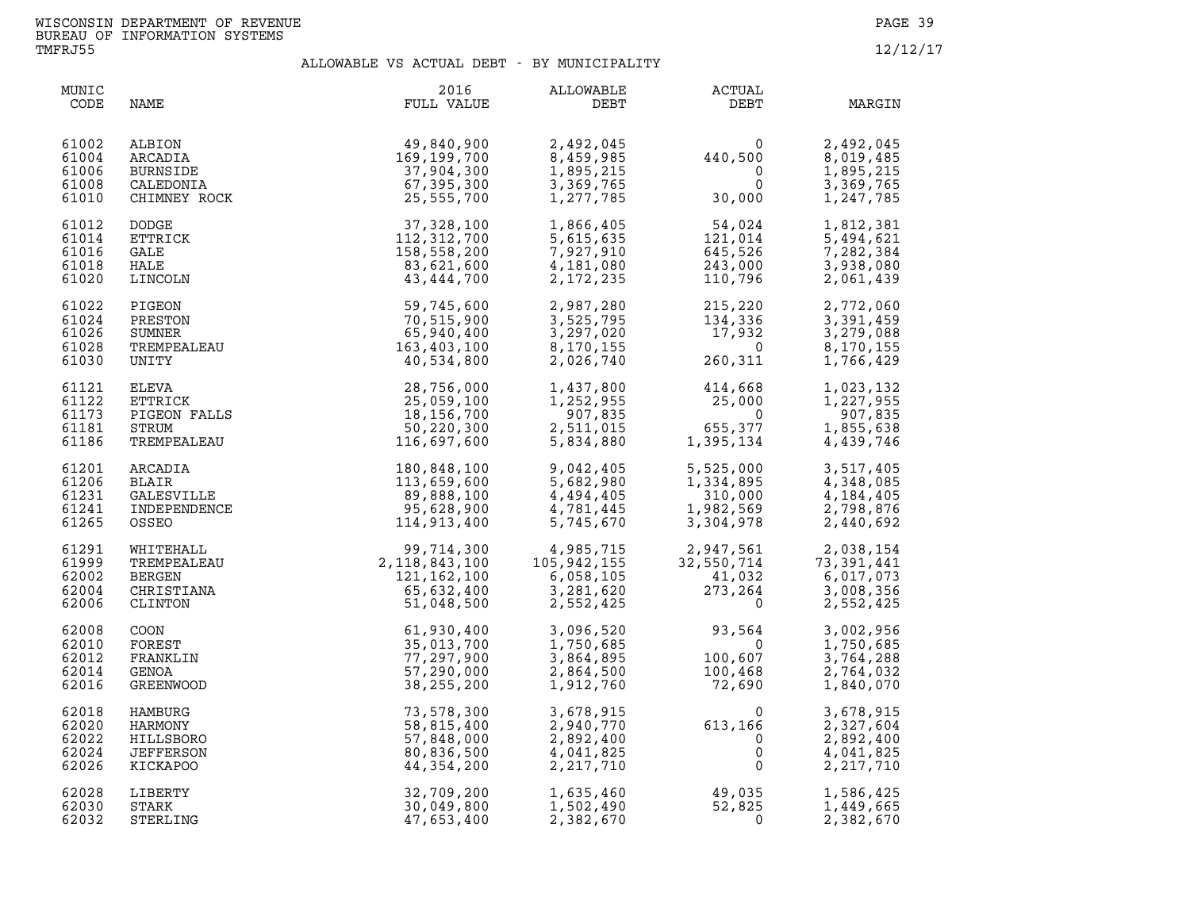| MUNIC<br>CODE                             | NAME                                                            | 2016<br>FULL VALUE                                                                                                                                                                                                                                 | ALLOWABLE<br>DEBT                                                                                                                                                                                                                                                                                                   | ACTUAL<br>DEBT                                                           | MARGIN                                                        |
|-------------------------------------------|-----------------------------------------------------------------|----------------------------------------------------------------------------------------------------------------------------------------------------------------------------------------------------------------------------------------------------|---------------------------------------------------------------------------------------------------------------------------------------------------------------------------------------------------------------------------------------------------------------------------------------------------------------------|--------------------------------------------------------------------------|---------------------------------------------------------------|
| 61002<br>61004<br>61006<br>61008<br>61010 | ALBION<br>ARCADIA<br>BURNSIDE<br>CALEDONIA<br>CHIMNEY ROCK      | 49,840,900<br>169, 199, 700<br>37,904,300<br>67,395,300<br>25,555,700                                                                                                                                                                              | 2,492,045<br>8,459,985<br>1,895,215<br>3,369,765<br>1,277,785                                                                                                                                                                                                                                                       | $440,500$<br>0<br>0<br>30,000                                            | 2,492,045<br>8,019,485<br>1,895,215<br>3,369,765<br>1,247,785 |
| 61012<br>61014<br>61016<br>61018<br>61020 | <b>DODGE</b><br>ETTRICK<br>GALE<br>HALE                         | 37,328,100<br>112, 312, 700<br>158,558,200<br>83,621,600                                                                                                                                                                                           | 1,866,405<br>5,615,635<br>7,927,910<br>4,181,080<br>2,172,235                                                                                                                                                                                                                                                       | $54,024$<br>$121,014$<br>$645,526$<br>$243,000$<br>$110,796$             | 1,812,381<br>5,494,621<br>7,282,384<br>3,938,080<br>2,061,439 |
| 61022<br>61024<br>61026<br>61028<br>61030 |                                                                 |                                                                                                                                                                                                                                                    |                                                                                                                                                                                                                                                                                                                     | 2,987,280<br>3,525,795<br>3,297,020<br>8,170,155<br>2,026,740<br>260,311 | 2,772,060<br>3,391,459<br>3,279,088<br>8,170,155<br>1,766,429 |
| 61121<br>61122<br>61173<br>61181<br>61186 |                                                                 |                                                                                                                                                                                                                                                    | 1,437,800<br>1,252,955<br>907,835<br>2,511,015<br>5,834,880                                                                                                                                                                                                                                                         | $414,668$<br>$25,000$<br>0<br>655,377<br>1,395,134                       | 1,023,132<br>1,227,955<br>907,835<br>1,855,638<br>4,439,746   |
| 61201<br>61206<br>61231<br>61241<br>61265 |                                                                 | 180,848,100<br>113,659,600<br>89,888,100<br>95,628,900<br>114,913,400                                                                                                                                                                              | 9,042,405<br>5,682,980<br>4,494,405<br>4,781,445<br>5,745,670                                                                                                                                                                                                                                                       | 5,525,000<br>1,334,895<br>310,000<br>1,982,569<br>3,304,978              | 3,517,405<br>4,348,085<br>4,184,405<br>2,798,876<br>2,440,692 |
| 61291<br>61999<br>62002<br>62004<br>62006 |                                                                 |                                                                                                                                                                                                                                                    | $\begin{array}{lllllllllllllllllllllllllllllllll} 99,714\,,300 & & & 4\,,985\,,715 & & & 2\,,947\,,561 & & & 2\,,038\,,154 \\ 118\,,843\,,100 & & & 105\,,942\,,155 & & & 32\,,550\,,714 & & & 73\,,391\,,441 \\ 121\,,162\,,100 & & & 6\,,058\,,105 & & & 41\,,032 & & 6\,,017\,,073 \\ 65\,,632\,,400 & & & 3\,,$ |                                                                          |                                                               |
| 62008<br>62010<br>62012<br>62014<br>62016 |                                                                 | ARCADIA 110,097,000<br>BLAIR 113,659,600<br>GALESVILLE 113,659,600<br>INDEPENDENCE 99,888,100<br>OSSEO 99,608,900<br>MHITEHALL 913,400<br>WHITEHALL 99,714,300<br>TREMPENDENCE 114,913,400<br>MERGEN 2,118,843,100<br>CHRISTIANA 2,118,843,100<br> | 3,096,520<br>1,750,685<br>3,864,895<br>2,864,500<br>1,912,760                                                                                                                                                                                                                                                       | $93,564$<br>$100,607$<br>$100,468$<br>$72,690$                           | 3,002,956<br>1,750,685<br>3,764,288<br>2,764,032<br>1,840,070 |
| 62018<br>62020<br>62022<br>62024<br>62026 | HAMBURG<br>HARMONY<br>HILLSBORO<br><b>JEFFERSON</b><br>KICKAPOO | 73,578,300<br>58,815,400<br>57,848,000<br>80,836,500<br>44,354,200                                                                                                                                                                                 | 3,678,915<br>2,940,770<br>2,892,400<br>4,041,825<br>2, 217, 710                                                                                                                                                                                                                                                     | $613, 166$<br>0<br>0<br>0<br>0                                           | 3,678,915<br>2,327,604<br>2,892,400<br>4,041,825<br>2,217,710 |
| 62028<br>62030<br>62032                   | LIBERTY<br>STARK<br>STERLING                                    | 32,709,200<br>30,049,800<br>47,653,400                                                                                                                                                                                                             | 1,635,460<br>1,502,490<br>2,382,670                                                                                                                                                                                                                                                                                 | 49,035<br>52,825<br>0                                                    | 1,586,425<br>1,449,665<br>2,382,670                           |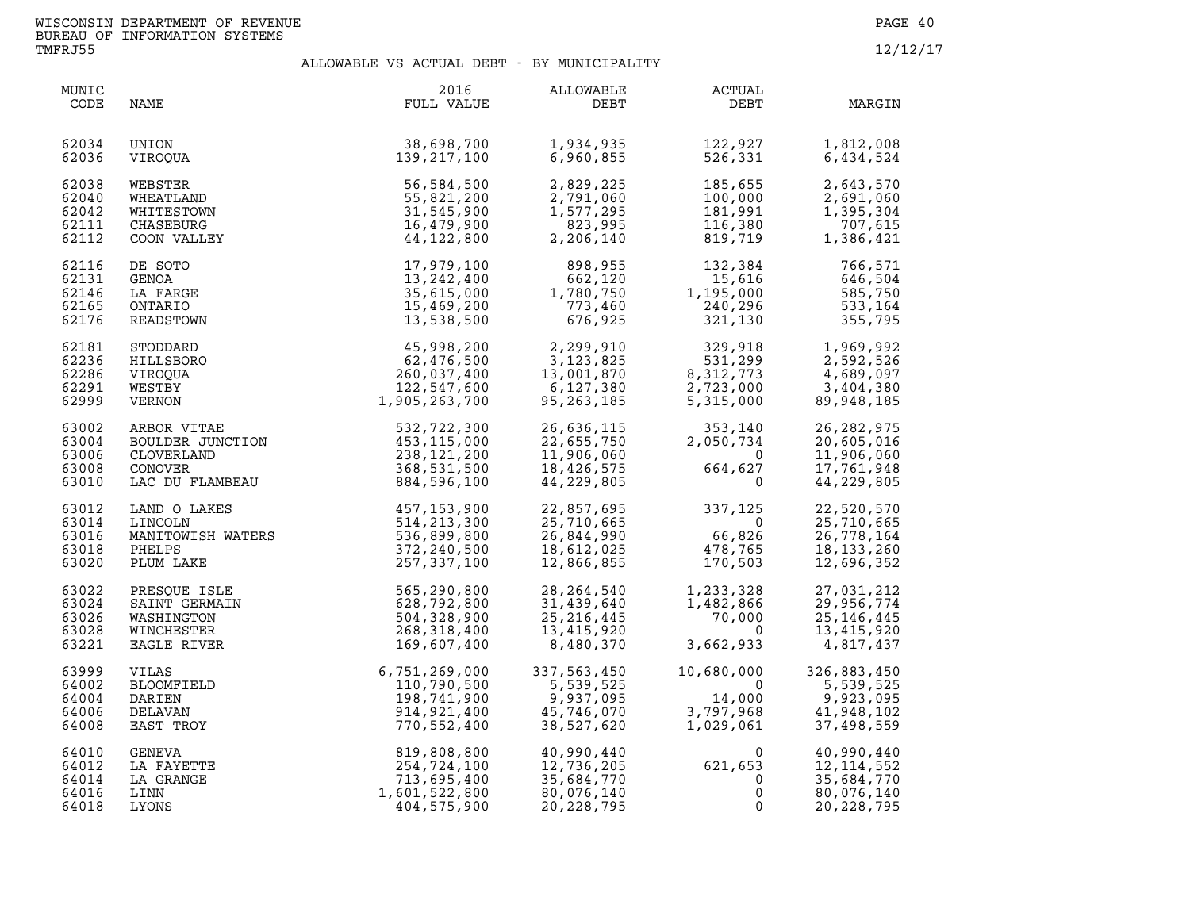| MUNIC<br>CODE                             | NAME                                                                                      | 2016<br>FULL VALUE                                                        | ALLOWABLE<br>DEBT                                                  | <b>ACTUAL</b><br>DEBT                                      | MARGIN                                                               |
|-------------------------------------------|-------------------------------------------------------------------------------------------|---------------------------------------------------------------------------|--------------------------------------------------------------------|------------------------------------------------------------|----------------------------------------------------------------------|
| 62034                                     | UNION                                                                                     | 38,698,700                                                                | 1,934,935                                                          | 122,927                                                    | 1,812,008                                                            |
| 62036                                     | VIROOUA                                                                                   | 139,217,100                                                               | 6,960,855                                                          | 526,331                                                    | 6,434,524                                                            |
| 62038                                     | WEBSTER                                                                                   | 56,584,500                                                                | 2,829,225                                                          | 185,655                                                    | 2,643,570                                                            |
| 62040                                     | WHEATLAND                                                                                 | 55,821,200                                                                | 2,791,060                                                          | 100,000                                                    | 2,691,060                                                            |
| 62042                                     | WHITESTOWN                                                                                | 31,545,900                                                                | 1,577,295                                                          | 181,991                                                    | 1,395,304                                                            |
| 62111                                     | CHASEBURG                                                                                 | 16,479,900                                                                | 823,995                                                            | 116,380                                                    | 707,615                                                              |
| 62112                                     | COON VALLEY                                                                               | 44,122,800                                                                | 2,206,140                                                          | 819,719                                                    | 1,386,421                                                            |
| 62116                                     | DE SOTO                                                                                   | 17,979,100                                                                | 898,955                                                            | 132,384                                                    | 766,571                                                              |
| 62131                                     | GENOA                                                                                     | 13, 242, 400                                                              | 662,120                                                            | 15,616                                                     | 646,504                                                              |
| 62146                                     | LA FARGE                                                                                  | 35,615,000                                                                | 1,780,750                                                          | 1,195,000                                                  | 585,750                                                              |
| 62165                                     | ONTARIO                                                                                   | 15,469,200                                                                | 773,460                                                            | 240,296                                                    | 533,164                                                              |
| 62176                                     | READSTOWN                                                                                 | 13,538,500                                                                | 676,925                                                            | 321,130                                                    | 355,795                                                              |
| 62181                                     | STODDARD                                                                                  | 45,998,200                                                                | 2,299,910                                                          | 329,918                                                    | 1,969,992                                                            |
| 62236                                     | HILLSBORO                                                                                 | 62,476,500                                                                | 3,123,825                                                          | 531,299                                                    | 2,592,526                                                            |
| 62286                                     | VIROOUA                                                                                   | 260,037,400                                                               | 13,001,870                                                         | 8, 312, 773                                                | 4,689,097                                                            |
| 62291                                     | WESTBY                                                                                    | 122,547,600                                                               | 6,127,380                                                          | 2,723,000                                                  | 3,404,380                                                            |
| 62999                                     | VERNON                                                                                    | 1,905,263,700                                                             | 95,263,185                                                         | 5,315,000                                                  | 89,948,185                                                           |
| 63002<br>63004<br>63006<br>63008<br>63010 | ARBOR VITAE<br>BOULDER JUNCTION<br>CLOVERLAND<br>CLOVERLAND<br>CONOVER<br>LAC DU FLAMBEAU | 532,722,300<br>453, 115, 000<br>238,121,200<br>368,531,500<br>884,596,100 | 26,636,115<br>22,655,750<br>11,906,060<br>18,426,575<br>44,229,805 | 353,140<br>2,050,734<br>$\Omega$<br>664,627<br>$\mathbf 0$ | 26, 282, 975<br>20,605,016<br>11,906,060<br>17,761,948<br>44,229,805 |
| 63012                                     | LAND O LAKES                                                                              | 457, 153, 900                                                             | 22,857,695                                                         | 337,125                                                    | 22,520,570                                                           |
| 63014                                     | LINCOLN                                                                                   | 514, 213, 300                                                             | 25,710,665                                                         | $\Omega$                                                   | 25,710,665                                                           |
| 63016                                     | MANITOWISH WATERS                                                                         | 536,899,800                                                               | 26,844,990                                                         | 66,826                                                     | 26,778,164                                                           |
| 63018                                     | PHELPS                                                                                    | 372,240,500                                                               | 18,612,025                                                         | 478,765                                                    | 18, 133, 260                                                         |
| 63020                                     | PLUM LAKE                                                                                 | 257,337,100                                                               | 12,866,855                                                         | 170,503                                                    | 12,696,352                                                           |
| 63022                                     | PRESOUE ISLE                                                                              | 565,290,800                                                               | 28, 264, 540                                                       | 1,233,328                                                  | 27,031,212                                                           |
| 63024                                     | SAINT GERMAIN                                                                             | 628,792,800                                                               | 31,439,640                                                         | 1,482,866                                                  | 29,956,774                                                           |
| 63026                                     | WASHINGTON                                                                                | 504,328,900                                                               | 25, 216, 445                                                       | 70,000                                                     | 25,146,445                                                           |
| 63028                                     | WINCHESTER                                                                                | 268,318,400                                                               | 13,415,920                                                         | $\overline{0}$                                             | 13,415,920                                                           |
| 63221                                     | EAGLE RIVER                                                                               | 169,607,400                                                               | 8,480,370                                                          | 3,662,933                                                  | 4,817,437                                                            |
| 63999                                     | VILAS                                                                                     | 6,751,269,000                                                             | 337,563,450                                                        | 10,680,000                                                 | 326,883,450                                                          |
| 64002                                     | BLOOMFIELD                                                                                | 110,790,500                                                               | 5,539,525                                                          | 0                                                          | 5,539,525                                                            |
| 64004                                     | DARIEN                                                                                    | 198,741,900                                                               | 9,937,095                                                          | 14,000                                                     | 9,923,095                                                            |
| 64006                                     | DELAVAN                                                                                   | 914, 921, 400                                                             | 45,746,070                                                         | 3,797,968                                                  | 41,948,102                                                           |
| 64008                                     | EAST TROY                                                                                 | 770,552,400                                                               | 38,527,620                                                         | 1,029,061                                                  | 37,498,559                                                           |
| 64010                                     | GENEVA                                                                                    | 819,808,800                                                               | 40,990,440                                                         | 0                                                          | 40,990,440                                                           |
| 64012                                     | LA FAYETTE                                                                                | 254,724,100                                                               | 12,736,205                                                         | 621,653                                                    | 12, 114, 552                                                         |
| 64014                                     | LA GRANGE                                                                                 | 713,695,400                                                               | 35,684,770                                                         | 0                                                          | 35,684,770                                                           |
| 64016                                     | LINN                                                                                      | 1,601,522,800                                                             | 80,076,140                                                         | 0                                                          | 80,076,140                                                           |
| 64018                                     | LYONS                                                                                     | 404,575,900                                                               | 20, 228, 795                                                       | 0                                                          | 20,228,795                                                           |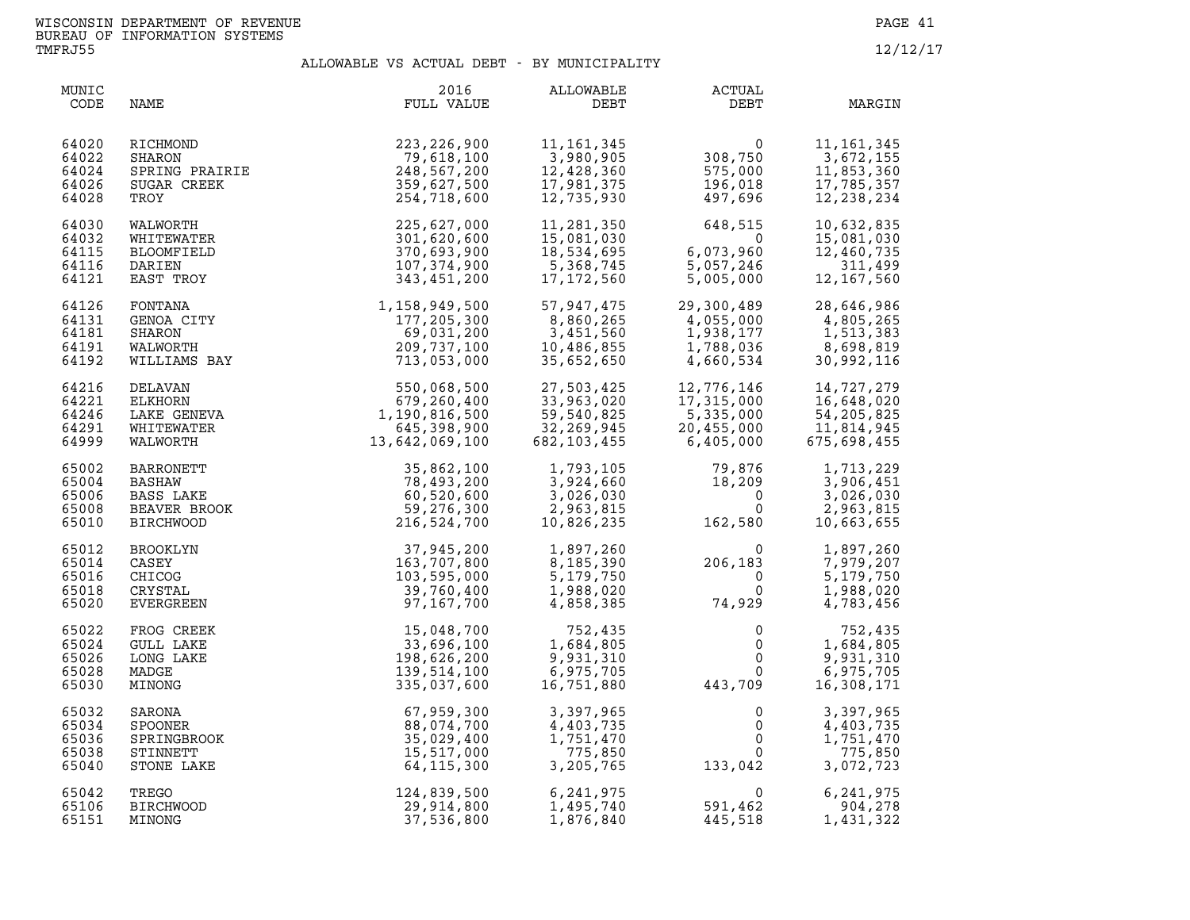| MUNIC<br>CODE                             | NAME                                                                                                                            | 2016<br>FULL VALUE                                                                                                       | ALLOWABLE<br>DEBT                                                                                                                                                                                 | <b>ACTUAL</b><br>DEBT                                                                                                      | MARGIN                                                                                                          |
|-------------------------------------------|---------------------------------------------------------------------------------------------------------------------------------|--------------------------------------------------------------------------------------------------------------------------|---------------------------------------------------------------------------------------------------------------------------------------------------------------------------------------------------|----------------------------------------------------------------------------------------------------------------------------|-----------------------------------------------------------------------------------------------------------------|
| 64020<br>64022<br>64024<br>64026<br>64028 | RICHMOND<br>SHARON<br>SPRING PRAIRIE<br>SUGAR CREEK<br>TROY<br>WAILLES                                                          | 223, 226, 900<br>79,618,100<br>248,567,200<br>359,627,500<br>254,718,600                                                 | 11, 161, 345<br>3,980,905<br>12,428,360<br>17,981,375<br>12,735,930                                                                                                                               | 0<br>308,750<br>575,000<br>196,018<br>497,696                                                                              | 11, 161, 345<br>3,672,155<br>11,853,360<br>17,785,357<br>12,238,234                                             |
| 64030<br>64032<br>64115<br>64116<br>64121 | WALWORTH<br>WHITEWATER<br>BLOOMFIELD<br>DARIEN<br>EAST TROY                                                                     | 225,627,000<br>301,620,600<br>370,693,900<br>107,374,900<br>343,451,200                                                  | 11,281,350<br>us1,030,د۔<br>18,534,695<br>5,368,745<br>17.172                                                                                                                                     | $648,515$<br>6,073,960<br>5,057,246<br>5,005,000<br>$6,073,960$<br>5,057,246<br>5,005,000                                  | 10,632,835<br>15,081,030<br>12,460,735<br>311,499<br>12, 167, 560                                               |
| 64126<br>64131<br>64181<br>64191<br>64192 |                                                                                                                                 | FONTANA 1,158,949,500<br>GENOA CITY 177,205,300<br>SHARON 69,031,200<br>WALWORTH 209,737,100<br>WILLIAMS BAY 713,053,000 | 57,947,475<br>8,860,265<br>3,451,560<br>10,486,855<br>35,652,650                                                                                                                                  | 29,300,489<br>4,055,000<br>1,938,177<br>1,513,383<br>1,788,036<br>4,660,534<br>30,992,116                                  |                                                                                                                 |
| 64216<br>64221<br>64246<br>64291<br>64999 | DELAVAN<br>ELKHORN<br>LAKE GENEVA<br>WHITEWATER<br>WALWORTH                                                                     | 550,068,500<br>679,260,400<br>1,190,816,500<br>645,398,900<br>13,642,069,100                                             | 27,503,425<br>33,963,020<br>59,540,825<br>32,269,945<br>682,103,455                                                                                                                               | 12,776,146<br>17,315,000<br>5,335,000<br>20,455,000<br>6,405,000                                                           | 14,727,279<br>16,648,020<br>54, 205, 825<br>11,814,945<br>675,698,455                                           |
| 65002<br>65004<br>65006<br>65008<br>65010 | BARRONETT<br>BASHAW<br>BASS LAKE<br>BEAVER BROOK<br>BIRCHWOOD<br>BROOKLYN<br>CASEY<br>CHICOG<br>CRYSTAL<br>CRYSTAL<br>EVERGREEN | 35,862,100<br>78,493,200<br>60,520,600<br>59,276,300<br>216,524,700 1                                                    | 10,826,235                                                                                                                                                                                        | $1, 793, 105$<br>$3, 924, 660$<br>$3, 026, 030$<br>$2, 963, 815$<br>$10, 826, 235$<br>$162, 580$<br>$162, 580$             | 1,713,229<br>3,906,451<br>3,026,030<br>2,963,815<br>10,663,655                                                  |
| 65012<br>65014<br>65016<br>65018<br>65020 |                                                                                                                                 |                                                                                                                          | $\begin{array}{cccc} 37,945,200 & 1,897,260 & 0 \\ 163,707,800 & 8,185,390 & 206,183 \\ 103,595,000 & 5,179,750 & 0 \\ 39,760,400 & 1,988,020 & 0 \\ 97,167,700 & 4,858,385 & 74,929 \end{array}$ |                                                                                                                            | 1,897,260<br>7,979,207<br>5,179,750<br>1,988,020<br>4,783,456                                                   |
| 65022<br>65024<br>65026<br>65028<br>65030 | FROG CREEK<br><b>GULL LAKE</b><br>LONG LAKE<br>MADGE<br>MINONG                                                                  | 15,048,700<br>33,696,100<br>198,626,200<br>139,514,100<br>335,037,600                                                    | 752,435<br>$\begin{array}{c}\n1\n\end{array}$<br>1,684,805<br>9,931,310<br>6,975,705<br>16,751,880                                                                                                | 443,709                                                                                                                    | $\begin{array}{c} 0 \\ 0 \\ 0 \\ 0 \end{array}$<br>752,435<br>1,684,805<br>9,931,310<br>6,975,705<br>16,308,171 |
| 65032<br>65034<br>65036<br>65038<br>65040 | SARONA<br>SPOONER<br>SPRINGBROOK<br>STINNETT<br>STONE LAKE                                                                      | 67,959,300<br>88,074,700<br>35,029,400<br>15,517,000<br>64, 115, 300                                                     | 3,397,965<br>4,403,735<br>1,751,470<br>775,850<br>3,205,765                                                                                                                                       | $\begin{smallmatrix} & & 0\ & & & 0\ & & & 0\ & & & 0\ & & & & 0\ & & & & 0\ & & & & 133\, ,\,042 & & & \end{smallmatrix}$ | 3,397,965<br>4,403,735<br>$\overline{0}$<br>$\overline{0}$<br>1,751,470<br>775,850<br>3,072,723                 |
| 65042<br>65106<br>65151                   | TREGO<br><b>BIRCHWOOD</b><br>MINONG                                                                                             | 124,839,500<br>29,914,800<br>37,536,800                                                                                  | 6,241,975<br>1,495,740<br>1,876,840                                                                                                                                                               | $\begin{array}{ccc} & 0 & 6, 241, 975 \ 591, 462 & 904, 278 \ 445, 518 & 1, 431, 322 \end{array}$<br>445,518               |                                                                                                                 |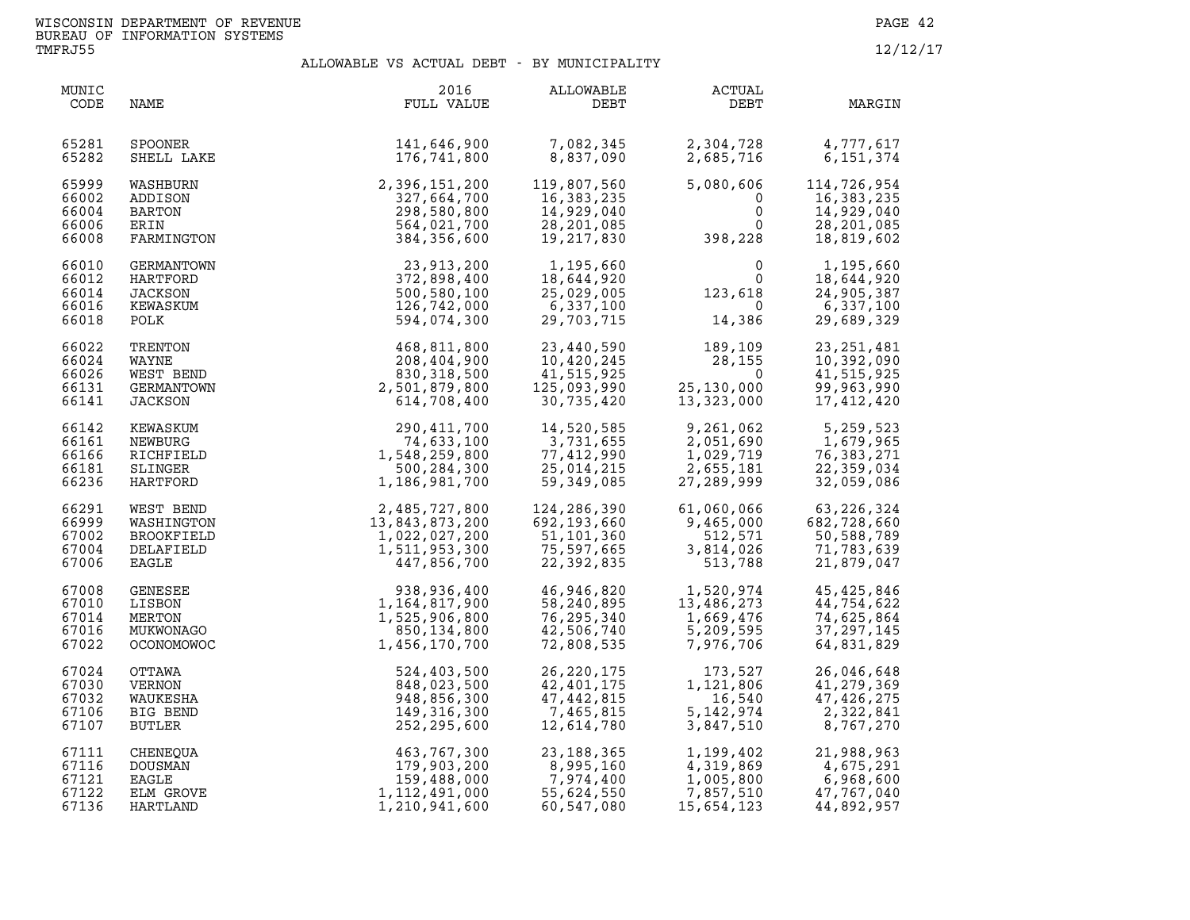| MUNIC<br>CODE                             | NAME                                                          | 2016<br>FULL VALUE                                                            | <b>ALLOWABLE</b><br>DEBT                                                | ACTUAL<br>DEBT                                                                | MARGIN                                                                 |
|-------------------------------------------|---------------------------------------------------------------|-------------------------------------------------------------------------------|-------------------------------------------------------------------------|-------------------------------------------------------------------------------|------------------------------------------------------------------------|
| 65281                                     | <b>SPOONER</b>                                                | 141,646,900                                                                   | 7,082,345                                                               | 2,304,728                                                                     | 4,777,617                                                              |
| 65282                                     | SHELL LAKE                                                    | 176,741,800                                                                   | 8,837,090                                                               | 2,685,716                                                                     | 6,151,374                                                              |
| 65999<br>66002<br>66004<br>66006<br>66008 | WASHBURN<br>ADDISON<br>BARTON<br>ERIN<br>FARMINGTON           | 2,396,151,200<br>327,664,700<br>298,580,800<br>564,021,700<br>384,356,600     | 119,807,560<br>16,383,235<br>14,929,040<br>28, 201, 085<br>19, 217, 830 | 5,080,606<br>$\begin{bmatrix} 0 \\ 0 \\ 0 \\ 0 \\ 398,228 \end{bmatrix}$<br>0 | 114,726,954<br>16,383,235<br>14,929,040<br>28, 201, 085<br>18,819,602  |
| 66010<br>66012<br>66014<br>66016<br>66018 | GERMANTOWN<br>HARTFORD<br>JACKSON<br>KEWASKUM<br>POLK         | 23,913,200<br>372,898,400<br>500,580,100<br>126,742,000<br>594,074,300        | 1,195,660<br>18,644,920<br>25,029,005<br>6,337,100<br>29,703,715        | $\begin{smallmatrix}&&&0\\&&&0\\123,618\\0\end{smallmatrix}$<br>14,386        | 1,195,660<br>18,644,920<br>24,905,387<br>6,337,100<br>29,689,329       |
| 66022<br>66024<br>66026<br>66131<br>66141 | TRENTON<br>WAYNE<br>WEST BEND<br>GERMANTOWN<br><b>JACKSON</b> | 468,811,800<br>208,404,900<br>830, 318, 500<br>2,501,879,800<br>614,708,400   | 23,440,590<br>10,420,245<br>41,515,925<br>125,093,990<br>30,735,420     | 189,109<br>28,155<br>$\mathbf 0$<br>25, 130, 000<br>13,323,000                | 23, 251, 481<br>10,392,090<br>41,515,925<br>99,963,990<br>17,412,420   |
| 66142                                     | KEWASKUM                                                      | 290,411,700                                                                   | 14,520,585                                                              | 9,261,062                                                                     | 5,259,523                                                              |
| 66161                                     | NEWBURG                                                       | 74,633,100                                                                    | 3,731,655                                                               | 2,051,690                                                                     | 1,679,965                                                              |
| 66166                                     | RICHFIELD                                                     | 1,548,259,800                                                                 | 77,412,990                                                              | 1,029,719                                                                     | 76, 383, 271                                                           |
| 66181                                     | SLINGER                                                       | 500,284,300                                                                   | 25,014,215                                                              | 2,655,181                                                                     | 22,359,034                                                             |
| 66236                                     | HARTFORD                                                      | 1,186,981,700                                                                 | 59,349,085                                                              | 27,289,999                                                                    | 32,059,086                                                             |
| 66291                                     | WEST BEND                                                     | 2,485,727,800                                                                 | 124,286,390                                                             | 61,060,066                                                                    | 63, 226, 324                                                           |
| 66999                                     | WASHINGTON                                                    | 13,843,873,200                                                                | 692,193,660                                                             | 9,465,000                                                                     | 682,728,660                                                            |
| 67002                                     | BROOKFIELD                                                    | 1,022,027,200                                                                 | 51,101,360                                                              | 512,571                                                                       | 50,588,789                                                             |
| 67004                                     | DELAFIELD                                                     | 1,511,953,300                                                                 | 75,597,665                                                              | 3,814,026                                                                     | 71,783,639                                                             |
| 67006                                     | EAGLE                                                         | 447,856,700                                                                   | 22,392,835                                                              | 513,788                                                                       | 21,879,047                                                             |
| 67008<br>67010<br>67014<br>67016<br>67022 | GENESEE<br>LISBON<br>MERTON<br>MUKWONAGO<br><b>OCONOMOWOC</b> | 938,936,400<br>1,164,817,900<br>1,525,906,800<br>850,134,800<br>1,456,170,700 | 46,946,820<br>58,240,895<br>76, 295, 340<br>42,506,740<br>72,808,535    | 1,520,974<br>13,486,273<br>1,669,476<br>5,209,595<br>7,976,706                | 45, 425, 846<br>44,754,622<br>74,625,864<br>37, 297, 145<br>64,831,829 |
| 67024                                     | OTTAWA                                                        | 524,403,500                                                                   | 26, 220, 175                                                            | 173,527                                                                       | 26,046,648                                                             |
| 67030                                     | VERNON                                                        | 848,023,500                                                                   | 42,401,175                                                              | 1, 121, 806                                                                   | 41,279,369                                                             |
| 67032                                     | WAUKESHA                                                      | 948,856,300                                                                   | 47, 442, 815                                                            | 16,540                                                                        | 47, 426, 275                                                           |
| 67106                                     | BIG BEND                                                      | 149,316,300                                                                   | 7,465,815                                                               | 5, 142, 974                                                                   | 2,322,841                                                              |
| 67107                                     | BUTLER                                                        | 252,295,600                                                                   | 12,614,780                                                              | 3,847,510                                                                     | 8,767,270                                                              |
| 67111                                     | CHENEQUA                                                      | $463,767,300$<br>$179,903,200$<br>$159,488,000$<br>$1,112,491,000$            | 23,188,365                                                              | 1,199,402                                                                     | 21,988,963                                                             |
| 67116                                     | <b>DOUSMAN</b>                                                |                                                                               | 8,995,160                                                               | 4,319,869                                                                     | 4,675,291                                                              |
| 67121                                     | EAGLE                                                         |                                                                               | 7,974,400                                                               | 1,005,800                                                                     | 6,968,600                                                              |
| 67122                                     | ELM GROVE                                                     |                                                                               | 55,624,550                                                              | 7,857,510                                                                     | 47,767,040                                                             |
| 67136                                     | HARTLAND                                                      |                                                                               | 60,547,080                                                              | 15,654,123                                                                    | 44,892,957                                                             |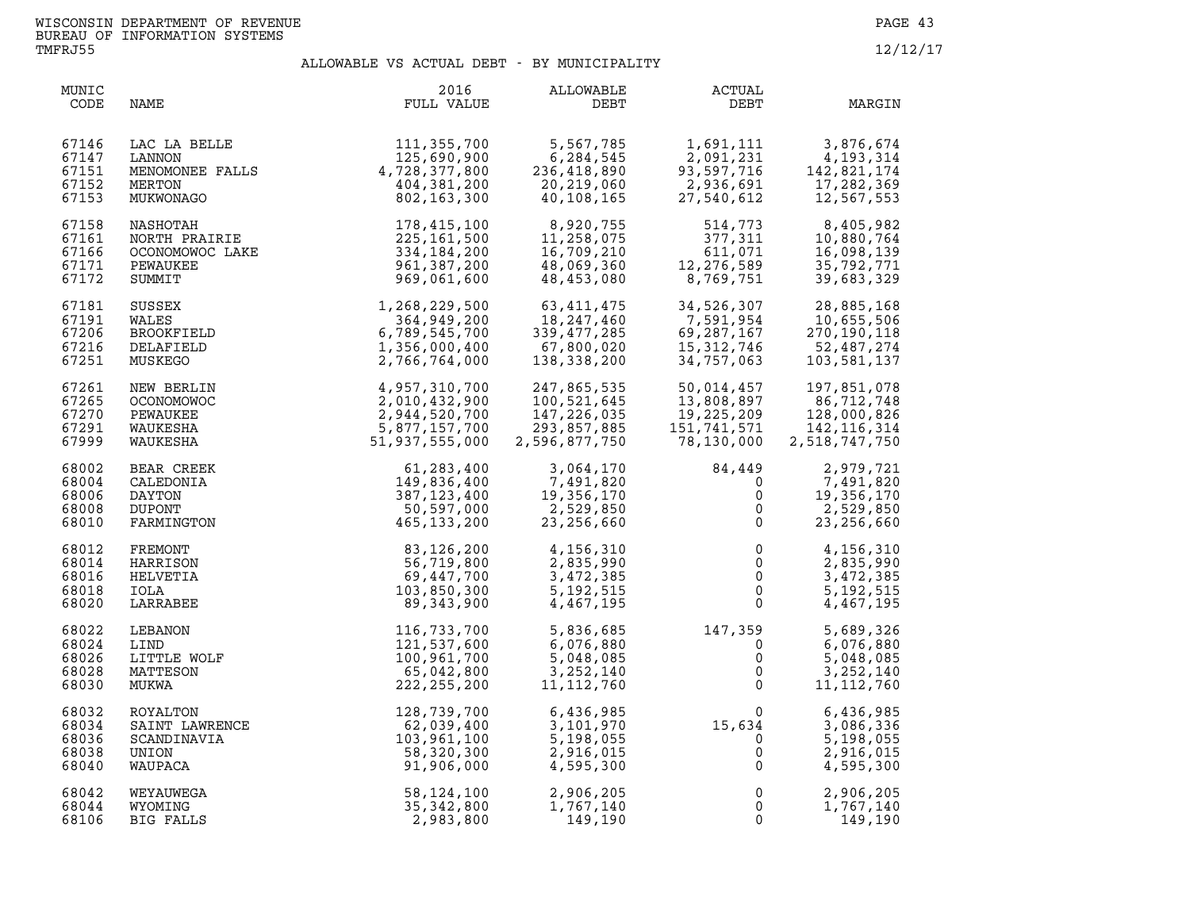| MUNIC<br>CODE                             | NAME                                                                | 2016<br>FULL VALUE                                                                 | ALLOWABLE<br>DEBT                                                                                | ACTUAL<br>DEBT                                                                   | MARGIN                                                                     |
|-------------------------------------------|---------------------------------------------------------------------|------------------------------------------------------------------------------------|--------------------------------------------------------------------------------------------------|----------------------------------------------------------------------------------|----------------------------------------------------------------------------|
| 67146<br>67147<br>67151<br>67152<br>67153 | LAC LA BELLE<br>LANNON<br>MENOMONEE FALLS<br>MERTON<br>MUKWONAGO    | 111, 355, 700<br>125,690,900<br>4,728,377,800<br>404,381,200<br>802,163,300        | 5,567,785<br>6,284,545<br>236,418,890<br>$20,219,060$<br>$40,109,155$<br>40,108,165              | 1,691,111<br>2,091,231<br>93,597,716<br>2,936,691<br>27,540,612                  | 3,876,674<br>4,193,314<br>142,821,174<br>17,282,369<br>12,567,553          |
| 67158<br>67161<br>67166<br>67171<br>67172 | NASHOTAH<br>NORTH PRAIRIE<br>OCONOMOWOC LAKE<br>PEWAUKEE<br>SUMMIT  | 178,415,100<br>225,161,500<br>334,184,200<br>961,387,200<br>969,061,600            | 8,920,755<br>11,258,075<br>16,709,210<br>48,069,360<br>48,453.080<br>48,453,080                  | 514,773<br>377,311<br>611,071<br>,276,589<br>75,589<br>12, 276, 589<br>8,769,751 | 8,405,982<br>10,880,764<br>16,098,139<br>35,792,771<br>39,683,329          |
| 67181<br>67191<br>67206<br>67216<br>67251 | SUSSEX<br>WALES<br>BROOKFIELD<br>DELAFIELD<br>MUSKEGO               | 1,268,229,500<br>364,949,200<br>6,789,545,700<br>1,356,000,400<br>2,766,764,000    | 63, 411, 475<br>18, 247, 460<br>دەم ، ، ، 4 ، 339<br>67, 800, 020<br>200. مۇمۇمۇم<br>138,338,200 | 34,526,307<br>7,591,954<br>69,287,167<br>15, 312, 746<br>34,757,063              | 28,885,168<br>10,655,506<br>270,190,118<br>52,487,274<br>103,581,137       |
| 67261<br>67265<br>67270<br>67291<br>67999 | NEW BERLIN<br><b>OCONOMOWOC</b><br>PEWAUKEE<br>WAUKESHA<br>WAUKESHA | 4,957,310,700<br>2,010,432,900<br>2,944,520,700<br>5,877,157,700<br>51,937,555,000 | 247,865,535<br>100,521,645<br>147,226,035<br>293,857,885<br>2,596,877,750                        | 50,014,457<br>13,808,897<br>19,225,209<br>151,741,571<br>78,130,000              | 197,851,078<br>86,712,748<br>128,000,826<br>142, 116, 314<br>2,518,747,750 |
| 68002<br>68004<br>68006<br>68008<br>68010 | BEAR CREEK<br>CALEDONIA<br>DAYTON<br><b>DUPONT</b><br>FARMINGTON    | 61,283,400<br>149,836,400<br>387, 123, 400<br>50,597,000<br>465,133,200            | 3,064,170<br>7,491,820<br>19,356,170<br>2,529,850<br>23, 256, 660                                | 84,449<br>0<br>$\mathsf{O}$<br>$\overline{0}$<br>$\mathbf 0$                     | 2,979,721<br>7,491,820<br>19,356,170<br>2,529,850<br>23, 256, 660          |
| 68012<br>68014<br>68016<br>68018<br>68020 | FREMONT<br>HARRISON<br>HELVETIA<br>IOLA<br>LARRABEE                 | 83,126,200<br>56,719,800<br>69,447,700<br>103,850,300<br>89,343,900                | 4,156,310<br>2,835,990<br>3,472,385<br>5, 192, 515<br>4,467,195                                  | $\begin{array}{c} 0 \\ 0 \\ 0 \\ 0 \\ 0 \end{array}$                             | 4,156,310<br>2,835,990<br>3,472,385<br>5, 192, 515<br>4,467,195            |
| 68022<br>68024<br>68026<br>68028<br>68030 | LEBANON<br>LIND<br>LITTLE WOLF<br>MATTESON<br>MUKWA                 | 116,733,700<br>121,537,600<br>100,961,700<br>65,042,800<br>222, 255, 200           | 5,836,685<br>6,076,880<br>5,048,085<br>3,252,140<br>11, 112, 760                                 | $147,359$<br>0<br>0<br>0<br>$\mathsf{O}\xspace$<br>$\overline{0}$                | 5,689,326<br>6,076,880<br>5,048,085<br>3, 252, 140<br>11, 112, 760         |
| 68032<br>68034<br>68036<br>68038<br>68040 | ROYALTON<br>SAINT LAWRENCE<br>SCANDINAVIA<br>UNION<br>WAUPACA       | 128,739,700<br>62,039,400<br>103,961,100<br>58,320,300<br>91,906,000               | 6,436,985<br>3,101,970<br>5,198,055<br>2,916,015<br>4,595,300                                    | $15,634$<br>0<br>0<br>0<br>0<br>$0 \qquad \qquad$<br>15,634                      | 6,436,985<br>3,086,336<br>5,198,055<br>2,916,015<br>4,595,300              |
| 68042<br>68044<br>68106                   | WEYAUWEGA<br>WYOMING<br>BIG FALLS                                   | 58,124,100<br>35,342,800<br>2,983,800                                              | 2,906,205<br>1,767,140<br>149,190                                                                | $\mathsf{O}$<br>$\mathbf 0$<br>$\mathbf{0}$                                      | 2,906,205<br>1,767,140<br>149,190                                          |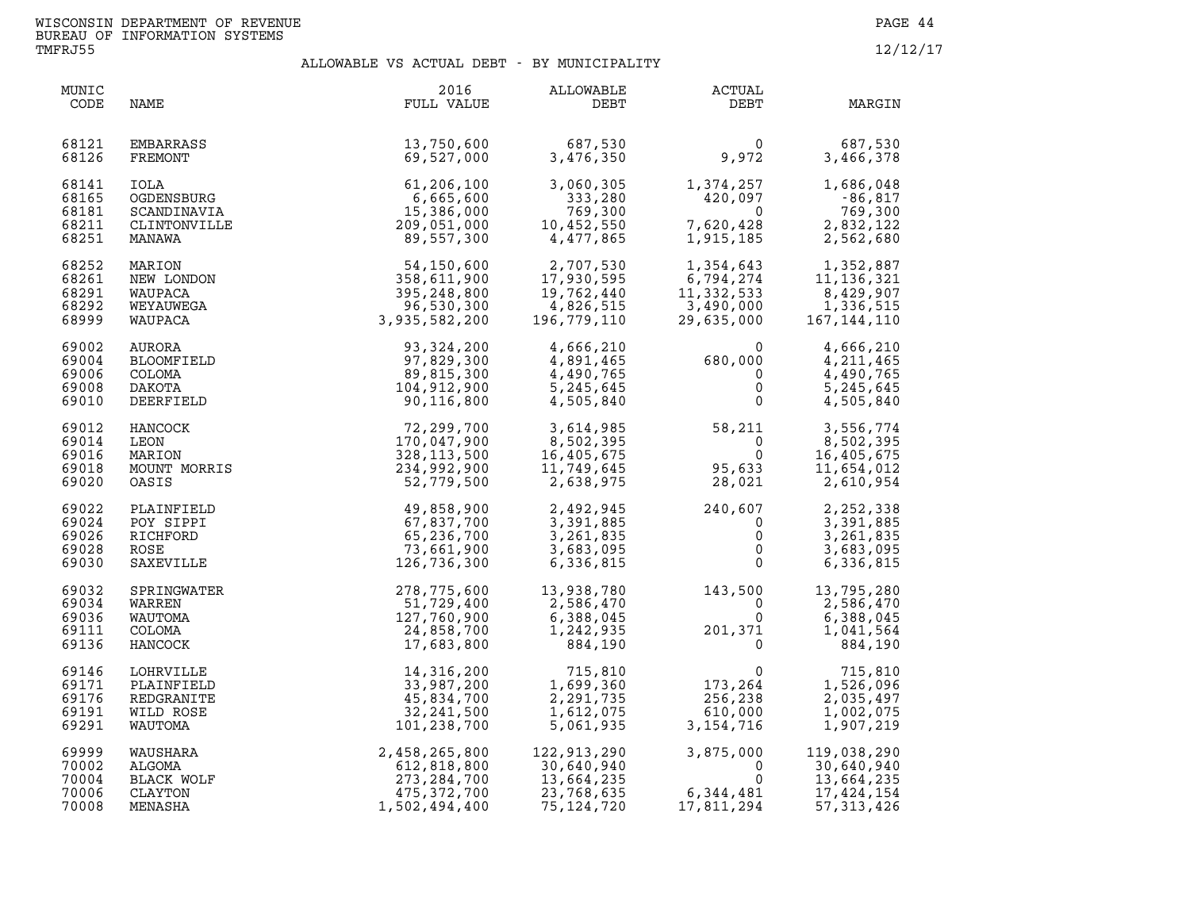| MUNIC<br>CODE                             | NAME                                                          | 2016<br>FULL VALUE                                                              | ALLOWABLE<br>DEBT                                                                          | ACTUAL<br>DEBT                                                     | MARGIN                                                                |
|-------------------------------------------|---------------------------------------------------------------|---------------------------------------------------------------------------------|--------------------------------------------------------------------------------------------|--------------------------------------------------------------------|-----------------------------------------------------------------------|
| 68121<br>68126                            | EMBARRASS<br>FREMONT                                          | 13,750,600<br>69,527,000                                                        | 687,530<br>3,476,350                                                                       | $\mathbf{0}$<br>9,972                                              | 687,530<br>3,466,378                                                  |
| 68141<br>68165<br>68181<br>68211<br>68251 | IOLA<br>OGDENSBURG<br>SCANDINAVIA<br>CLINTONVILLE<br>MANAWA   | 61,206,100<br>6,665,600<br>15,386,000<br>209,051,000<br>89,557,300              | 3,060,305<br>333,280<br>769,300<br>10,452,550<br>4,477,865                                 | 1,374,257<br>420,097<br>0<br>7,620,428<br>1,915,185                | 1,686,048<br>-86,817<br>769,300<br>2,832,122<br>2,562,680             |
| 68252<br>68261<br>68291<br>68292<br>68999 | MARION<br>NEW LONDON<br>WAUPACA<br>WEYAUWEGA<br>WAUPACA       | 54,150,600<br>358,611,900<br>395,248,800<br>96,530,300<br>3,935,582,200         | 2,707,530<br>17,930,595<br>19,762,440<br>4,826,515<br>196,779,110                          | 1,354,643<br>6,794,274<br>11,332,533<br>$3,490,000$<br>29,635,000  | 1,352,887<br>11, 136, 321<br>8,429,907<br>1,336,515<br>167, 144, 110  |
| 69002<br>69004<br>69006<br>69008<br>69010 | AURORA<br>BLOOMFIELD<br><b>COLOMA</b><br>DAKOTA<br>DEERFIELD  | 93,324,200<br>97,829,300<br>89,815,300<br>104,912,900<br>90,116,800             | 4,666,210<br>4,891,465<br>4,490,765<br>5,245,645<br>4,505,840                              | $680,000\ 0\ 0\ 0$<br>$\mathbf{0}$                                 | 4,666,210<br>4, 211, 465<br>4,490,765<br>5,245,645<br>4,505,840       |
| 69012<br>69014<br>69016<br>69018<br>69020 | HANCOCK<br>LEON<br>MARION<br>MOUNT MORRIS<br>OASIS            | 72,299,700<br>170,047,900<br>328, 113, 500<br>234,992,900<br>52,779,500         | 3,614,985<br>8,502,395<br>16,405,675<br>11,749,645<br>2,638,975<br>11,749,645<br>2,638,975 | 58,211<br>$\overline{a}$<br>$\Omega$<br>95,633<br>28,021           | 3,556,774<br>8,502,395<br>16,405,675<br>11,654,012<br>2,610,954       |
| 69022<br>69024<br>69026<br>69028<br>69030 | PLAINFIELD<br>POY SIPPI<br>RICHFORD<br>ROSE<br>SAXEVILLE      | 49,858,900<br>67,837,700<br>65,236,700<br>73,661,900<br>126,736,300             | 2,492,945<br>3,391,885<br>3,261,835<br>3,683,095<br>6,336,815                              | $240, 607$<br>0<br>0<br>0<br>0<br>$0 \qquad \qquad$                | 2,252,338<br>3,391,885<br>3,261,835<br>3,683,095<br>6,336,815         |
| 69032<br>69034<br>69036<br>69111<br>69136 | SPRINGWATER<br>WARREN<br>WAUTOMA<br>COLOMA<br>HANCOCK         | 278,775,600<br>51,729,400<br>127,760,900<br>24,858,700<br>17,683,800            | 13,938,780<br>2,586,470<br>6,388,045<br>1,242,935<br>884,190                               | 143,500<br>$\mathbf 0$<br>0<br>$201, 371$ <sup>0</sup><br>$\Omega$ | 13,795,280<br>2,586,470<br>6,388,045<br>1,041,564<br>884,190          |
| 69146<br>69171<br>69176<br>69191<br>69291 | LOHRVILLE<br>PLAINFIELD<br>REDGRANITE<br>WILD ROSE<br>WAUTOMA | 14,316,200<br>33,987,200<br>45,834,700<br>32, 241, 500<br>101,238,700           | 715,810<br>1,699,360<br>2,291,735<br>1,612,075<br>5,061,935                                | $\mathbf 0$<br>173,264<br>256,238<br>610,000<br>3, 154, 716        | 715,810<br>1,526,096<br>2,035,497<br>1,002,075<br>1,907,219           |
| 69999<br>70002<br>70004<br>70006<br>70008 | WAUSHARA<br>ALGOMA<br>BLACK WOLF<br>CLAYTON<br>MENASHA        | 2,458,265,800<br>612,818,800<br>273, 284, 700<br>475, 372, 700<br>1,502,494,400 | 122,913,290<br>30,640,940<br>13,664,235<br>23,768,635<br>75, 124, 720                      | $3,875,000$<br>0<br>6, 344, 481<br>17,811,294                      | 119,038,290<br>30,640,940<br>13,664,235<br>17,424,154<br>57, 313, 426 |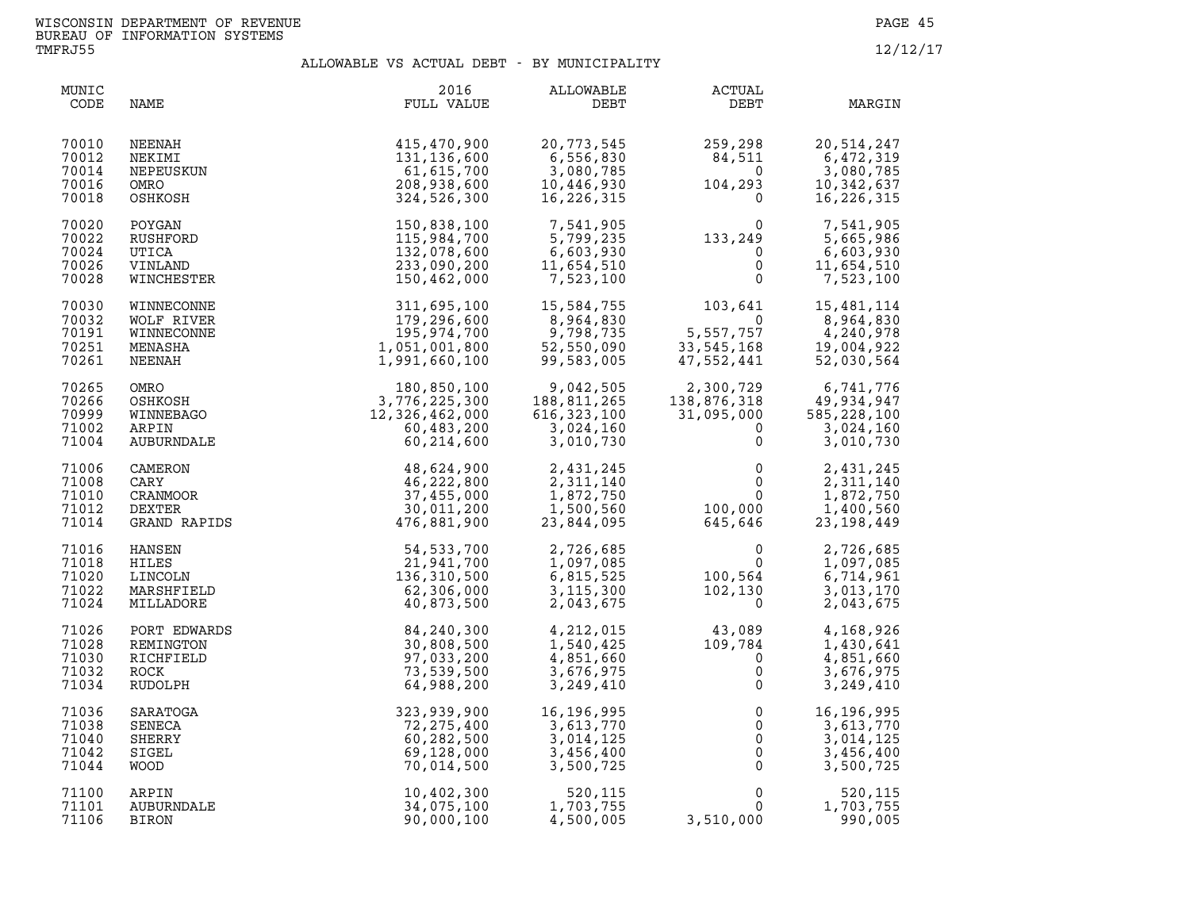| MUNIC<br>CODE                             | NAME                                                      | 2016<br>FULL VALUE                                                                                                                                                                                                                                               | <b>ALLOWABLE</b><br>DEBT                                                             | ACTUAL<br>DEBT                                                                                                   | MARGIN                                                                  |
|-------------------------------------------|-----------------------------------------------------------|------------------------------------------------------------------------------------------------------------------------------------------------------------------------------------------------------------------------------------------------------------------|--------------------------------------------------------------------------------------|------------------------------------------------------------------------------------------------------------------|-------------------------------------------------------------------------|
| 70010<br>70012<br>70014<br>70016<br>70018 | NEENAH<br>NEKIMI<br>NEPEUSKUN<br>OMRO<br>OSHKOSH          | 415,470,900<br>131,136,600<br>61,615,700<br>208,938,600<br>324,526,300                                                                                                                                                                                           | 20,773,545<br>$\frac{6}{6}$ , 556, 830<br>3,080,785<br>10,446,930<br>16,226,315      | $259, 298$<br>84,511<br>0<br>104,293                                                                             | 20,514,247<br>6,472,319<br>3,080,785<br>10,342,637<br>16, 226, 315      |
| 70020<br>70022<br>70024<br>70026<br>70028 | POYGAN<br>RUSHFORD<br>UTICA<br>VINLAND<br>WINCHESTER      | 150,838,100<br>115,984,700<br>132,078,600<br>233,090,200<br>150,462,000                                                                                                                                                                                          | 7,541,905<br>5,799,235<br>6,603,930<br>11,654,510<br>7,523,100                       | $\begin{smallmatrix} 0 & 0 \\ 133, 249 & 0 \\ 0 & 0 \\ 0 & 0 \end{smallmatrix}$                                  | 7,541,905<br>5,665,986<br>6,603,930<br>11,654,510<br>7,523,100          |
| 70030<br>70032<br>70191<br>70251<br>70261 |                                                           | WINNECONNE<br>WINNECONNE<br>WOLF RIVER<br>WINNECONNE<br>MINNECONNE<br>MINNECONNE<br>MINNECONNE<br>MINNECONNE<br>179, 296, 600<br>179, 296, 600<br>179, 296, 600<br>195, 974, 700<br>MINNEBARA<br>1, 051, 001, 800<br>1, 991, 660, 100<br>OMRO<br>OMRO<br>MINNEBA | 15,584,755<br>8,964,830<br>9,798,735<br>52,550,090<br>99,583,005                     | 103,641<br>0<br>5,557,757<br>33,545,168<br>47.552,441                                                            | 15,481,114<br>8,964,830<br>4,240,978<br>19,004,922<br>52,030,564        |
| 70265<br>70266<br>70999<br>71002<br>71004 |                                                           |                                                                                                                                                                                                                                                                  | 9,042,505<br>188,811,265<br>$616, 323, 100$<br>3,024,160<br>616,323,100<br>3,010,730 | 2,300,729 6,741,776<br>138,876,318 49,934,947<br>31,095,000 585,228,100<br>0 3,024,160<br>$\Omega$               | 3,024,160<br>3,010,730                                                  |
| 71006<br>71008<br>71010<br>71012<br>71014 |                                                           |                                                                                                                                                                                                                                                                  | 2,431,245<br>2,311,140<br>1,872,750<br>1,500,560<br>23,844,095                       | $\begin{array}{ccc}\n & & & & 0 \\  & & & & 0 \\  & & & & 0 \\  & & & & 100,000 \\  & & & 645,646\n \end{array}$ | 2,431,245<br>2,311,140<br>1,872,750<br>1,400,560<br>23,198,449          |
| 71016<br>71018<br>71020<br>71022<br>71024 | HANSEN<br>HILES<br>LINCOLN<br>MARSHFIELD<br>MILLADORE     | 54,533,700<br>21,941,700<br>136,310,500<br>62,306,000<br>40,873,500                                                                                                                                                                                              | 2,726,685<br>1,097,085<br>6,815,525<br>3,115,300<br>2,043,675                        | $\begin{smallmatrix}&&&0\0&0\100\,,\,564\102\,,\,130\0\end{smallmatrix}$                                         | 2,726,685<br>1,097,085<br>6,714,961<br>3,013,170<br>2,043,675           |
| 71026<br>71028<br>71030<br>71032<br>71034 | PORT EDWARDS<br>REMINGTON<br>RICHFIELD<br>ROCK<br>RUDOLPH | 84,240,300<br>30,808,500<br>97,033,200<br>73,539,500<br>64,988,200                                                                                                                                                                                               | 4,212,015<br>1,540,425<br>4,851,660<br>3,676,975<br>3,249,410                        | $\begin{smallmatrix} 43\, , & 089\ 109\, , & 784\ 0\, 0\, 0\, \end{smallmatrix}$                                 | 4,168,926<br>1,430,641<br>4,851,660<br>3,676,975<br>3,249,410           |
| 71036<br>71038<br>71040<br>71042<br>71044 | SARATOGA<br>SENECA<br>SHERRY<br>SIGEL<br><b>WOOD</b>      | 323,939,900<br>72,275,400<br>60,282,500<br>69,128,000<br>70,014,500                                                                                                                                                                                              | 16,196,995<br>16,196,995<br>3,613,770<br>3,014,125<br>3,456,400<br>3,500,725         | $\begin{array}{c} 0 \\ 0 \\ 0 \\ 0 \\ 0 \end{array}$<br>$\overline{0}$                                           | 16,196,995<br>3,613,770<br>3,014,125<br>3,456,400<br>3,500,725          |
| 71100<br>71101<br>71106                   | ARPIN<br>AUBURNDALE<br>BIRON                              | 10,402,300<br>34,075,100<br>90,000,100                                                                                                                                                                                                                           | 520,115<br>1,703,755<br>4,500,005                                                    | 3,510,000                                                                                                        | $\begin{matrix} 0 \\ 0 \end{matrix}$<br>520,115<br>1,703,755<br>990,005 |